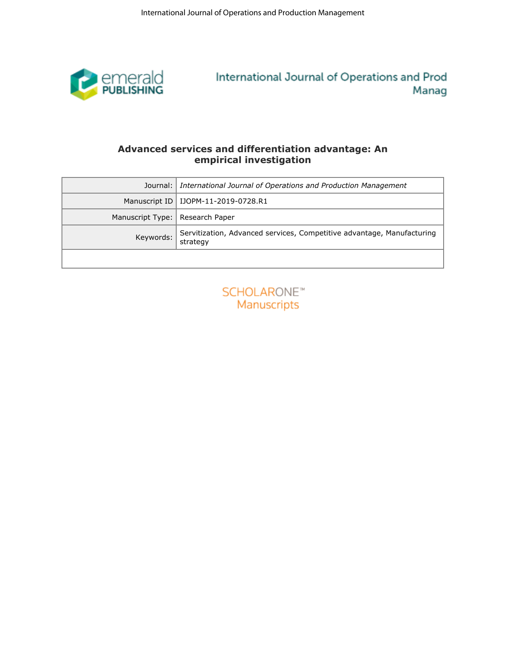

# **Advanced services and differentiation advantage: An empirical investigation**

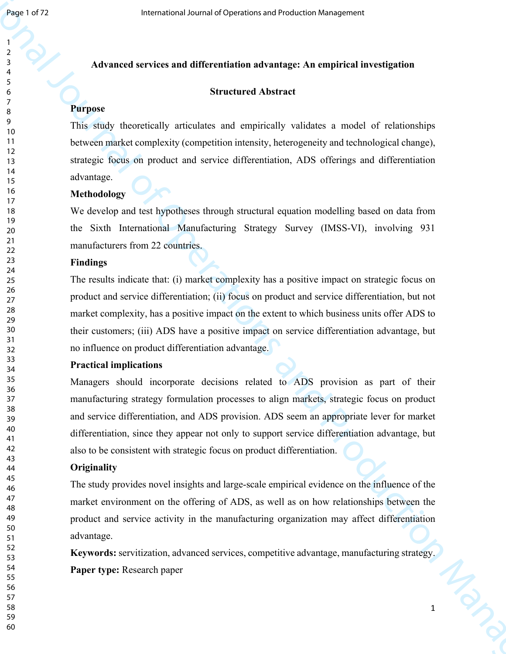# **Advanced services and differentiation advantage: An empirical investigation**

#### **Structured Abstract**

#### **Purpose**

This study theoretically articulates and empirically validates a model of relationships between market complexity (competition intensity, heterogeneity and technological change), strategic focus on product and service differentiation, ADS offerings and differentiation advantage.

# **Methodology**

We develop and test hypotheses through structural equation modelling based on data from the Sixth International Manufacturing Strategy Survey (IMSS-VI), involving 931 manufacturers from 22 countries.

#### **Findings**

The results indicate that: (i) market complexity has a positive impact on strategic focus on product and service differentiation; (ii) focus on product and service differentiation, but not market complexity, has a positive impact on the extent to which business units offer ADS to their customers; (iii) ADS have a positive impact on service differentiation advantage, but no influence on product differentiation advantage.

# **Practical implications**

**Example 20**<br> **Example 20**<br> **Advanced services and differentiation advantage: An empirical investigation**<br> **Advanced services and differentiation advantage: An empirical investigation**<br> **Propose.**<br> **Propose.**<br> **Propose th** Managers should incorporate decisions related to ADS provision as part of their manufacturing strategy formulation processes to align markets, strategic focus on product and service differentiation, and ADS provision. ADS seem an appropriate lever for market differentiation, since they appear not only to support service differentiation advantage, but also to be consistent with strategic focus on product differentiation.

# **Originality**

The study provides novel insights and large-scale empirical evidence on the influence of the market environment on the offering of ADS, as well as on how relationships between the product and service activity in the manufacturing organization may affect differentiation advantage.

**Keywords:** servitization, advanced services, competitive advantage, manufacturing strategy. **Paper type:** Research paper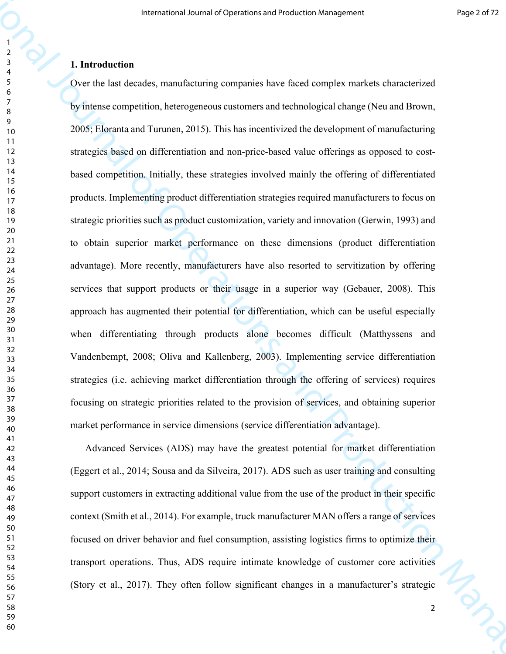#### **1. Introduction**

**International Journal of Operators are from the aperture in France Control (September 1978)<br>
1. International Concerns and Productions and Production Management Concerns and Productions and Productions and Production Man** Over the last decades, manufacturing companies have faced complex markets characterized by intense competition, heterogeneous customers and technological change (Neu and Brown, 2005; Eloranta and Turunen, 2015). This has incentivized the development of manufacturing strategies based on differentiation and non-price-based value offerings as opposed to costbased competition. Initially, these strategies involved mainly the offering of differentiated products. Implementing product differentiation strategies required manufacturers to focus on strategic priorities such as product customization, variety and innovation (Gerwin, 1993) and to obtain superior market performance on these dimensions (product differentiation advantage). More recently, manufacturers have also resorted to servitization by offering services that support products or their usage in a superior way (Gebauer, 2008). This approach has augmented their potential for differentiation, which can be useful especially when differentiating through products alone becomes difficult (Matthyssens and Vandenbempt, 2008; Oliva and Kallenberg, 2003). Implementing service differentiation strategies (i.e. achieving market differentiation through the offering of services) requires focusing on strategic priorities related to the provision of services, and obtaining superior market performance in service dimensions (service differentiation advantage).

Advanced Services (ADS) may have the greatest potential for market differentiation (Eggert et al., 2014; Sousa and da Silveira, 2017). ADS such as user training and consulting support customers in extracting additional value from the use of the product in their specific context (Smith et al., 2014). For example, truck manufacturer MAN offers a range of services focused on driver behavior and fuel consumption, assisting logistics firms to optimize their transport operations. Thus, ADS require intimate knowledge of customer core activities (Story et al., 2017). They often follow significant changes in a manufacturer's strategic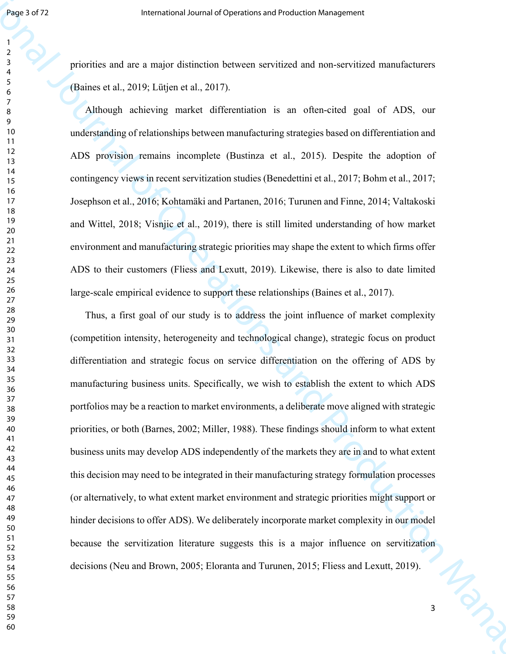priorities and are a major distinction between servitized and non-servitized manufacturers (Baines et al., 2019; Lütjen et al., 2017).

Although achieving market differentiation is an often-cited goal of ADS, our understanding of relationships between manufacturing strategies based on differentiation and ADS provision remains incomplete (Bustinza et al., 2015). Despite the adoption of contingency views in recent servitization studies (Benedettini et al., 2017; Bohm et al., 2017; Josephson et al., 2016; Kohtamäki and Partanen, 2016; Turunen and Finne, 2014; Valtakoski and Wittel, 2018; Visnjic et al., 2019), there is still limited understanding of how market environment and manufacturing strategic priorities may shape the extent to which firms offer ADS to their customers (Fliess and Lexutt, 2019). Likewise, there is also to date limited large-scale empirical evidence to support these relationships (Baines et al., 2017).

**Example 2017**<br> **International American State of Operations are Freedomiss and conservatived municipalments<br>
<b>Problems or d...2019**, Collision critical AME is a subset of our differentiation and<br> **International State of t** Thus, a first goal of our study is to address the joint influence of market complexity (competition intensity, heterogeneity and technological change), strategic focus on product differentiation and strategic focus on service differentiation on the offering of ADS by manufacturing business units. Specifically, we wish to establish the extent to which ADS portfolios may be a reaction to market environments, a deliberate move aligned with strategic priorities, or both (Barnes, 2002; Miller, 1988). These findings should inform to what extent business units may develop ADS independently of the markets they are in and to what extent this decision may need to be integrated in their manufacturing strategy formulation processes (or alternatively, to what extent market environment and strategic priorities might support or hinder decisions to offer ADS). We deliberately incorporate market complexity in our model because the servitization literature suggests this is a major influence on servitization decisions (Neu and Brown, 2005; Eloranta and Turunen, 2015; Fliess and Lexutt, 2019).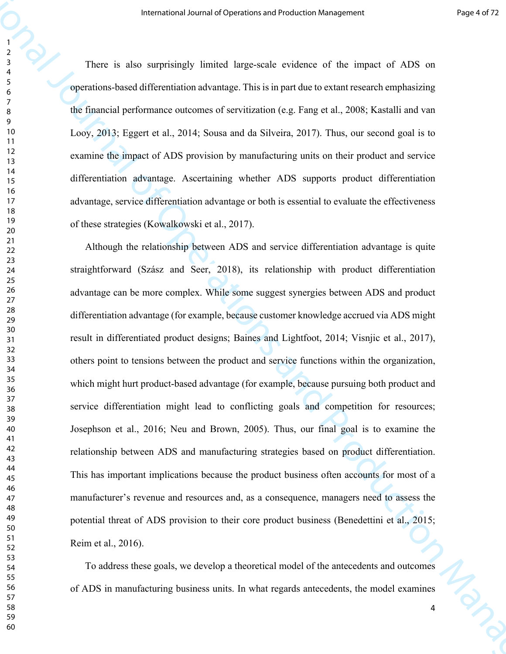There is also surprisingly limited large-scale evidence of the impact of ADS on operations-based differentiation advantage. This is in part due to extant research emphasizing the financial performance outcomes of servitization (e.g. Fang et al., 2008; Kastalli and van Looy, 2013; Eggert et al., 2014; Sousa and da Silveira, 2017). Thus, our second goal is to examine the impact of ADS provision by manufacturing units on their product and service differentiation advantage. Ascertaining whether ADS supports product differentiation advantage, service differentiation advantage or both is essential to evaluate the effectiveness of these strategies (Kowalkowski et al., 2017).

**INTERTAINMENTAL CONSULTER AND EXECUTIVE CONSULTER AND ACCOUNT (AND A DREAM)**<br>
There is also anywherely limited happenedic original of the imperior of ADS on<br>
contribute based of forecration advantage. This is in part doe Although the relationship between ADS and service differentiation advantage is quite straightforward (Szász and Seer, 2018), its relationship with product differentiation advantage can be more complex. While some suggest synergies between ADS and product differentiation advantage (for example, because customer knowledge accrued via ADS might result in differentiated product designs; Baines and Lightfoot, 2014; Visnjic et al., 2017), others point to tensions between the product and service functions within the organization, which might hurt product-based advantage (for example, because pursuing both product and service differentiation might lead to conflicting goals and competition for resources; Josephson et al., 2016; Neu and Brown, 2005). Thus, our final goal is to examine the relationship between ADS and manufacturing strategies based on product differentiation. This has important implications because the product business often accounts for most of a manufacturer's revenue and resources and, as a consequence, managers need to assess the potential threat of ADS provision to their core product business (Benedettini et al., 2015; Reim et al., 2016).

To address these goals, we develop a theoretical model of the antecedents and outcomes of ADS in manufacturing business units. In what regards antecedents, the model examines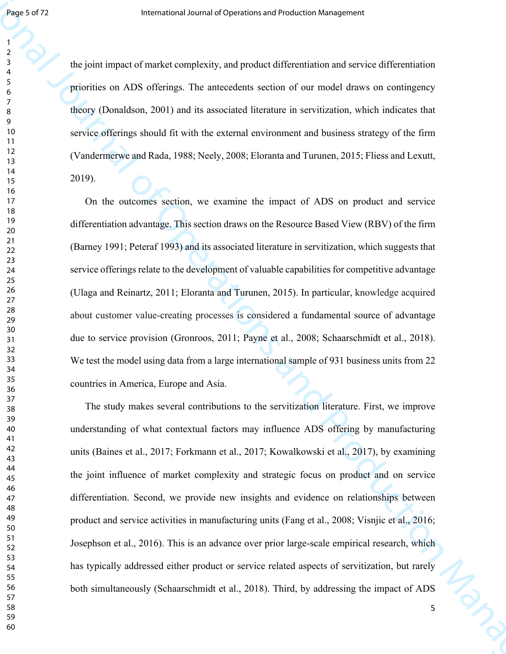the joint impact of market complexity, and product differentiation and service differentiation priorities on ADS offerings. The antecedents section of our model draws on contingency theory (Donaldson, 2001) and its associated literature in servitization, which indicates that service offerings should fit with the external environment and business strategy of the firm (Vandermerwe and Rada, 1988; Neely, 2008; Eloranta and Turunen, 2015; Fliess and Lexutt, 2019).

**Example 2017**<br> **International of Operations and Production Conservants and Production Conservant and Production<br>
2.1 The plott impact of Production Scheme and Production Management and Production Management Deptending (D** On the outcomes section, we examine the impact of ADS on product and service differentiation advantage. This section draws on the Resource Based View (RBV) of the firm (Barney 1991; Peteraf 1993) and its associated literature in servitization, which suggests that service offerings relate to the development of valuable capabilities for competitive advantage (Ulaga and Reinartz, 2011; Eloranta and Turunen, 2015). In particular, knowledge acquired about customer value-creating processes is considered a fundamental source of advantage due to service provision (Gronroos, 2011; Payne et al., 2008; Schaarschmidt et al., 2018). We test the model using data from a large international sample of 931 business units from 22 countries in America, Europe and Asia.

The study makes several contributions to the servitization literature. First, we improve understanding of what contextual factors may influence ADS offering by manufacturing units (Baines et al., 2017; Forkmann et al., 2017; Kowalkowski et al., 2017), by examining the joint influence of market complexity and strategic focus on product and on service differentiation. Second, we provide new insights and evidence on relationships between product and service activities in manufacturing units (Fang et al., 2008; Visnjic et al., 2016; Josephson et al., 2016). This is an advance over prior large-scale empirical research, which has typically addressed either product or service related aspects of servitization, but rarely both simultaneously (Schaarschmidt et al., 2018). Third, by addressing the impact of ADS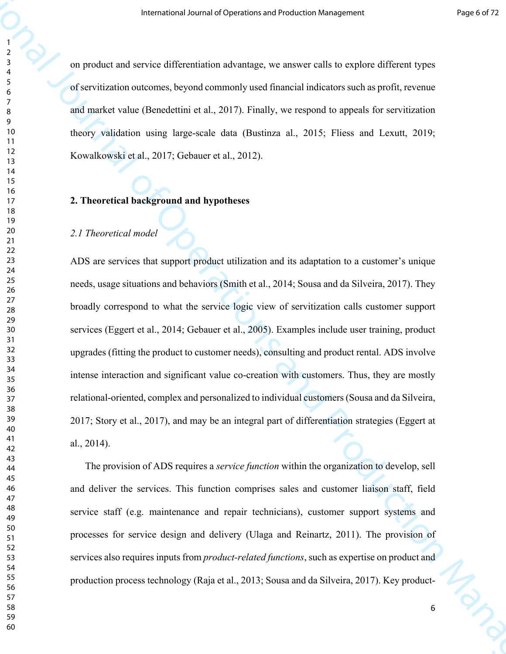on product and service differentiation advantage, we answer calls to explore different types of servitization outcomes, beyond commonly used financial indicators such as profit, revenue and market value (Benedettini et al., 2017). Finally, we respond to appeals for servitization theory validation using large-scale data (Bustinza al., 2015; Fliess and Lexutt, 2019; Kowalkowski et al., 2017; Gebauer et al., 2012).

# **2. Theoretical background and hypotheses**

#### *2.1 Theoretical model*

**Example 2 Example 2 From the Constant Scheme Constant Scheme Constant Scheme Constant Constant Constant Constant Constant Constant Constant Constant Constant Constant Constant Constant Constant Constant Constant Cons** ADS are services that support product utilization and its adaptation to a customer's unique needs, usage situations and behaviors (Smith et al., 2014; Sousa and da Silveira, 2017). They broadly correspond to what the service logic view of servitization calls customer support services (Eggert et al., 2014; Gebauer et al., 2005). Examples include user training, product upgrades (fitting the product to customer needs), consulting and product rental. ADS involve intense interaction and significant value co-creation with customers. Thus, they are mostly relational-oriented, complex and personalized to individual customers (Sousa and da Silveira, 2017; Story et al., 2017), and may be an integral part of differentiation strategies (Eggert at al., 2014).

The provision of ADS requires a *service function* within the organization to develop, sell and deliver the services. This function comprises sales and customer liaison staff, field service staff (e.g. maintenance and repair technicians), customer support systems and processes for service design and delivery (Ulaga and Reinartz, 2011). The provision of services also requires inputs from *product-related functions*, such as expertise on product and production process technology (Raja et al., 2013; Sousa and da Silveira, 2017). Key product-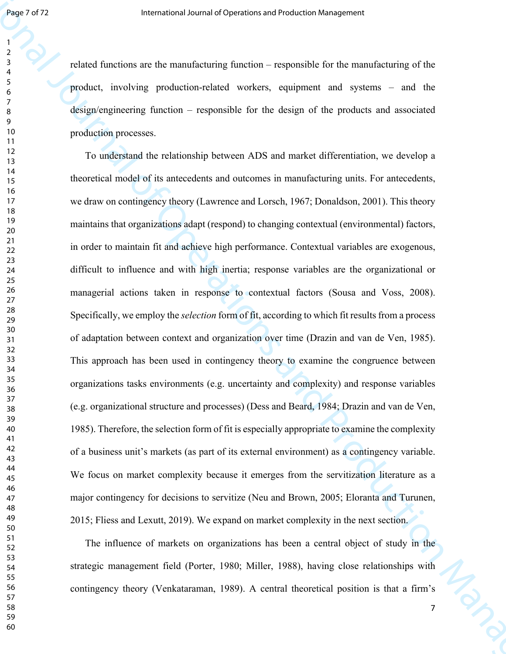related functions are the manufacturing function – responsible for the manufacturing of the product, involving production-related workers, equipment and systems – and the design/engineering function – responsible for the design of the products and associated production processes.

**Example 2017**<br> **International of Operation and Production** and Production Streamental production  $\frac{1}{2}$ <br> **Consider the Consider Streamentary of Operation** Managemental Streamentary of the Construction Managemental Str To understand the relationship between ADS and market differentiation, we develop a theoretical model of its antecedents and outcomes in manufacturing units. For antecedents, we draw on contingency theory (Lawrence and Lorsch, 1967; Donaldson, 2001). This theory maintains that organizations adapt (respond) to changing contextual (environmental) factors, in order to maintain fit and achieve high performance. Contextual variables are exogenous, difficult to influence and with high inertia; response variables are the organizational or managerial actions taken in response to contextual factors (Sousa and Voss, 2008). Specifically, we employ the *selection* form of fit, according to which fit results from a process of adaptation between context and organization over time (Drazin and van de Ven, 1985). This approach has been used in contingency theory to examine the congruence between organizations tasks environments (e.g. uncertainty and complexity) and response variables (e.g. organizational structure and processes) (Dess and Beard, 1984; Drazin and van de Ven, 1985). Therefore, the selection form of fit is especially appropriate to examine the complexity of a business unit's markets (as part of its external environment) as a contingency variable. We focus on market complexity because it emerges from the servitization literature as a major contingency for decisions to servitize (Neu and Brown, 2005; Eloranta and Turunen, 2015; Fliess and Lexutt, 2019). We expand on market complexity in the next section.

The influence of markets on organizations has been a central object of study in the strategic management field (Porter, 1980; Miller, 1988), having close relationships with contingency theory (Venkataraman, 1989). A central theoretical position is that a firm's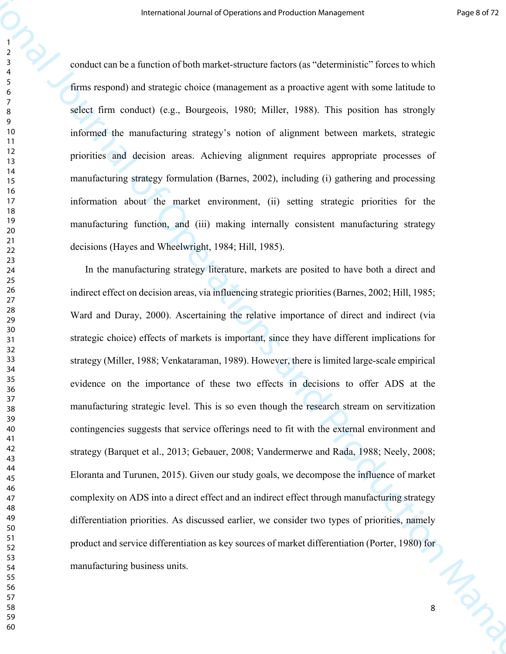conduct can be a function of both market-structure factors (as "deterministic" forces to which firms respond) and strategic choice (management as a proactive agent with some latitude to select firm conduct) (e.g., Bourgeois, 1980; Miller, 1988). This position has strongly informed the manufacturing strategy's notion of alignment between markets, strategic priorities and decision areas. Achieving alignment requires appropriate processes of manufacturing strategy formulation (Barnes, 2002), including (i) gathering and processing information about the market environment, (ii) setting strategic priorities for the manufacturing function, and (iii) making internally consistent manufacturing strategy decisions (Hayes and Wheelwright, 1984; Hill, 1985).

**International Journal of Operations are locations and properties are a specified between the specified between the specified between the specified between the specified between the specified between the management of the** Manic In the manufacturing strategy literature, markets are posited to have both a direct and indirect effect on decision areas, via influencing strategic priorities (Barnes, 2002; Hill, 1985; Ward and Duray, 2000). Ascertaining the relative importance of direct and indirect (via strategic choice) effects of markets is important, since they have different implications for strategy (Miller, 1988; Venkataraman, 1989). However, there is limited large-scale empirical evidence on the importance of these two effects in decisions to offer ADS at the manufacturing strategic level. This is so even though the research stream on servitization contingencies suggests that service offerings need to fit with the external environment and strategy (Barquet et al., 2013; Gebauer, 2008; Vandermerwe and Rada, 1988; Neely, 2008; Eloranta and Turunen, 2015). Given our study goals, we decompose the influence of market complexity on ADS into a direct effect and an indirect effect through manufacturing strategy differentiation priorities. As discussed earlier, we consider two types of priorities, namely product and service differentiation as key sources of market differentiation (Porter, 1980) for manufacturing business units.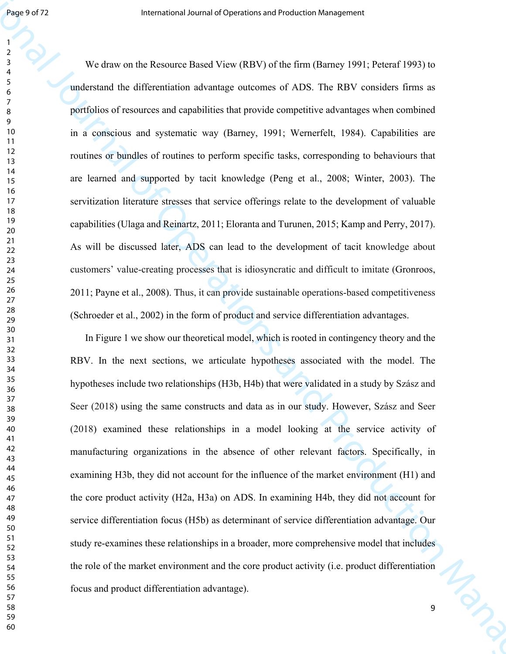**ISANDRED 2000**<br>
ISADE TRANS TO THE TRANS THE CONSTRAINS OF THE CONSTRAINS TO THE CONSTRAINS TO THE CONSTRAINS OF THE CONSTRAINS OF THE CONSTRAINS OF THE PRODUCT CONSTRAINS TO THE PRODUCT CONSTRAINS TO THE PRODUCT CONSTRA We draw on the Resource Based View (RBV) of the firm (Barney 1991; Peteraf 1993) to understand the differentiation advantage outcomes of ADS. The RBV considers firms as portfolios of resources and capabilities that provide competitive advantages when combined in a conscious and systematic way (Barney, 1991; Wernerfelt, 1984). Capabilities are routines or bundles of routines to perform specific tasks, corresponding to behaviours that are learned and supported by tacit knowledge (Peng et al., 2008; Winter, 2003). The servitization literature stresses that service offerings relate to the development of valuable capabilities (Ulaga and Reinartz, 2011; Eloranta and Turunen, 2015; Kamp and Perry, 2017). As will be discussed later, ADS can lead to the development of tacit knowledge about customers' value-creating processes that is idiosyncratic and difficult to imitate (Gronroos, 2011; Payne et al., 2008). Thus, it can provide sustainable operations-based competitiveness (Schroeder et al., 2002) in the form of product and service differentiation advantages.

In Figure 1 we show our theoretical model, which is rooted in contingency theory and the RBV. In the next sections, we articulate hypotheses associated with the model. The hypotheses include two relationships (H3b, H4b) that were validated in a study by Szász and Seer (2018) using the same constructs and data as in our study. However, Szász and Seer (2018) examined these relationships in a model looking at the service activity of manufacturing organizations in the absence of other relevant factors. Specifically, in examining H3b, they did not account for the influence of the market environment (H1) and the core product activity (H2a, H3a) on ADS. In examining H4b, they did not account for service differentiation focus (H5b) as determinant of service differentiation advantage. Our study re-examines these relationships in a broader, more comprehensive model that includes the role of the market environment and the core product activity (i.e. product differentiation focus and product differentiation advantage).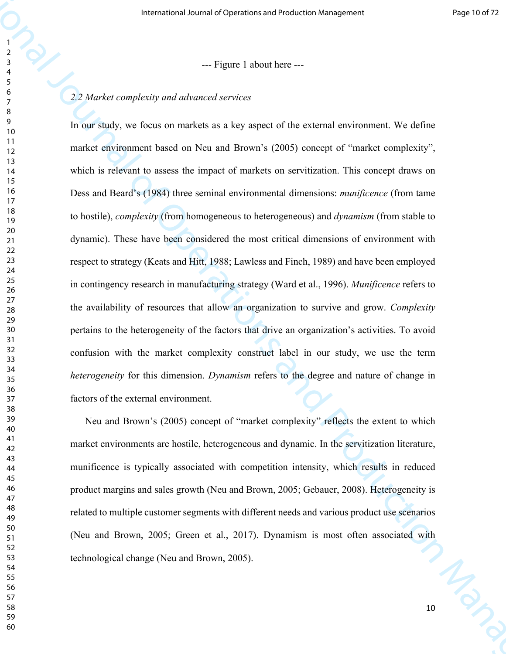--- Figure 1 about here ---

#### *2.2 Market complexity and advanced services*

**International Journal of Operations are freedomics variances of the Barton Company (Although Control Company)**<br> **International Control of Operation Activity and Activity and Activity and Production Management We define<br>** In our study, we focus on markets as a key aspect of the external environment. We define market environment based on Neu and Brown's (2005) concept of "market complexity", which is relevant to assess the impact of markets on servitization. This concept draws on Dess and Beard's (1984) three seminal environmental dimensions: *munificence* (from tame to hostile), *complexity* (from homogeneous to heterogeneous) and *dynamism* (from stable to dynamic). These have been considered the most critical dimensions of environment with respect to strategy (Keats and Hitt, 1988; Lawless and Finch, 1989) and have been employed in contingency research in manufacturing strategy (Ward et al., 1996). *Munificence* refers to the availability of resources that allow an organization to survive and grow. *Complexity* pertains to the heterogeneity of the factors that drive an organization's activities. To avoid confusion with the market complexity construct label in our study, we use the term *heterogeneity* for this dimension. *Dynamism* refers to the degree and nature of change in factors of the external environment.

T Manis Neu and Brown's (2005) concept of "market complexity" reflects the extent to which market environments are hostile, heterogeneous and dynamic. In the servitization literature, munificence is typically associated with competition intensity, which results in reduced product margins and sales growth (Neu and Brown, 2005; Gebauer, 2008). Heterogeneity is related to multiple customer segments with different needs and various product use scenarios (Neu and Brown, 2005; Green et al., 2017). Dynamism is most often associated with technological change (Neu and Brown, 2005).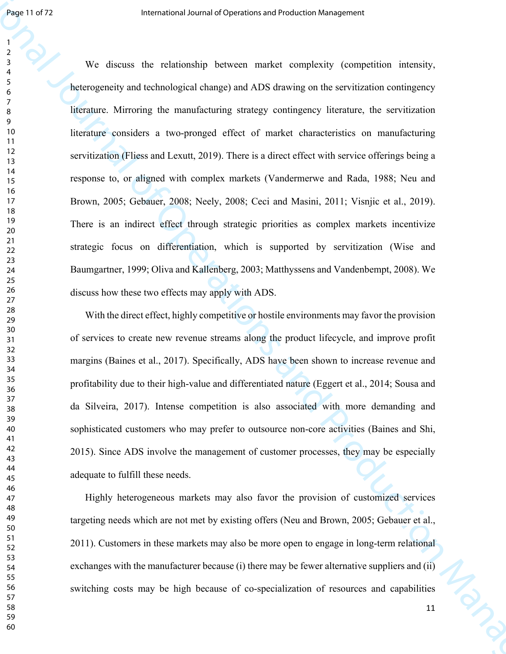**Example 18 of 22**<br>
International de Schwisselhe Schwaces market complexity (competition moosity,<br>
18 of dream the collisional Collision and ADS direction on this secretization confidence<br>
Internation Considered and Detec We discuss the relationship between market complexity (competition intensity, heterogeneity and technological change) and ADS drawing on the servitization contingency literature. Mirroring the manufacturing strategy contingency literature, the servitization literature considers a two-pronged effect of market characteristics on manufacturing servitization (Fliess and Lexutt, 2019). There is a direct effect with service offerings being a response to, or aligned with complex markets (Vandermerwe and Rada, 1988; Neu and Brown, 2005; Gebauer, 2008; Neely, 2008; Ceci and Masini, 2011; Visnjic et al., 2019). There is an indirect effect through strategic priorities as complex markets incentivize strategic focus on differentiation, which is supported by servitization (Wise and Baumgartner, 1999; Oliva and Kallenberg, 2003; Matthyssens and Vandenbempt, 2008). We discuss how these two effects may apply with ADS.

With the direct effect, highly competitive or hostile environments may favor the provision of services to create new revenue streams along the product lifecycle, and improve profit margins (Baines et al., 2017). Specifically, ADS have been shown to increase revenue and profitability due to their high-value and differentiated nature (Eggert et al., 2014; Sousa and da Silveira, 2017). Intense competition is also associated with more demanding and sophisticated customers who may prefer to outsource non-core activities (Baines and Shi, 2015). Since ADS involve the management of customer processes, they may be especially adequate to fulfill these needs.

Highly heterogeneous markets may also favor the provision of customized services targeting needs which are not met by existing offers (Neu and Brown, 2005; Gebauer et al., 2011). Customers in these markets may also be more open to engage in long-term relational exchanges with the manufacturer because (i) there may be fewer alternative suppliers and (ii) switching costs may be high because of co-specialization of resources and capabilities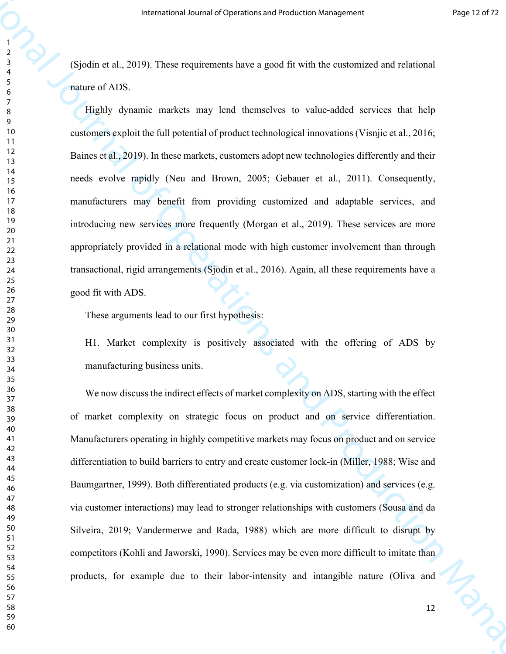(Sjodin et al., 2019). These requirements have a good fit with the customized and relational nature of ADS.

**International Journal of Operators are freedomics are productional many the set of Theorem (Sheet of The American State Content of American Content of American Content of The Content of The Content of The Content of The** Highly dynamic markets may lend themselves to value-added services that help customers exploit the full potential of product technological innovations (Visnjic et al., 2016; Baines et al., 2019). In these markets, customers adopt new technologies differently and their needs evolve rapidly (Neu and Brown, 2005; Gebauer et al., 2011). Consequently, manufacturers may benefit from providing customized and adaptable services, and introducing new services more frequently (Morgan et al., 2019). These services are more appropriately provided in a relational mode with high customer involvement than through transactional, rigid arrangements (Sjodin et al., 2016). Again, all these requirements have a good fit with ADS.

These arguments lead to our first hypothesis:

H1. Market complexity is positively associated with the offering of ADS by manufacturing business units.

We now discuss the indirect effects of market complexity on ADS, starting with the effect of market complexity on strategic focus on product and on service differentiation. Manufacturers operating in highly competitive markets may focus on product and on service differentiation to build barriers to entry and create customer lock-in (Miller, 1988; Wise and Baumgartner, 1999). Both differentiated products (e.g. via customization) and services (e.g. via customer interactions) may lead to stronger relationships with customers (Sousa and da Silveira, 2019; Vandermerwe and Rada, 1988) which are more difficult to disrupt by competitors (Kohli and Jaworski, 1990). Services may be even more difficult to imitate than products, for example due to their labor-intensity and intangible nature (Oliva and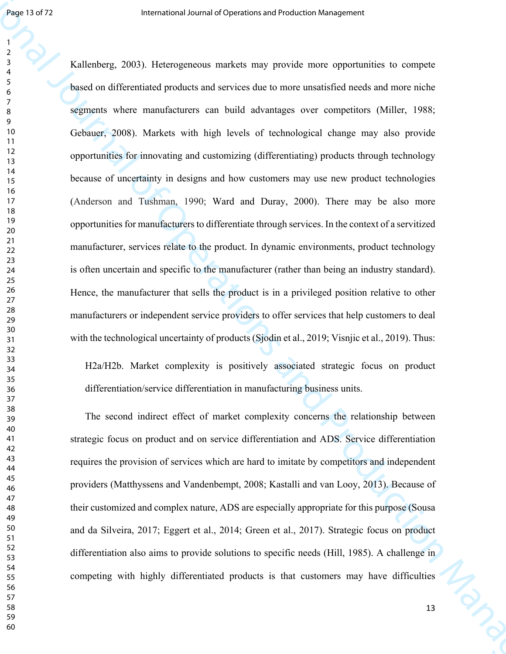**Example 26**<br> **Example 26**<br> **Example 26**<br> **Example 26**<br> **Example 26**<br> **Example 36**<br> **Example 36**<br> **Example 36**<br> **Example 36**<br> **Example 36**<br> **Example 36**<br> **Example 36**<br> **Example 36**<br> **Example 36**<br> **Example 36**<br> **Example 36** Kallenberg, 2003). Heterogeneous markets may provide more opportunities to compete based on differentiated products and services due to more unsatisfied needs and more niche segments where manufacturers can build advantages over competitors (Miller, 1988; Gebauer, 2008). Markets with high levels of technological change may also provide opportunities for innovating and customizing (differentiating) products through technology because of uncertainty in designs and how customers may use new product technologies (Anderson and Tushman, 1990; Ward and Duray, 2000). There may be also more opportunities for manufacturers to differentiate through services. In the context of a servitized manufacturer, services relate to the product. In dynamic environments, product technology is often uncertain and specific to the manufacturer (rather than being an industry standard). Hence, the manufacturer that sells the product is in a privileged position relative to other manufacturers or independent service providers to offer services that help customers to deal with the technological uncertainty of products (Sjodin et al., 2019; Visnjic et al., 2019). Thus:

H2a/H2b. Market complexity is positively associated strategic focus on product differentiation/service differentiation in manufacturing business units.

The second indirect effect of market complexity concerns the relationship between strategic focus on product and on service differentiation and ADS. Service differentiation requires the provision of services which are hard to imitate by competitors and independent providers (Matthyssens and Vandenbempt, 2008; Kastalli and van Looy, 2013). Because of their customized and complex nature, ADS are especially appropriate for this purpose (Sousa and da Silveira, 2017; Eggert et al., 2014; Green et al., 2017). Strategic focus on product differentiation also aims to provide solutions to specific needs (Hill, 1985). A challenge in competing with highly differentiated products is that customers may have difficulties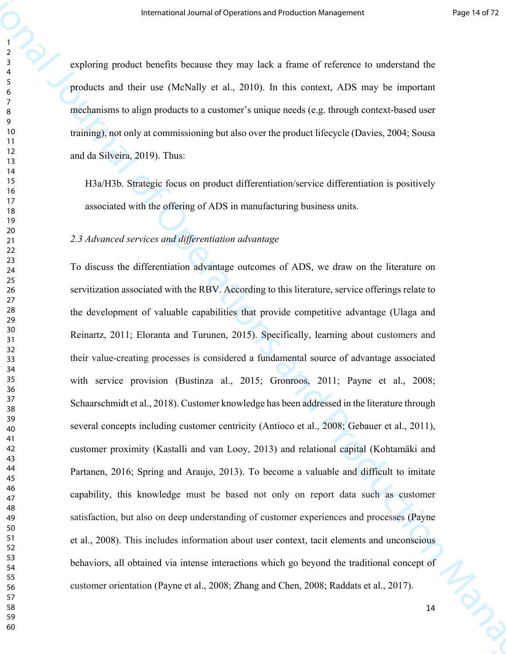exploring product benefits because they may lack a frame of reference to understand the products and their use (McNally et al., 2010). In this context, ADS may be important mechanisms to align products to a customer's unique needs (e.g. through context-based user training), not only at commissioning but also over the product lifecycle (Davies, 2004; Sousa and da Silveira, 2019). Thus:

H3a/H3b. Strategic focus on product differentiation/service differentiation is positively associated with the offering of ADS in manufacturing business units.

# *2.3 Advanced services and differentiation advantage*

**Example 12**<br> **Example 18**<br> **Example 18**<br> **Example 18**<br> **Example 18**<br> **Example 18**<br> **Example 18**<br> **Example 18**<br> **Example 18**<br> **Example 18**<br> **Example 18**<br> **Example 18**<br> **Example 18**<br> **Example 18**<br> **Example 18**<br> **Example 18** To discuss the differentiation advantage outcomes of ADS, we draw on the literature on servitization associated with the RBV. According to this literature, service offerings relate to the development of valuable capabilities that provide competitive advantage (Ulaga and Reinartz, 2011; Eloranta and Turunen, 2015). Specifically, learning about customers and their value-creating processes is considered a fundamental source of advantage associated with service provision (Bustinza al., 2015; Gronroos, 2011; Payne et al., 2008; Schaarschmidt et al., 2018). Customer knowledge has been addressed in the literature through several concepts including customer centricity (Antioco et al., 2008; Gebauer et al., 2011), customer proximity (Kastalli and van Looy, 2013) and relational capital (Kohtamäki and Partanen, 2016; Spring and Araujo, 2013). To become a valuable and difficult to imitate capability, this knowledge must be based not only on report data such as customer satisfaction, but also on deep understanding of customer experiences and processes (Payne et al., 2008). This includes information about user context, tacit elements and unconscious behaviors, all obtained via intense interactions which go beyond the traditional concept of customer orientation (Payne et al., 2008; Zhang and Chen, 2008; Raddats et al., 2017).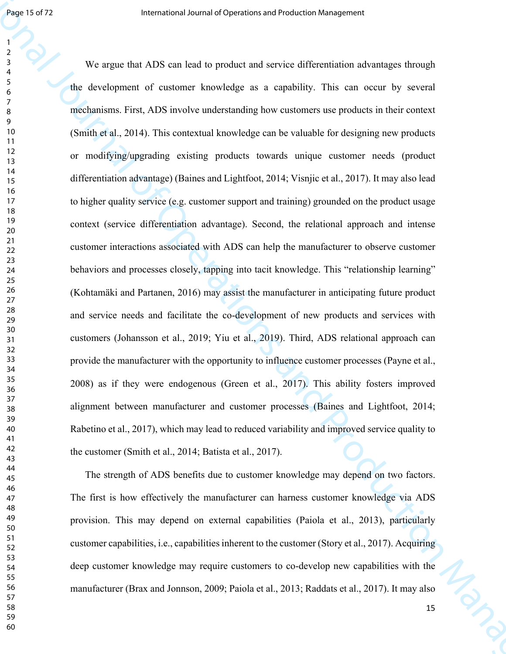**Example 26**<br> **Example 26**<br> **Example 26**<br> **Example 26**<br> **Example 26**<br> **Example 26**<br> **Example 26**<br> **One developeration of exertence interesting inter-national advertiser by several and<br>**  $\epsilon$  **interfamental Final ADS involve** We argue that ADS can lead to product and service differentiation advantages through the development of customer knowledge as a capability. This can occur by several mechanisms. First, ADS involve understanding how customers use products in their context (Smith et al., 2014). This contextual knowledge can be valuable for designing new products or modifying/upgrading existing products towards unique customer needs (product differentiation advantage) (Baines and Lightfoot, 2014; Visnjic et al., 2017). It may also lead to higher quality service (e.g. customer support and training) grounded on the product usage context (service differentiation advantage). Second, the relational approach and intense customer interactions associated with ADS can help the manufacturer to observe customer behaviors and processes closely, tapping into tacit knowledge. This "relationship learning" (Kohtamäki and Partanen, 2016) may assist the manufacturer in anticipating future product and service needs and facilitate the co-development of new products and services with customers (Johansson et al., 2019; Yiu et al., 2019). Third, ADS relational approach can provide the manufacturer with the opportunity to influence customer processes (Payne et al., 2008) as if they were endogenous (Green et al., 2017). This ability fosters improved alignment between manufacturer and customer processes (Baines and Lightfoot, 2014; Rabetino et al., 2017), which may lead to reduced variability and improved service quality to the customer (Smith et al., 2014; Batista et al., 2017).

The strength of ADS benefits due to customer knowledge may depend on two factors. The first is how effectively the manufacturer can harness customer knowledge via ADS provision. This may depend on external capabilities (Paiola et al., 2013), particularly customer capabilities, i.e., capabilities inherent to the customer (Story et al., 2017). Acquiring deep customer knowledge may require customers to co-develop new capabilities with the manufacturer (Brax and Jonnson, 2009; Paiola et al., 2013; Raddats et al., 2017). It may also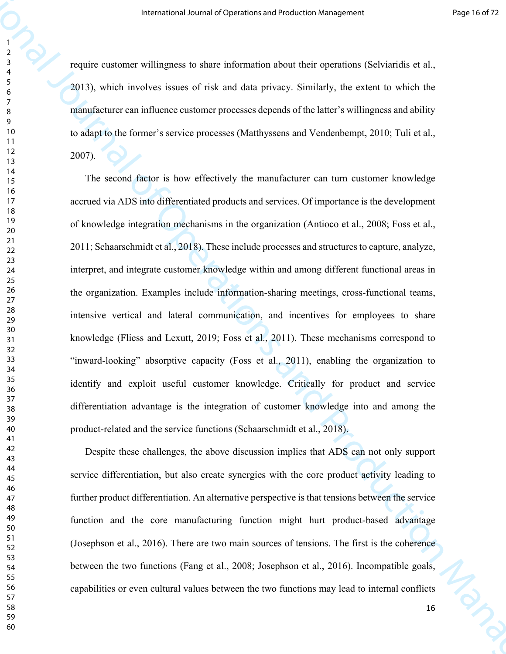require customer willingness to share information about their operations (Selviaridis et al., 2013), which involves issues of risk and data privacy. Similarly, the extent to which the manufacturer can influence customer processes depends of the latter's willingness and ability to adapt to the former's service processes (Matthyssens and Vendenbempt, 2010; Tuli et al., 2007).

**International Journal of Geometric and Production**<br> **Example 2018**<br> **Example 2019**, which involves instes of this and data privacy. Similarly, the create to which the<br>
Journal Journal Journal process and Provider, Simila The second factor is how effectively the manufacturer can turn customer knowledge accrued via ADS into differentiated products and services. Of importance is the development of knowledge integration mechanisms in the organization (Antioco et al., 2008; Foss et al., 2011; Schaarschmidt et al., 2018). These include processes and structures to capture, analyze, interpret, and integrate customer knowledge within and among different functional areas in the organization. Examples include information-sharing meetings, cross-functional teams, intensive vertical and lateral communication, and incentives for employees to share knowledge (Fliess and Lexutt, 2019; Foss et al., 2011). These mechanisms correspond to "inward-looking" absorptive capacity (Foss et al., 2011), enabling the organization to identify and exploit useful customer knowledge. Critically for product and service differentiation advantage is the integration of customer knowledge into and among the product-related and the service functions (Schaarschmidt et al., 2018).

Despite these challenges, the above discussion implies that ADS can not only support service differentiation, but also create synergies with the core product activity leading to further product differentiation. An alternative perspective is that tensions between the service function and the core manufacturing function might hurt product-based advantage (Josephson et al., 2016). There are two main sources of tensions. The first is the coherence between the two functions (Fang et al., 2008; Josephson et al., 2016). Incompatible goals, capabilities or even cultural values between the two functions may lead to internal conflicts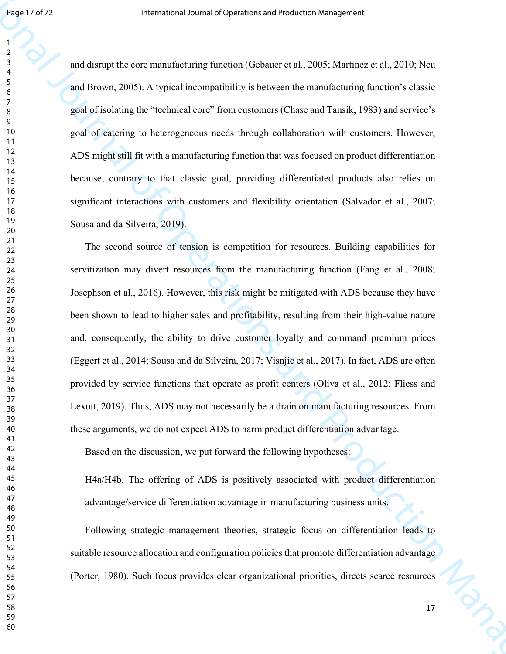and disrupt the core manufacturing function (Gebauer et al., 2005; Martinez et al., 2010; Neu and Brown, 2005). A typical incompatibility is between the manufacturing function's classic goal of isolating the "technical core" from customers (Chase and Tansik, 1983) and service's goal of catering to heterogeneous needs through collaboration with customers. However, ADS might still fit with a manufacturing function that was focused on product differentiation because, contrary to that classic goal, providing differentiated products also relies on significant interactions with customers and flexibility orientation (Salvador et al., 2007; Sousa and da Silveira, 2019).

**Example 21**<br>
International or the content of Operation and Production Scheme et al., 2005; Vannine et al., 2010; Novel<br>
21<br>
22<br>
and Brown, 2005). A repital tacconomistical victoric and Production functions and Production The second source of tension is competition for resources. Building capabilities for servitization may divert resources from the manufacturing function (Fang et al., 2008; Josephson et al., 2016). However, this risk might be mitigated with ADS because they have been shown to lead to higher sales and profitability, resulting from their high-value nature and, consequently, the ability to drive customer loyalty and command premium prices (Eggert et al., 2014; Sousa and da Silveira, 2017; Visnjic et al., 2017). In fact, ADS are often provided by service functions that operate as profit centers (Oliva et al., 2012; Fliess and Lexutt, 2019). Thus, ADS may not necessarily be a drain on manufacturing resources. From these arguments, we do not expect ADS to harm product differentiation advantage.

Based on the discussion, we put forward the following hypotheses:

H4a/H4b. The offering of ADS is positively associated with product differentiation advantage/service differentiation advantage in manufacturing business units.

Following strategic management theories, strategic focus on differentiation leads to suitable resource allocation and configuration policies that promote differentiation advantage (Porter, 1980). Such focus provides clear organizational priorities, directs scarce resources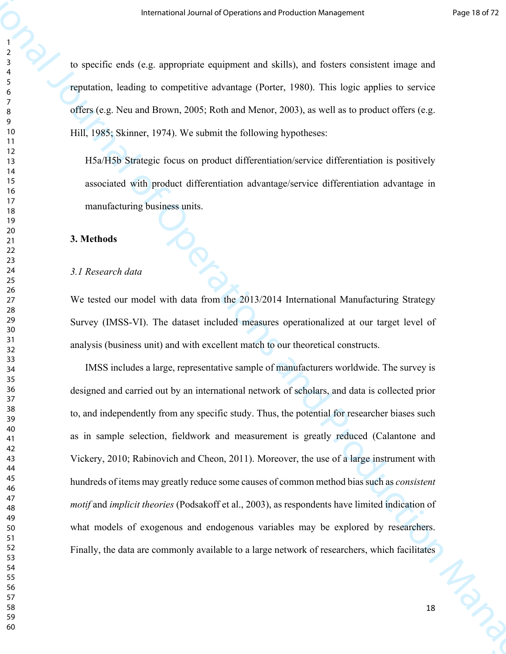to specific ends (e.g. appropriate equipment and skills), and fosters consistent image and reputation, leading to competitive advantage (Porter, 1980). This logic applies to service offers (e.g. Neu and Brown, 2005; Roth and Menor, 2003), as well as to product offers (e.g. Hill, 1985; Skinner, 1974). We submit the following hypotheses:

H5a/H5b Strategic focus on product differentiation/service differentiation is positively associated with product differentiation advantage/service differentiation advantage in manufacturing business units.

#### **3. Methods**

#### *3.1 Research data*

We tested our model with data from the 2013/2014 International Manufacturing Strategy Survey (IMSS-VI). The dataset included measures operationalized at our target level of analysis (business unit) and with excellent match to our theoretical constructs.

**International Journal of Operations are locations and properties and Production Management (APS)**<br> **In the state of C<sub>L</sub> measurement of the SN and Production According to acceler the production Management of Control (198** IMSS includes a large, representative sample of manufacturers worldwide. The survey is designed and carried out by an international network of scholars, and data is collected prior to, and independently from any specific study. Thus, the potential for researcher biases such as in sample selection, fieldwork and measurement is greatly reduced (Calantone and Vickery, 2010; Rabinovich and Cheon, 2011). Moreover, the use of a large instrument with hundreds of items may greatly reduce some causes of common method bias such as *consistent motif* and *implicit theories* (Podsakoff et al., 2003), as respondents have limited indication of what models of exogenous and endogenous variables may be explored by researchers. Finally, the data are commonly available to a large network of researchers, which facilitates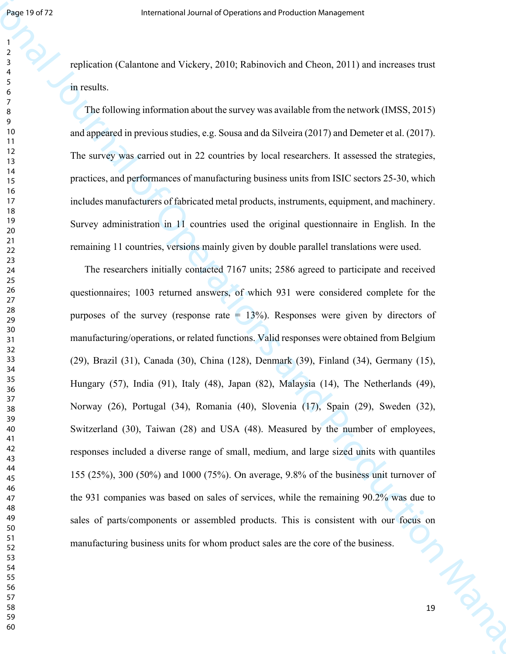replication (Calantone and Vickery, 2010; Rabinovich and Cheon, 2011) and increases trust in results.

The following information about the survey was available from the network (IMSS, 2015) and appeared in previous studies, e.g. Sousa and da Silveira (2017) and Demeter et al. (2017). The survey was carried out in 22 countries by local researchers. It assessed the strategies, practices, and performances of manufacturing business units from ISIC sectors 25-30, which includes manufacturers of fabricated metal products, instruments, equipment, and machinery. Survey administration in 11 countries used the original questionnaire in English. In the remaining 11 countries, versions mainly given by double parallel translations were used.

**Example 19872**<br>
International and Visbery, 2011): Rabinovich and Cheor, 2011) and increases rms:<br>
Interstitutional Columbrica and Visbery, 2016; Rabinovich and Cheor, 2011) and Berenses rms:<br>
Interstitutional System and TIMPTER The researchers initially contacted 7167 units; 2586 agreed to participate and received questionnaires; 1003 returned answers, of which 931 were considered complete for the purposes of the survey (response rate  $= 13\%$ ). Responses were given by directors of manufacturing/operations, or related functions. Valid responses were obtained from Belgium (29), Brazil (31), Canada (30), China (128), Denmark (39), Finland (34), Germany (15), Hungary (57), India (91), Italy (48), Japan (82), Malaysia (14), The Netherlands (49), Norway (26), Portugal (34), Romania (40), Slovenia (17), Spain (29), Sweden (32), Switzerland (30), Taiwan (28) and USA (48). Measured by the number of employees, responses included a diverse range of small, medium, and large sized units with quantiles 155 (25%), 300 (50%) and 1000 (75%). On average, 9.8% of the business unit turnover of the 931 companies was based on sales of services, while the remaining 90.2% was due to sales of parts/components or assembled products. This is consistent with our focus on manufacturing business units for whom product sales are the core of the business.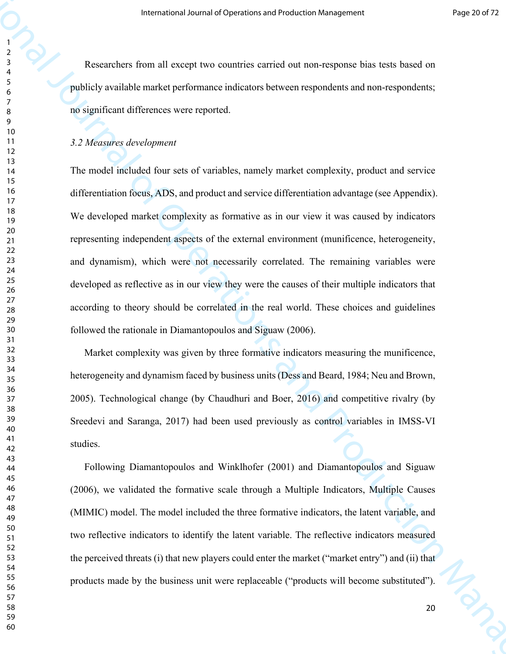Researchers from all except two countries carried out non-response bias tests based on publicly available market performance indicators between respondents and non-respondents; no significant differences were reported.

#### *3.2 Measures development*

**INTERFERIMENT ACCONSULT AND EXCURP CONTINUE CONSULTER CONTINUE CONTINUE CONTINUE CONTINUE CONTINUE CONTINUE CONTINUE CONTINUE CONTINUE CONTINUE CONTINUE CONTINUE CONTINUE CONTINUE CONTINUE CONTINUE CONTINUE CONTINUE CONT** The model included four sets of variables, namely market complexity, product and service differentiation focus, ADS, and product and service differentiation advantage (see Appendix). We developed market complexity as formative as in our view it was caused by indicators representing independent aspects of the external environment (munificence, heterogeneity, and dynamism), which were not necessarily correlated. The remaining variables were developed as reflective as in our view they were the causes of their multiple indicators that according to theory should be correlated in the real world. These choices and guidelines followed the rationale in Diamantopoulos and Siguaw (2006).

Market complexity was given by three formative indicators measuring the munificence, heterogeneity and dynamism faced by business units (Dess and Beard, 1984; Neu and Brown, 2005). Technological change (by Chaudhuri and Boer, 2016) and competitive rivalry (by Sreedevi and Saranga, 2017) had been used previously as control variables in IMSS-VI studies.

Following Diamantopoulos and Winklhofer (2001) and Diamantopoulos and Siguaw (2006), we validated the formative scale through a Multiple Indicators, Multiple Causes (MIMIC) model. The model included the three formative indicators, the latent variable, and two reflective indicators to identify the latent variable. The reflective indicators measured the perceived threats (i) that new players could enter the market ("market entry") and (ii) that products made by the business unit were replaceable ("products will become substituted").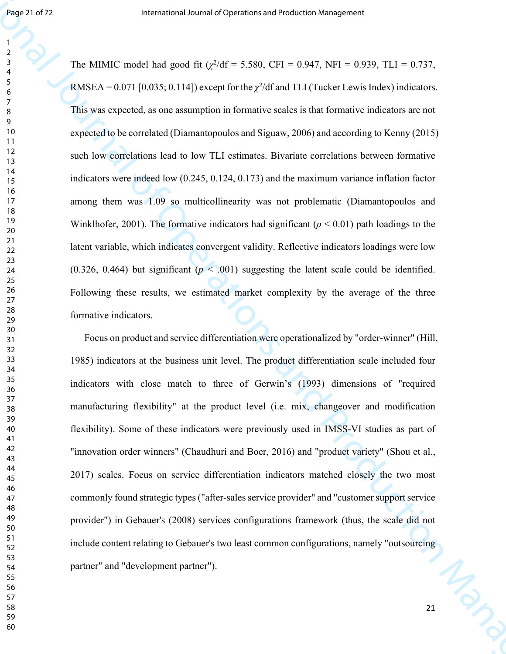**Example 21**<br> **International of Operation and Production System Constrained System Constrained Chemical Dock (Fig. 2013).<br>
The MDMC model had proof the** *G***-31 (Fig. 2017). NRT-1 0.932, NTI = 0.932, TLI = 0.932,<br>
<b>ENISEA** The MIMIC model had good fit  $(\chi^2/\text{df} = 5.580, \text{CFI} = 0.947, \text{NFI} = 0.939, \text{TLI} = 0.737,$ RMSEA =  $0.071$  [0.035; 0.114]) except for the  $\chi^2$ /df and TLI (Tucker Lewis Index) indicators. This was expected, as one assumption in formative scales is that formative indicators are not expected to be correlated (Diamantopoulos and Siguaw, 2006) and according to Kenny (2015) such low correlations lead to low TLI estimates. Bivariate correlations between formative indicators were indeed low (0.245, 0.124, 0.173) and the maximum variance inflation factor among them was 1.09 so multicollinearity was not problematic (Diamantopoulos and Winklhofer, 2001). The formative indicators had significant ( $p < 0.01$ ) path loadings to the latent variable, which indicates convergent validity. Reflective indicators loadings were low (0.326, 0.464) but significant ( $p < .001$ ) suggesting the latent scale could be identified. Following these results, we estimated market complexity by the average of the three formative indicators.

i Manie Focus on product and service differentiation were operationalized by "order-winner" (Hill, 1985) indicators at the business unit level. The product differentiation scale included four indicators with close match to three of Gerwin's (1993) dimensions of "required manufacturing flexibility" at the product level (i.e. mix, changeover and modification flexibility). Some of these indicators were previously used in IMSS-VI studies as part of "innovation order winners" (Chaudhuri and Boer, 2016) and "product variety" (Shou et al., 2017) scales. Focus on service differentiation indicators matched closely the two most commonly found strategic types ("after-sales service provider" and "customer support service provider") in Gebauer's (2008) services configurations framework (thus, the scale did not include content relating to Gebauer's two least common configurations, namely "outsourcing partner" and "development partner").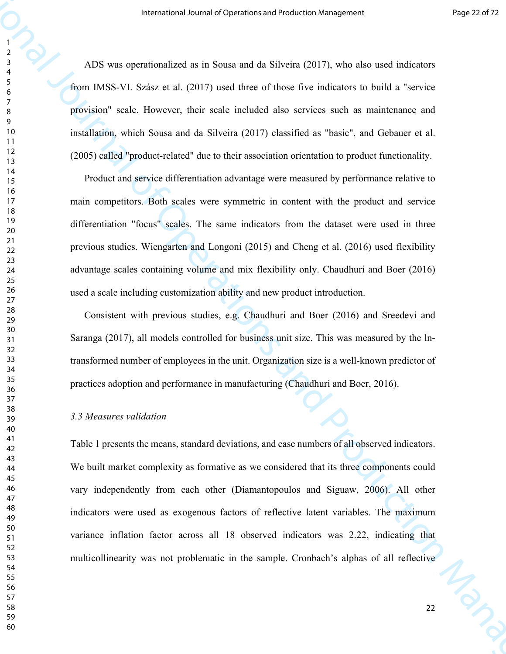ADS was operationalized as in Sousa and da Silveira (2017), who also used indicators from IMSS-VI. Szász et al. (2017) used three of those five indicators to build a "service provision" scale. However, their scale included also services such as maintenance and installation, which Sousa and da Silveira (2017) classified as "basic", and Gebauer et al. (2005) called "product-related" due to their association orientation to product functionality.

**International Journal of Geometrics and Production 2011**<br> **Example 10**<br> **International System and An Source and Production Management Control of Operation Management Production Management Production Management Production** Product and service differentiation advantage were measured by performance relative to main competitors. Both scales were symmetric in content with the product and service differentiation "focus" scales. The same indicators from the dataset were used in three previous studies. Wiengarten and Longoni (2015) and Cheng et al. (2016) used flexibility advantage scales containing volume and mix flexibility only. Chaudhuri and Boer (2016) used a scale including customization ability and new product introduction.

Consistent with previous studies, e.g. Chaudhuri and Boer (2016) and Sreedevi and Saranga (2017), all models controlled for business unit size. This was measured by the lntransformed number of employees in the unit. Organization size is a well-known predictor of practices adoption and performance in manufacturing (Chaudhuri and Boer, 2016).

#### *3.3 Measures validation*

Table 1 presents the means, standard deviations, and case numbers of all observed indicators. We built market complexity as formative as we considered that its three components could vary independently from each other (Diamantopoulos and Siguaw, 2006). All other indicators were used as exogenous factors of reflective latent variables. The maximum variance inflation factor across all 18 observed indicators was 2.22, indicating that multicollinearity was not problematic in the sample. Cronbach's alphas of all reflective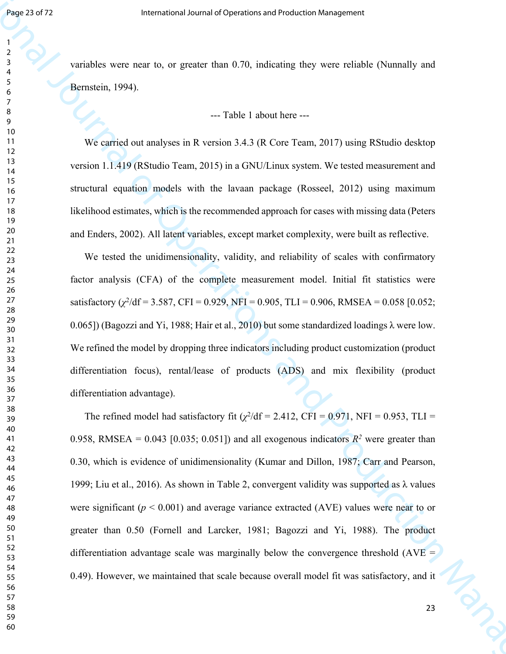variables were near to, or greater than 0.70, indicating they were reliable (Nunnally and Bernstein, 1994).

--- Table 1 about here ---

We carried out analyses in R version 3.4.3 (R Core Team, 2017) using RStudio desktop version 1.1.419 (RStudio Team, 2015) in a GNU/Linux system. We tested measurement and structural equation models with the lavaan package (Rosseel, 2012) using maximum likelihood estimates, which is the recommended approach for cases with missing data (Peters and Enders, 2002). All latent variables, except market complexity, were built as reflective.

We tested the unidimensionality, validity, and reliability of scales with confirmatory factor analysis (CFA) of the complete measurement model. Initial fit statistics were satisfactory ( $\chi^2$ /df = 3.587, CFI = 0.929, NFI = 0.905, TLI = 0.906, RMSEA = 0.058 [0.052; 0.065]) (Bagozzi and Yi, 1988; Hair et al., 2010) but some standardized loadings λ were low. We refined the model by dropping three indicators including product customization (product differentiation focus), rental/lease of products (ADS) and mix flexibility (product differentiation advantage).

**Example 20**<br> **Example 20**<br> **Example 20**<br> **Example 20**<br> **Example 20**<br> **Example 20**<br> **Example 20**<br> **Example 20**<br> **Example 20**<br> **Example 20**<br> **Example 20**<br> **Example 20**<br> **Example 20**<br> **Example 20**<br> **Example 20**<br> **Example 20** The refined model had satisfactory fit  $(\chi^2/df = 2.412, CFI = 0.971, NFI = 0.953, TLI =$ 0.958, RMSEA = 0.043 [0.035; 0.051]) and all exogenous indicators  $R^2$  were greater than 0.30, which is evidence of unidimensionality (Kumar and Dillon, 1987; Carr and Pearson, 1999; Liu et al., 2016). As shown in Table 2, convergent validity was supported as λ values were significant ( $p < 0.001$ ) and average variance extracted (AVE) values were near to or greater than 0.50 (Fornell and Larcker, 1981; Bagozzi and Yi, 1988). The product differentiation advantage scale was marginally below the convergence threshold  $(AVE =$ 0.49). However, we maintained that scale because overall model fit was satisfactory, and it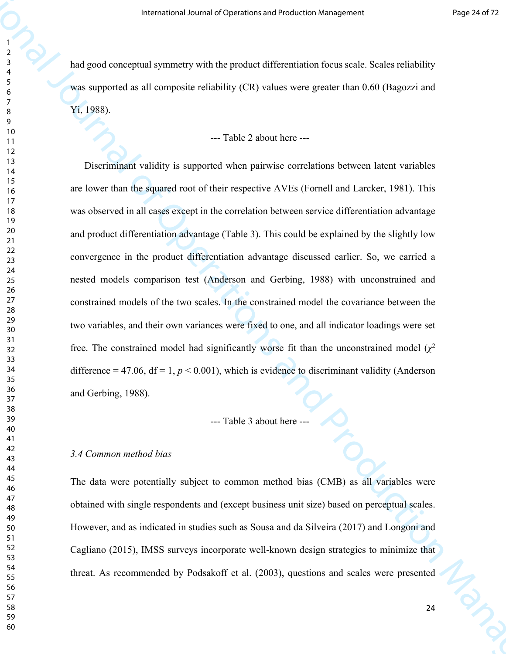had good conceptual symmetry with the product differentiation focus scale. Scales reliability was supported as all composite reliability (CR) values were greater than 0.60 (Bagozzi and Yi, 1988).

# --- Table 2 about here ---

**International Journal of Geometric and Procedures and Productional Chemistry and Production Section 2013**<br>
Independent of Operational Schemester with the product differentiation forces and Productions and Production Mana Discriminant validity is supported when pairwise correlations between latent variables are lower than the squared root of their respective AVEs (Fornell and Larcker, 1981). This was observed in all cases except in the correlation between service differentiation advantage and product differentiation advantage (Table 3). This could be explained by the slightly low convergence in the product differentiation advantage discussed earlier. So, we carried a nested models comparison test (Anderson and Gerbing, 1988) with unconstrained and constrained models of the two scales. In the constrained model the covariance between the two variables, and their own variances were fixed to one, and all indicator loadings were set free. The constrained model had significantly worse fit than the unconstrained model  $(\chi^2)$ difference = 47.06,  $df = 1$ ,  $p < 0.001$ ), which is evidence to discriminant validity (Anderson and Gerbing, 1988).

# --- Table 3 about here ---

#### *3.4 Common method bias*

The data were potentially subject to common method bias (CMB) as all variables were obtained with single respondents and (except business unit size) based on perceptual scales. However, and as indicated in studies such as Sousa and da Silveira (2017) and Longoni and Cagliano (2015), IMSS surveys incorporate well-known design strategies to minimize that threat. As recommended by Podsakoff et al. (2003), questions and scales were presented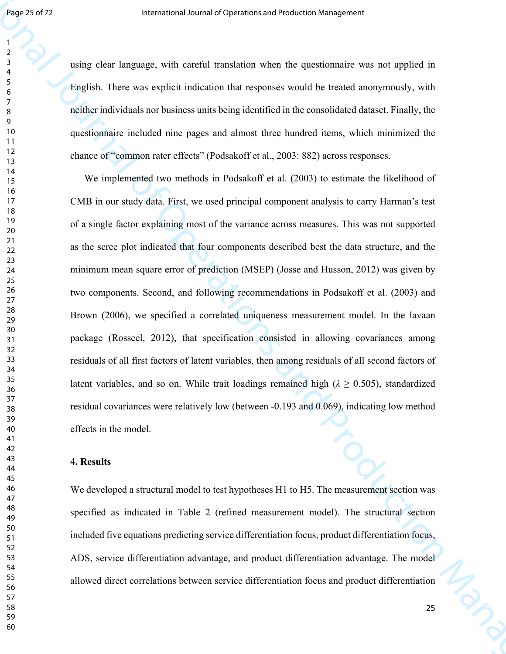using clear language, with careful translation when the questionnaire was not applied in English. There was explicit indication that responses would be treated anonymously, with neither individuals nor business units being identified in the consolidated dataset. Finally, the questionnaire included nine pages and almost three hundred items, which minimized the chance of "common rater effects" (Podsakoff et al., 2003: 882) across responses.

**Example 20**<br> **Example 20**<br> **Example 20**<br> **Example 20**<br> **Example 20**<br> **Example 20**<br> **Example 20**<br> **Example 3**<br> **Example 3**<br> **Example 3**<br> **Example 3**<br> **Example 3**<br> **Example 3**<br> **Example 3**<br> **Example 3**<br> **Example 3**<br> **Examp** We implemented two methods in Podsakoff et al. (2003) to estimate the likelihood of CMB in our study data. First, we used principal component analysis to carry Harman's test of a single factor explaining most of the variance across measures. This was not supported as the scree plot indicated that four components described best the data structure, and the minimum mean square error of prediction (MSEP) (Josse and Husson, 2012) was given by two components. Second, and following recommendations in Podsakoff et al. (2003) and Brown (2006), we specified a correlated uniqueness measurement model. In the lavaan package (Rosseel, 2012), that specification consisted in allowing covariances among residuals of all first factors of latent variables, then among residuals of all second factors of latent variables, and so on. While trait loadings remained high  $(\lambda > 0.505)$ , standardized residual covariances were relatively low (between -0.193 and 0.069), indicating low method effects in the model.

#### **4. Results**

We developed a structural model to test hypotheses H1 to H5. The measurement section was specified as indicated in Table 2 (refined measurement model). The structural section included five equations predicting service differentiation focus, product differentiation focus, ADS, service differentiation advantage, and product differentiation advantage. The model allowed direct correlations between service differentiation focus and product differentiation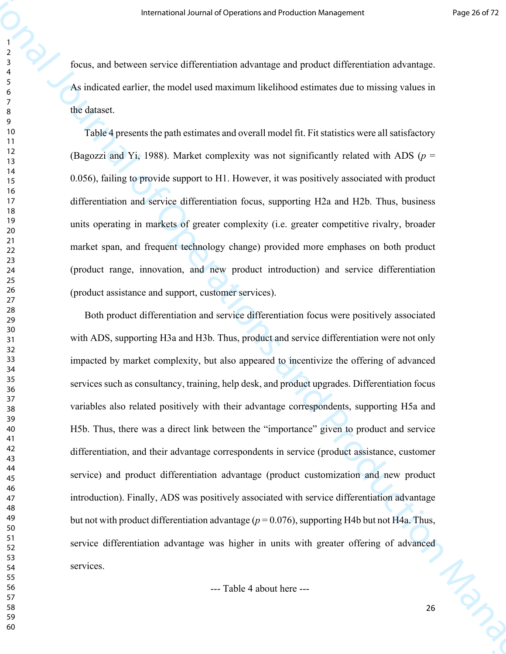focus, and between service differentiation advantage and product differentiation advantage. As indicated earlier, the model used maximum likelihood estimates due to missing values in the dataset.

Table 4 presents the path estimates and overall model fit. Fit statistics were all satisfactory (Bagozzi and Yi, 1988). Market complexity was not significantly related with ADS ( $p =$ 0.056), failing to provide support to H1. However, it was positively associated with product differentiation and service differentiation focus, supporting H2a and H2b. Thus, business units operating in markets of greater complexity (i.e. greater competitive rivalry, broader market span, and frequent technology change) provided more emphases on both product (product range, innovation, and new product introduction) and service differentiation (product assistance and support, customer services).

International Journal of Operators are freedominal or the magnitude of Production<br>
2 Accor, and between tervides differentiation advantage and product differentiation misters in<br>
3 As indicates calibre the condition miste MARIA Both product differentiation and service differentiation focus were positively associated with ADS, supporting H3a and H3b. Thus, product and service differentiation were not only impacted by market complexity, but also appeared to incentivize the offering of advanced services such as consultancy, training, help desk, and product upgrades. Differentiation focus variables also related positively with their advantage correspondents, supporting H5a and H5b. Thus, there was a direct link between the "importance" given to product and service differentiation, and their advantage correspondents in service (product assistance, customer service) and product differentiation advantage (product customization and new product introduction). Finally, ADS was positively associated with service differentiation advantage but not with product differentiation advantage ( $p = 0.076$ ), supporting H4b but not H4a. Thus, service differentiation advantage was higher in units with greater offering of advanced services.

--- Table 4 about here ---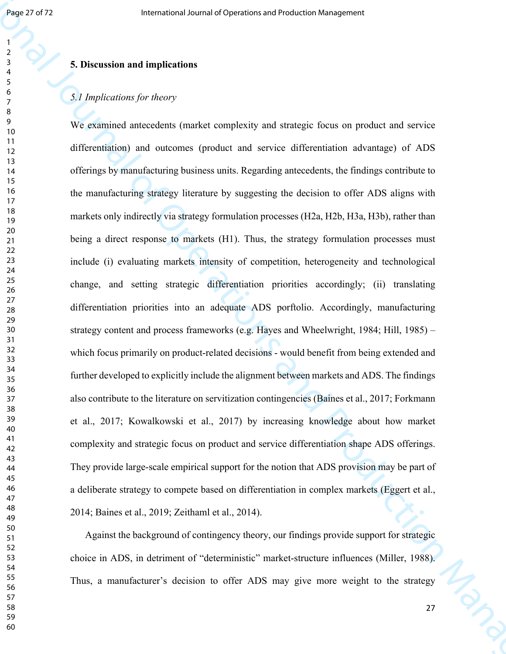# **5. Discussion and implications**

# *5.1 Implications for theory*

**Example 27 of 72**<br> **Example and implications**<br> **Example and implications**<br> **Example and implications**<br> **Example and implications**<br> **Example and international of Operation** Management Community and internation Management We examined antecedents (market complexity and strategic focus on product and service differentiation) and outcomes (product and service differentiation advantage) of ADS offerings by manufacturing business units. Regarding antecedents, the findings contribute to the manufacturing strategy literature by suggesting the decision to offer ADS aligns with markets only indirectly via strategy formulation processes (H2a, H2b, H3a, H3b), rather than being a direct response to markets (H1). Thus, the strategy formulation processes must include (i) evaluating markets intensity of competition, heterogeneity and technological change, and setting strategic differentiation priorities accordingly; (ii) translating differentiation priorities into an adequate ADS porftolio. Accordingly, manufacturing strategy content and process frameworks (e.g. Hayes and Wheelwright, 1984; Hill, 1985) – which focus primarily on product-related decisions - would benefit from being extended and further developed to explicitly include the alignment between markets and ADS. The findings also contribute to the literature on servitization contingencies (Baines et al., 2017; Forkmann et al., 2017; Kowalkowski et al., 2017) by increasing knowledge about how market complexity and strategic focus on product and service differentiation shape ADS offerings. They provide large-scale empirical support for the notion that ADS provision may be part of a deliberate strategy to compete based on differentiation in complex markets (Eggert et al., 2014; Baines et al., 2019; Zeithaml et al., 2014).

Against the background of contingency theory, our findings provide support for strategic choice in ADS, in detriment of "deterministic" market-structure influences (Miller, 1988). Thus, a manufacturer's decision to offer ADS may give more weight to the strategy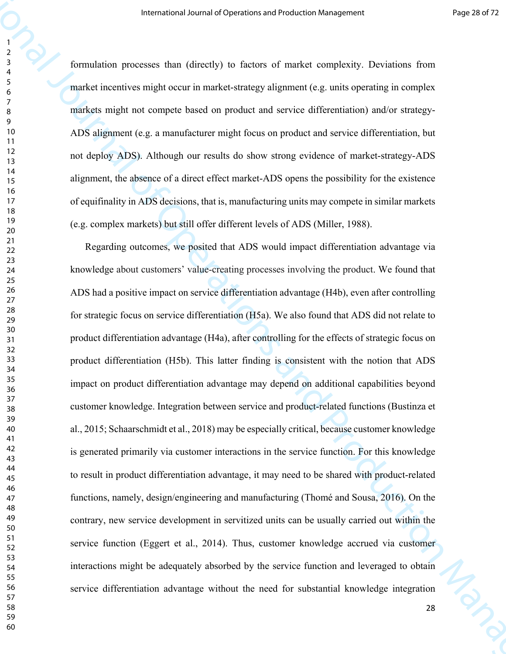formulation processes than (directly) to factors of market complexity. Deviations from market incentives might occur in market-strategy alignment (e.g. units operating in complex markets might not compete based on product and service differentiation) and/or strategy-ADS alignment (e.g. a manufacturer might focus on product and service differentiation, but not deploy ADS). Although our results do show strong evidence of market-strategy-ADS alignment, the absence of a direct effect market-ADS opens the possibility for the existence of equifinality in ADS decisions, that is, manufacturing units may compete in similar markets (e.g. complex markets) but still offer different levels of ADS (Miller, 1988).

**International Journal of Operation:** or Procedure The Production Formula Complete Constant Complete Constant Complete Constant Complete Constant Complete Constant Complete Constant Complete Constant Complete Constant Com Regarding outcomes, we posited that ADS would impact differentiation advantage via knowledge about customers' value-creating processes involving the product. We found that ADS had a positive impact on service differentiation advantage (H4b), even after controlling for strategic focus on service differentiation (H5a). We also found that ADS did not relate to product differentiation advantage (H4a), after controlling for the effects of strategic focus on product differentiation (H5b). This latter finding is consistent with the notion that ADS impact on product differentiation advantage may depend on additional capabilities beyond customer knowledge. Integration between service and product-related functions (Bustinza et al., 2015; Schaarschmidt et al., 2018) may be especially critical, because customer knowledge is generated primarily via customer interactions in the service function. For this knowledge to result in product differentiation advantage, it may need to be shared with product-related functions, namely, design/engineering and manufacturing (Thomé and Sousa, 2016). On the contrary, new service development in servitized units can be usually carried out within the service function (Eggert et al., 2014). Thus, customer knowledge accrued via customer interactions might be adequately absorbed by the service function and leveraged to obtain service differentiation advantage without the need for substantial knowledge integration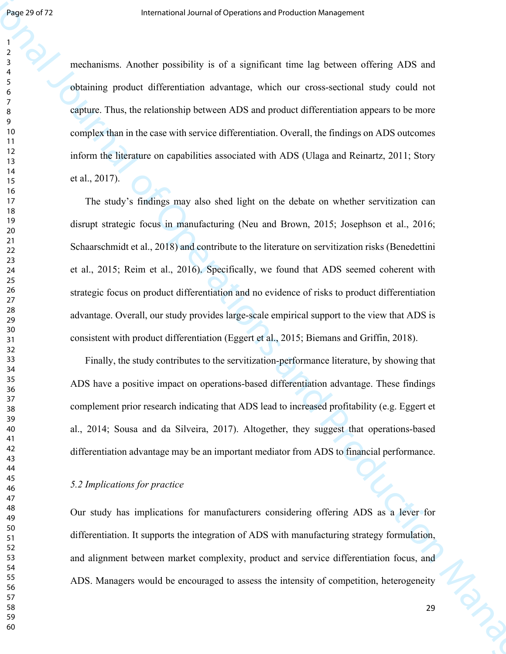mechanisms. Another possibility is of a significant time lag between offering ADS and obtaining product differentiation advantage, which our cross-sectional study could not capture. Thus, the relationship between ADS and product differentiation appears to be more complex than in the case with service differentiation. Overall, the findings on ADS outcomes inform the literature on capabilities associated with ADS (Ulaga and Reinartz, 2011; Story et al., 2017).

**Example 20 of 72**<br>
International Another possibility is of a significant time lag between offering ADS and<br> **Consistence** Another Symbolical accountage, which are consistened anoto consider a<br>
Consisting recoluncial dist The study's findings may also shed light on the debate on whether servitization can disrupt strategic focus in manufacturing (Neu and Brown, 2015; Josephson et al., 2016; Schaarschmidt et al., 2018) and contribute to the literature on servitization risks (Benedettini et al., 2015; Reim et al., 2016). Specifically, we found that ADS seemed coherent with strategic focus on product differentiation and no evidence of risks to product differentiation advantage. Overall, our study provides large-scale empirical support to the view that ADS is consistent with product differentiation (Eggert et al., 2015; Biemans and Griffin, 2018).

Finally, the study contributes to the servitization-performance literature, by showing that ADS have a positive impact on operations-based differentiation advantage. These findings complement prior research indicating that ADS lead to increased profitability (e.g. Eggert et al., 2014; Sousa and da Silveira, 2017). Altogether, they suggest that operations-based differentiation advantage may be an important mediator from ADS to financial performance.

#### *5.2 Implications for practice*

Our study has implications for manufacturers considering offering ADS as a lever for differentiation. It supports the integration of ADS with manufacturing strategy formulation, and alignment between market complexity, product and service differentiation focus, and ADS. Managers would be encouraged to assess the intensity of competition, heterogeneity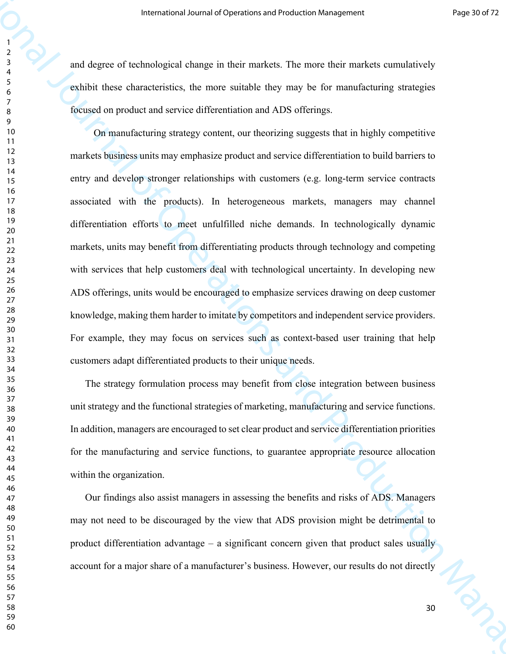and degree of technological change in their markets. The more their markets cumulatively exhibit these characteristics, the more suitable they may be for manufacturing strategies focused on product and service differentiation and ADS offerings.

**International Journal of Operation:** are Proceeding Nanaparty:<br> **Example 18**<br> **International of Operation** Scheme in their markets, the more their market annual<br>theory of the Management and ADS of Damps.<br>
The manufacturi On manufacturing strategy content, our theorizing suggests that in highly competitive markets business units may emphasize product and service differentiation to build barriers to entry and develop stronger relationships with customers (e.g. long-term service contracts associated with the products). In heterogeneous markets, managers may channel differentiation efforts to meet unfulfilled niche demands. In technologically dynamic markets, units may benefit from differentiating products through technology and competing with services that help customers deal with technological uncertainty. In developing new ADS offerings, units would be encouraged to emphasize services drawing on deep customer knowledge, making them harder to imitate by competitors and independent service providers. For example, they may focus on services such as context-based user training that help customers adapt differentiated products to their unique needs.

The strategy formulation process may benefit from close integration between business unit strategy and the functional strategies of marketing, manufacturing and service functions. In addition, managers are encouraged to set clear product and service differentiation priorities for the manufacturing and service functions, to guarantee appropriate resource allocation within the organization.

Our findings also assist managers in assessing the benefits and risks of ADS. Managers may not need to be discouraged by the view that ADS provision might be detrimental to product differentiation advantage – a significant concern given that product sales usually account for a major share of a manufacturer's business. However, our results do not directly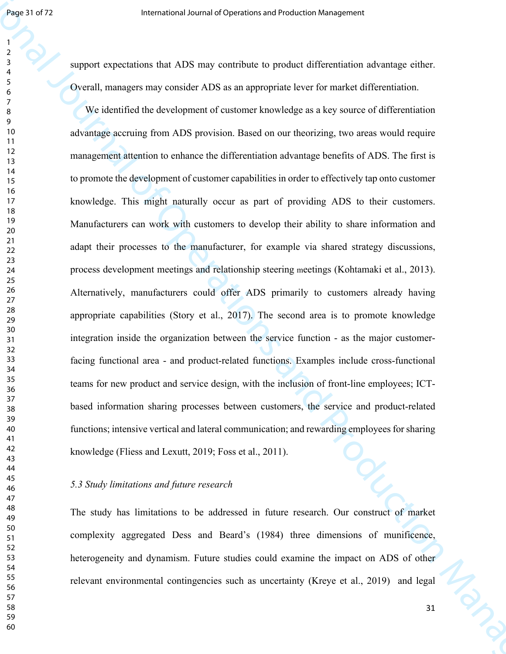support expectations that ADS may contribute to product differentiation advantage either. Overall, managers may consider ADS as an appropriate lever for market differentiation.

**Example 21**<br> **Example 18 The Constrainer of Constrainer and Production Constrainer and American Constrainer and American Department<br>
21 Operation management and ADS provides a Law of Operation Constrainer and<br>
22 Operati** We identified the development of customer knowledge as a key source of differentiation advantage accruing from ADS provision. Based on our theorizing, two areas would require management attention to enhance the differentiation advantage benefits of ADS. The first is to promote the development of customer capabilities in order to effectively tap onto customer knowledge. This might naturally occur as part of providing ADS to their customers. Manufacturers can work with customers to develop their ability to share information and adapt their processes to the manufacturer, for example via shared strategy discussions, process development meetings and relationship steering meetings (Kohtamaki et al., 2013). Alternatively, manufacturers could offer ADS primarily to customers already having appropriate capabilities (Story et al., 2017). The second area is to promote knowledge integration inside the organization between the service function - as the major customerfacing functional area - and product-related functions. Examples include cross-functional teams for new product and service design, with the inclusion of front-line employees; ICTbased information sharing processes between customers, the service and product-related functions; intensive vertical and lateral communication; and rewarding employees for sharing knowledge (Fliess and Lexutt, 2019; Foss et al., 2011).

#### *5.3 Study limitations and future research*

The study has limitations to be addressed in future research. Our construct of market complexity aggregated Dess and Beard's (1984) three dimensions of munificence, heterogeneity and dynamism. Future studies could examine the impact on ADS of other relevant environmental contingencies such as uncertainty (Kreye et al., 2019) and legal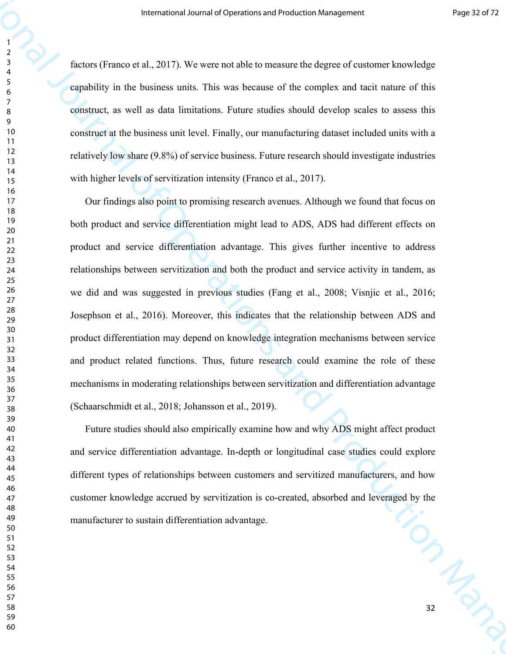factors (Franco et al., 2017). We were not able to measure the degree of customer knowledge capability in the business units. This was because of the complex and tacit nature of this construct, as well as data limitations. Future studies should develop scales to assess this construct at the business unit level. Finally, our manufacturing dataset included units with a relatively low share (9.8%) of service business. Future research should investigate industries with higher levels of servitization intensity (Franco et al., 2017).

International Journal of Geometrics and Production Christian Figure 1982<br>
1982<br>
1982<br>
1982<br>
1992<br>
1992<br>
1992<br>
1993<br>
1993<br>
1993<br>
1993<br>
1993<br>
1993<br>
1993<br>
1993<br>
1993<br>
1993<br>
1993<br>
1993<br>
1993<br>
1993<br>
1993<br>
1993<br>
1993<br>
1993<br>
199 Our findings also point to promising research avenues. Although we found that focus on both product and service differentiation might lead to ADS, ADS had different effects on product and service differentiation advantage. This gives further incentive to address relationships between servitization and both the product and service activity in tandem, as we did and was suggested in previous studies (Fang et al., 2008; Visnjic et al., 2016; Josephson et al., 2016). Moreover, this indicates that the relationship between ADS and product differentiation may depend on knowledge integration mechanisms between service and product related functions. Thus, future research could examine the role of these mechanisms in moderating relationships between servitization and differentiation advantage (Schaarschmidt et al., 2018; Johansson et al., 2019).

TOMBON Future studies should also empirically examine how and why ADS might affect product and service differentiation advantage. In-depth or longitudinal case studies could explore different types of relationships between customers and servitized manufacturers, and how customer knowledge accrued by servitization is co-created, absorbed and leveraged by the manufacturer to sustain differentiation advantage.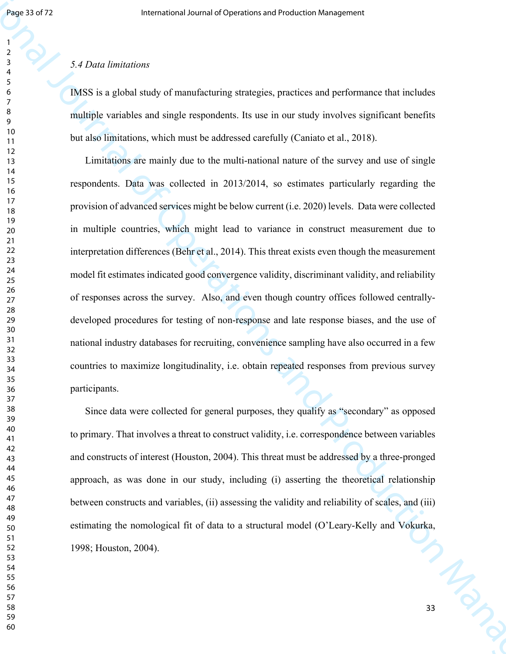# *5.4 Data limitations*

IMSS is a global study of manufacturing strategies, practices and performance that includes multiple variables and single respondents. Its use in our study involves significant benefits but also limitations, which must be addressed carefully (Caniato et al., 2018).

**Example 22**<br>
International of Operations are Freedom interactions and problements that monitors and problements that monitors and the controller interactions the controller specificant benefits but also functions which m Limitations are mainly due to the multi-national nature of the survey and use of single respondents. Data was collected in 2013/2014, so estimates particularly regarding the provision of advanced services might be below current (i.e. 2020) levels. Data were collected in multiple countries, which might lead to variance in construct measurement due to interpretation differences (Behr et al., 2014). This threat exists even though the measurement model fit estimates indicated good convergence validity, discriminant validity, and reliability of responses across the survey. Also, and even though country offices followed centrallydeveloped procedures for testing of non-response and late response biases, and the use of national industry databases for recruiting, convenience sampling have also occurred in a few countries to maximize longitudinality, i.e. obtain repeated responses from previous survey participants.

Important Since data were collected for general purposes, they qualify as "secondary" as opposed to primary. That involves a threat to construct validity, i.e. correspondence between variables and constructs of interest (Houston, 2004). This threat must be addressed by a three-pronged approach, as was done in our study, including (i) asserting the theoretical relationship between constructs and variables, (ii) assessing the validity and reliability of scales, and (iii) estimating the nomological fit of data to a structural model (O'Leary-Kelly and Vokurka, 1998; Houston, 2004).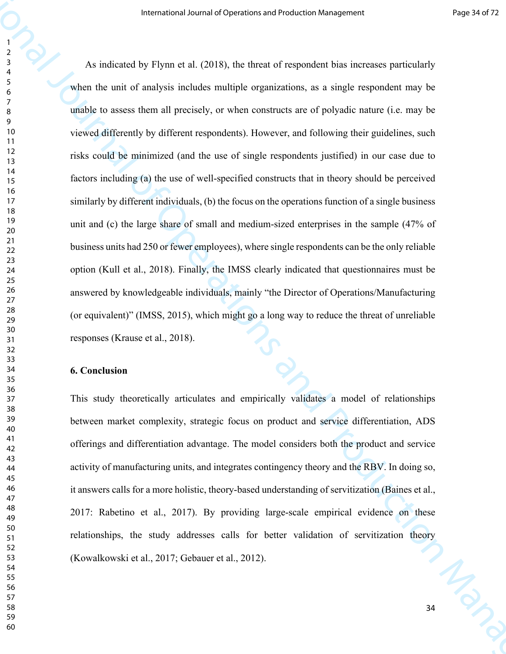**International Journal of Operation:** are Protocotion Nanoparters<br> **Example 18**<br>
As indicated by Flyen at al. (2018), the cheral of Franchette hairs international probability<br>
which the unit of Management Management Manag As indicated by Flynn et al. (2018), the threat of respondent bias increases particularly when the unit of analysis includes multiple organizations, as a single respondent may be unable to assess them all precisely, or when constructs are of polyadic nature (i.e. may be viewed differently by different respondents). However, and following their guidelines, such risks could be minimized (and the use of single respondents justified) in our case due to factors including (a) the use of well-specified constructs that in theory should be perceived similarly by different individuals, (b) the focus on the operations function of a single business unit and (c) the large share of small and medium-sized enterprises in the sample (47% of business units had 250 or fewer employees), where single respondents can be the only reliable option (Kull et al., 2018). Finally, the IMSS clearly indicated that questionnaires must be answered by knowledgeable individuals, mainly "the Director of Operations/Manufacturing (or equivalent)" (IMSS, 2015), which might go a long way to reduce the threat of unreliable responses (Krause et al., 2018).

# **6. Conclusion**

THE R This study theoretically articulates and empirically validates a model of relationships between market complexity, strategic focus on product and service differentiation, ADS offerings and differentiation advantage. The model considers both the product and service activity of manufacturing units, and integrates contingency theory and the RBV. In doing so, it answers calls for a more holistic, theory-based understanding of servitization (Baines et al., 2017: Rabetino et al., 2017). By providing large-scale empirical evidence on these relationships, the study addresses calls for better validation of servitization theory (Kowalkowski et al., 2017; Gebauer et al., 2012).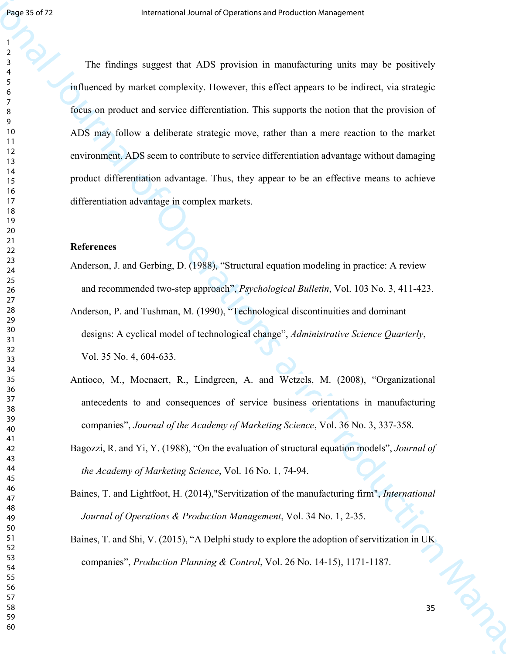**Example 22 of 72**<br>
The findings support that ATS provides in manufacturity units may be positively<br>
The findings support that ATS provides in manufacturity units may be positively<br>
Journal of the matter strengths energy The findings suggest that ADS provision in manufacturing units may be positively influenced by market complexity. However, this effect appears to be indirect, via strategic focus on product and service differentiation. This supports the notion that the provision of ADS may follow a deliberate strategic move, rather than a mere reaction to the market environment. ADS seem to contribute to service differentiation advantage without damaging product differentiation advantage. Thus, they appear to be an effective means to achieve differentiation advantage in complex markets.

#### **References**

Anderson, J. and Gerbing, D. (1988), "Structural equation modeling in practice: A review and recommended two-step approach", *Psychological Bulletin*, Vol. 103 No. 3, 411-423.

- Anderson, P. and Tushman, M. (1990), "Technological discontinuities and dominant designs: A cyclical model of technological change", *Administrative Science Quarterly*, Vol. 35 No. 4, 604-633.
- Antioco, M., Moenaert, R., Lindgreen, A. and Wetzels, M. (2008), "Organizational antecedents to and consequences of service business orientations in manufacturing companies", *Journal of the Academy of Marketing Science*, Vol. 36 No. 3, 337-358.
- Bagozzi, R. and Yi, Y. (1988), "On the evaluation of structural equation models", *Journal of the Academy of Marketing Science*, Vol. 16 No. 1, 74-94.
- Baines, T. and Lightfoot, H. (2014),"Servitization of the manufacturing firm", *International Journal of Operations & Production Management*, Vol. 34 No. 1, 2-35.
- Baines, T. and Shi, V. (2015), "A Delphi study to explore the adoption of servitization in UK companies", *Production Planning & Control*, Vol. 26 No. 14-15), 1171-1187.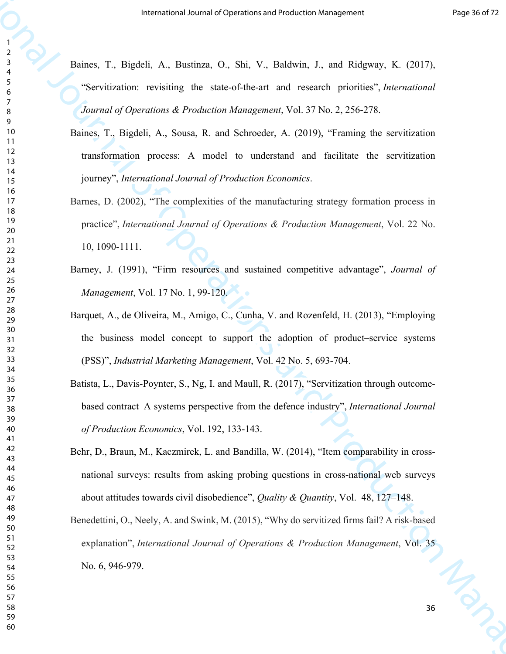- Baines, T., Bigdeli, A., Bustinza, O., Shi, V., Baldwin, J., and Ridgway, K. (2017), "Servitization: revisiting the state-of-the-art and research priorities", *International Journal of Operations & Production Management*, Vol. 37 No. 2, 256-278.
- Baines, T., Bigdeli, A., Sousa, R. and Schroeder, A. (2019), "Framing the servitization transformation process: A model to understand and facilitate the servitization journey", *International Journal of Production Economics*.
- Barnes, D. (2002), "The complexities of the manufacturing strategy formation process in practice", *International Journal of Operations & Production Management*, Vol. 22 No. 10, 1090-1111.
- Barney, J. (1991), "Firm resources and sustained competitive advantage", *Journal of Management*, Vol. 17 No. 1, 99-120.
- Barquet, A., de Oliveira, M., Amigo, C., Cunha, V. and Rozenfeld, H. (2013), "Employing the business model concept to support the adoption of product–service systems (PSS)", *Industrial Marketing Management*, Vol. 42 No. 5, 693-704.
- Batista, L., Davis-Poynter, S., Ng, I. and Maull, R. (2017), "Servitization through outcomebased contract–A systems perspective from the defence industry", *International Journal of Production Economics*, Vol. 192, 133-143.
- **Example 22**<br>
International Journal of Operation are Procedures and Polymeum (R. 2017),<br> **Pairing, T.**, Riggleb, A., Reunice, O., Sal, V., Reubert, D., and Ridgewer, K. (2017),<br>
Servicestone, existing the anti-sel-functio Behr, D., Braun, M., Kaczmirek, L. and Bandilla, W. (2014), "Item comparability in crossnational surveys: results from asking probing questions in cross-national web surveys about attitudes towards civil disobedience", *Quality & Quantity*, Vol. 48, 127–148.
	- Benedettini, O., Neely, A. and Swink, M. (2015), "Why do servitized firms fail? A risk-based explanation", *International Journal of Operations & Production Management*, Vol. 35 No. 6, 946-979.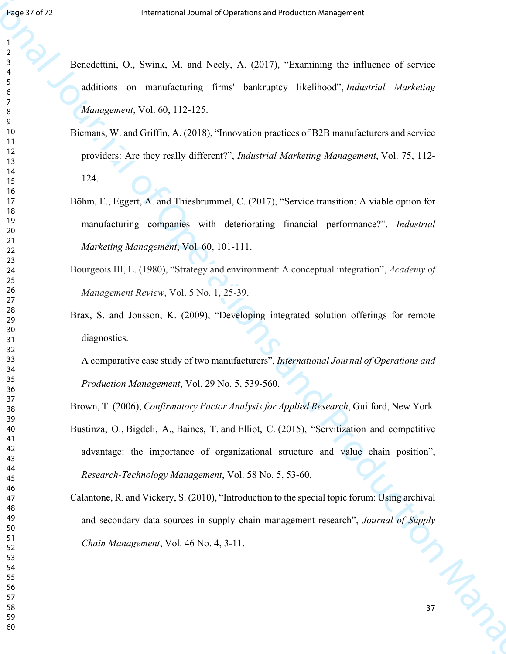Benedettini, O., Swink, M. and Neely, A. (2017), "Examining the influence of service additions on manufacturing firms' bankruptcy likelihood", *Industrial Marketing Management*, Vol. 60, 112-125.

- Biemans, W. and Griffin, A. (2018), "Innovation practices of B2B manufacturers and service providers: Are they really different?", *Industrial Marketing Management*, Vol. 75, 112- 124.
- **Frage 27 d 72**<br> **International Alexander State And North, A. (2012), The annihing the followers of service<br>
2. A fluencement Vol. 60, 112-125,<br>
<b>International Management Vol. 60, 112-125**,<br> **International Management Vol.** Böhm, E., Eggert, A. and Thiesbrummel, C. (2017), "Service transition: A viable option for manufacturing companies with deteriorating financial performance?", *Industrial Marketing Management*, Vol. 60, 101-111.
	- Bourgeois III, L. (1980), "Strategy and environment: A conceptual integration", *Academy of Management Review*, Vol. 5 No. 1, 25-39.
	- Brax, S. and Jonsson, K. (2009), "Developing integrated solution offerings for remote diagnostics.

A comparative case study of two manufacturers", *International Journal of Operations and Production Management*, Vol. 29 No. 5, 539-560.

Brown, T. (2006), *Confirmatory Factor Analysis for Applied Research*, Guilford, New York.

- Bustinza, O., Bigdeli, A., Baines, T. and Elliot, C. (2015), "Servitization and competitive advantage: the importance of organizational structure and value chain position", *Research-Technology Management*, Vol. 58 No. 5, 53-60.
- man of Calantone, R. and Vickery, S. (2010), "Introduction to the special topic forum: Using archival and secondary data sources in supply chain management research", *Journal of Supply Chain Management*, Vol. 46 No. 4, 3-11.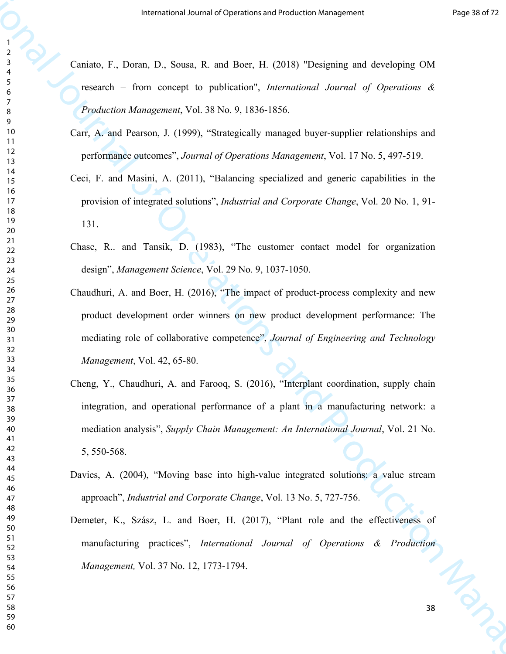Caniato, F., Doran, D., Sousa, R. and Boer, H. (2018) "Designing and developing OM research – from concept to publication", *International Journal of Operations & Production Management*, Vol. 38 No. 9, 1836-1856.

- Carr, A. and Pearson, J. (1999), "Strategically managed buyer-supplier relationships and performance outcomes", *Journal of Operations Management*, Vol. 17 No. 5, 497-519.
- Ceci, F. and Masini, A. (2011), "Balancing specialized and generic capabilities in the provision of integrated solutions", *Industrial and Corporate Change*, Vol. 20 No. 1, 91- 131.
- Chase, R.. and Tansik, D. (1983), "The customer contact model for organization design", *Management Science*, Vol. 29 No. 9, 1037-1050.
- Chaudhuri, A. and Boer, H. (2016), "The impact of product-process complexity and new product development order winners on new product development performance: The mediating role of collaborative competence", *Journal of Engineering and Technology Management*, Vol. 42, 65-80.
- **Example 20.** Example 20. Example 20. Example 20. Example 20. Example 20. Example 20. Controller Controller 20. Example 20. Controller 20. Alternative 20. The Controller 20. The Controller 20. The Controller 20. The Contr Cheng, Y., Chaudhuri, A. and Farooq, S. (2016), "Interplant coordination, supply chain integration, and operational performance of a plant in a manufacturing network: a mediation analysis", *Supply Chain Management: An International Journal*, Vol. 21 No. 5, 550-568.
	- Davies, A. (2004), "Moving base into high-value integrated solutions: a value stream approach", *Industrial and Corporate Change*, Vol. 13 No. 5, 727-756.
	- Demeter, K., Szász, L. and Boer, H. (2017), "Plant role and the effectiveness of manufacturing practices", *International Journal of Operations & Production Management,* Vol. 37 No. 12, 1773-1794.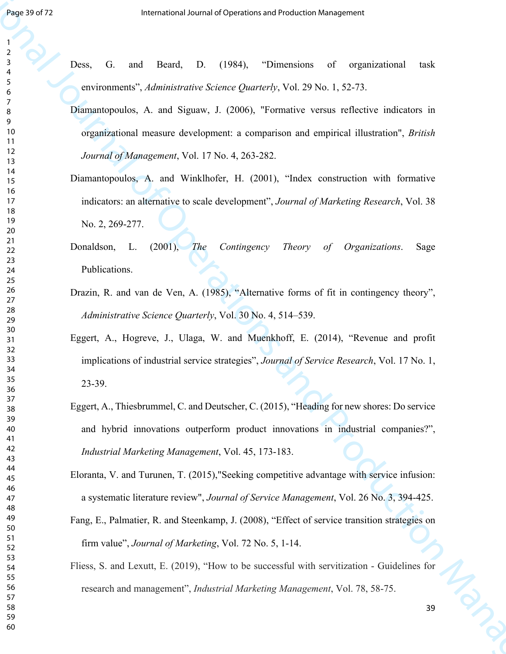Dess, G. and Beard, D. (1984), "Dimensions of organizational task environments", *Administrative Science Quarterly*, Vol. 29 No. 1, 52-73.

- Diamantopoulos, A. and Siguaw, J. (2006), "Formative versus reflective indicators in organizational measure development: a comparison and empirical illustration", *British Journal of Management*, Vol. 17 No. 4, 263-282.
- **IFACTION**<br>
International or Hammel of Operation and Program and Program and Theorem Contains and Theorem 2014<br> **IDENTIFY**<br>
The managements and Hammel Scheme Queensely, Vol. 29 No. 1, 52-75,<br> **During the production Manage** Diamantopoulos, A. and Winklhofer, H. (2001), "Index construction with formative indicators: an alternative to scale development", *Journal of Marketing Research*, Vol. 38 No. 2, 269-277.
	- Donaldson, L. (2001), *The Contingency Theory of Organizations*. Sage Publications.
	- Drazin, R. and van de Ven, A. (1985), "Alternative forms of fit in contingency theory", *Administrative Science Quarterly*, Vol. 30 No. 4, 514–539.
	- Eggert, A., Hogreve, J., Ulaga, W. and Muenkhoff, E. (2014), "Revenue and profit implications of industrial service strategies", *Journal of Service Research*, Vol. 17 No. 1, 23-39.
	- Eggert, A., Thiesbrummel, C. and Deutscher, C. (2015), "Heading for new shores: Do service and hybrid innovations outperform product innovations in industrial companies?", *Industrial Marketing Management*, Vol. 45, 173-183.
	- Eloranta, V. and Turunen, T. (2015),"Seeking competitive advantage with service infusion: a systematic literature review", *Journal of Service Management*, Vol. 26 No. 3, 394-425.
	- Fang, E., Palmatier, R. and Steenkamp, J. (2008), "Effect of service transition strategies on firm value", *Journal of Marketing*, Vol. 72 No. 5, 1-14.
	- Fliess, S. and Lexutt, E. (2019), "How to be successful with servitization Guidelines for research and management", *Industrial Marketing Management*, Vol. 78, 58-75.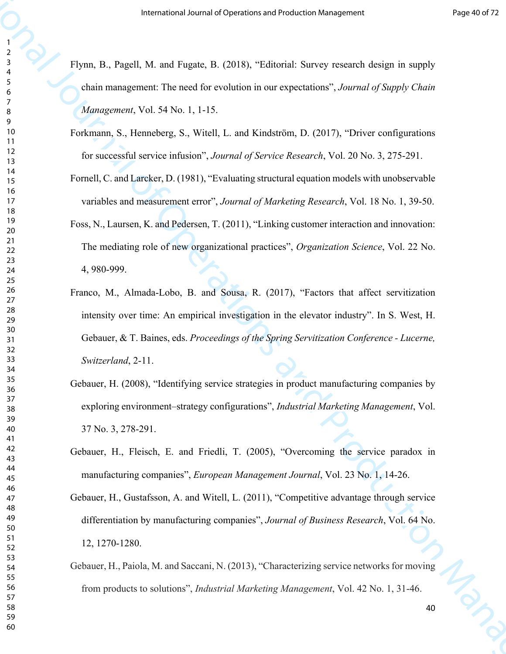- Flynn, B., Pagell, M. and Fugate, B. (2018), "Editorial: Survey research design in supply chain management: The need for evolution in our expectations", *Journal of Supply Chain Management*, Vol. 54 No. 1, 1-15.
- Forkmann, S., Henneberg, S., Witell, L. and Kindström, D. (2017), "Driver configurations for successful service infusion", *Journal of Service Research*, Vol. 20 No. 3, 275-291.
- Fornell, C. and Larcker, D. (1981), "Evaluating structural equation models with unobservable variables and measurement error", *Journal of Marketing Research*, Vol. 18 No. 1, 39-50.
- Foss, N., Laursen, K. and Pedersen, T. (2011), "Linking customer interaction and innovation: The mediating role of new organizational practices", *Organization Science*, Vol. 22 No. 4, 980-999.
- **Example 12.** The method of Contains and Production Survey research design is analyzed and Production Management Val. 54 No. 1, 1-15.<br>
International Survey and Production Management Val. 2010, "Deliveration", Journal of S Franco, M., Almada-Lobo, B. and Sousa, R. (2017), "Factors that affect servitization intensity over time: An empirical investigation in the elevator industry". In S. West, H. Gebauer, & T. Baines, eds. *Proceedings of the Spring Servitization Conference - Lucerne, Switzerland*, 2-11.
	- Gebauer, H. (2008), "Identifying service strategies in product manufacturing companies by exploring environment–strategy configurations", *Industrial Marketing Management*, Vol. 37 No. 3, 278-291.
	- Gebauer, H., Fleisch, E. and Friedli, T. (2005), "Overcoming the service paradox in manufacturing companies", *European Management Journal*, Vol. 23 No. 1, 14-26.
	- Gebauer, H., Gustafsson, A. and Witell, L. (2011), "Competitive advantage through service differentiation by manufacturing companies", *Journal of Business Research*, Vol. 64 No. 12, 1270-1280.
	- Gebauer, H., Paiola, M. and Saccani, N. (2013), "Characterizing service networks for moving from products to solutions", *Industrial Marketing Management*, Vol. 42 No. 1, 31-46.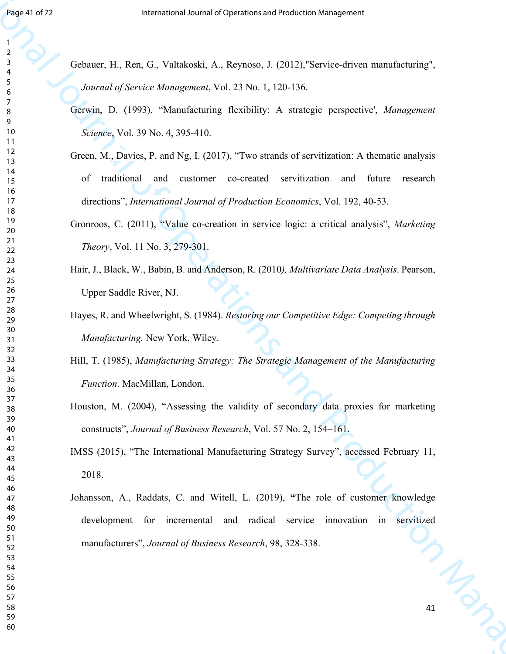- Gebauer, H., Ren, G., Valtakoski, A., Reynoso, J. (2012),"Service-driven manufacturing", *Journal of Service Management*, Vol. 23 No. 1, 120-136.
- Gerwin, D. (1993), "Manufacturing flexibility: A strategic perspective', *Management Science*, Vol. 39 No. 4, 395-410.
- **Example 1872**<br>
International Journal of Operations and Production Management<br>
1932<br>
Coleman, D. (1993). "Manufacturing Eccating, A strategie prospective, Management<br>
1933<br>
Survey, D. (1993). "Manufacturing Eccating, A st Green, M., Davies, P. and Ng, I. (2017), "Two strands of servitization: A thematic analysis of traditional and customer co-created servitization and future research directions", *International Journal of Production Economics*, Vol. 192, 40-53.
	- Gronroos, C. (2011), "Value co-creation in service logic: a critical analysis", *Marketing Theory*, Vol. 11 No. 3, 279-301.
	- Hair, J., Black, W., Babin, B. and Anderson, R. (2010*), Multivariate Data Analysis*. Pearson, Upper Saddle River, NJ.
	- Hayes, R. and Wheelwright, S. (1984). *Restoring our Competitive Edge: Competing through Manufacturing.* New York, Wiley.
	- Hill, T. (1985), *Manufacturing Strategy: The Strategic Management of the Manufacturing Function*. MacMillan, London.
	- Houston, M. (2004), "Assessing the validity of secondary data proxies for marketing constructs", *Journal of Business Research*, Vol. 57 No. 2, 154–161.
	- IMSS (2015), "The International Manufacturing Strategy Survey", accessed February 11, 2018.
	- T May Johansson, A., Raddats, C. and Witell, L. (2019), **"**The role of customer knowledge development for incremental and radical service innovation in servitized manufacturers", *Journal of Business Research*, 98, 328-338.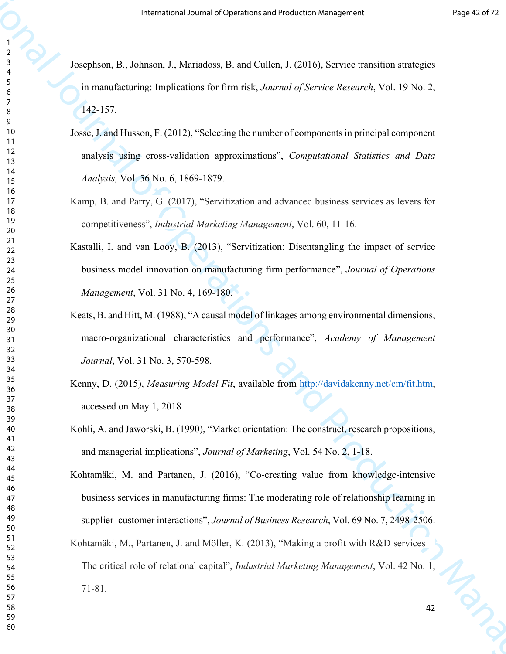Josephson, B., Johnson, J., Mariadoss, B. and Cullen, J. (2016), Service transition strategies in manufacturing: Implications for firm risk, *Journal of Service Research*, Vol. 19 No. 2, 142-157.

- **International Journal of Georgian Street Experiment Street Experiment Street Experiment Street Experiment Street Experiment Street Experiment Street Experiment Street Experiment Street Experiment Street Experiment Street** Josse, J. and Husson, F. (2012), "Selecting the number of components in principal component analysis using cross-validation approximations", *Computational Statistics and Data Analysis,* Vol. 56 No. 6, 1869-1879.
	- Kamp, B. and Parry, G. (2017), "Servitization and advanced business services as levers for competitiveness", *Industrial Marketing Management*, Vol. 60, 11-16.
	- Kastalli, I. and van Looy, B. (2013), "Servitization: Disentangling the impact of service business model innovation on manufacturing firm performance", *Journal of Operations Management*, Vol. 31 No. 4, 169-180.
	- Keats, B. and Hitt, M. (1988), "A causal model of linkages among environmental dimensions, macro-organizational characteristics and performance", *Academy of Management Journal*, Vol. 31 No. 3, 570-598.
	- Kenny, D. (2015), *Measuring Model Fit*, available from http://davidakenny.net/cm/fit.htm, accessed on May 1, 2018
	- Kohli, A. and Jaworski, B. (1990), "Market orientation: The construct, research propositions, and managerial implications", *Journal of Marketing*, Vol. 54 No. 2, 1-18.
	- Kohtamäki, M. and Partanen, J. (2016), "Co-creating value from knowledge-intensive business services in manufacturing firms: The moderating role of relationship learning in supplier–customer interactions", *Journal of Business Research*, Vol. 69 No. 7, 2498-2506.
	- Kohtamäki, M., Partanen, J. and Möller, K. (2013), "Making a profit with R&D services— The critical role of relational capital", *Industrial Marketing Management*, Vol. 42 No. 1, 71-81.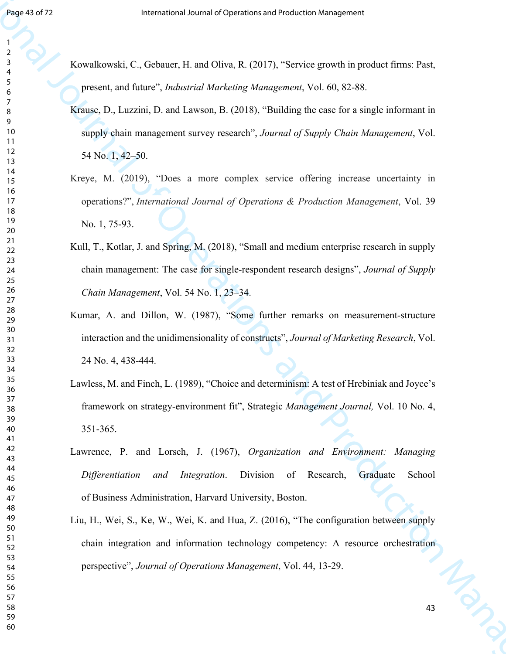Kowalkowski, C., Gebauer, H. and Oliva, R. (2017), "Service growth in product firms: Past, present, and future", *Industrial Marketing Management*, Vol. 60, 82-88.

- Krause, D., Luzzini, D. and Lawson, B. (2018), "Building the case for a single informant in supply chain management survey research", *Journal of Supply Chain Management*, Vol. 54 No. 1, 42–50.
- **Example 0172**<br>
International Let, Gebourer, H. and Olivin, R. (2012), "Service proveds in product from: Past,<br>
process, and future,", Joshua Gal Mordovez Mesogravent, Vol. 60, 30-83.<br>
Example chain management survey rese Kreye, M. (2019), "Does a more complex service offering increase uncertainty in operations?", *International Journal of Operations & Production Management*, Vol. 39 No. 1, 75-93.
	- Kull, T., Kotlar, J. and Spring, M. (2018), "Small and medium enterprise research in supply chain management: The case for single-respondent research designs", *Journal of Supply Chain Management*, Vol. 54 No. 1, 23–34.
	- Kumar, A. and Dillon, W. (1987), "Some further remarks on measurement-structure interaction and the unidimensionality of constructs", *Journal of Marketing Research*, Vol. 24 No. 4, 438-444.
	- Lawless, M. and Finch, L. (1989), "Choice and determinism: A test of Hrebiniak and Joyce's framework on strategy-environment fit", Strategic *Management Journal,* Vol. 10 No. 4, 351-365.
	- Lawrence, P. and Lorsch, J. (1967), *Organization and Environment: Managing Differentiation and Integration*. Division of Research, Graduate School of Business Administration, Harvard University, Boston.
	- Liu, H., Wei, S., Ke, W., Wei, K. and Hua, Z. (2016), "The configuration between supply chain integration and information technology competency: A resource orchestration perspective", *Journal of Operations Management*, Vol. 44, 13-29.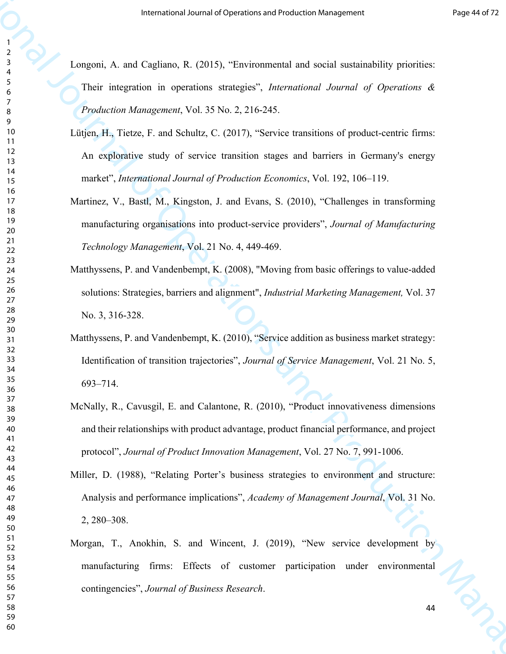Longoni, A. and Cagliano, R. (2015), "Environmental and social sustainability priorities: Their integration in operations strategies", *International Journal of Operations & Production Management*, Vol. 35 No. 2, 216-245.

- Lütjen, H., Tietze, F. and Schultz, C. (2017), "Service transitions of product-centric firms: An explorative study of service transition stages and barriers in Germany's energy market", *International Journal of Production Economics*, Vol. 192, 106–119.
- Martinez, V., Bastl, M., Kingston, J. and Evans, S. (2010), "Challenges in transforming manufacturing organisations into product-service providers", *Journal of Manufacturing Technology Management*, Vol. 21 No. 4, 449-469.
- **International Journal of Operations are freedomics Management Provides (A)**<br> **Example 1** Conservation is a constrained and production of Operations and Production Management Vol. 33 No. 2, 216-245.<br> **International Accoun** Matthyssens, P. and Vandenbempt, K. (2008), "Moving from basic offerings to value-added solutions: Strategies, barriers and alignment", *Industrial Marketing Management,* Vol. 37 No. 3, 316-328.
	- Matthyssens, P. and Vandenbempt, K. (2010), "Service addition as business market strategy: Identification of transition trajectories", *Journal of Service Management*, Vol. 21 No. 5, 693–714.
	- McNally, R., Cavusgil, E. and Calantone, R. (2010), "Product innovativeness dimensions and their relationships with product advantage, product financial performance, and project protocol", *Journal of Product Innovation Management*, Vol. 27 No. 7, 991-1006.
	- Miller, D. (1988), "Relating Porter's business strategies to environment and structure: Analysis and performance implications", *Academy of Management Journal*, Vol. 31 No. 2, 280–308.
	- Morgan, T., Anokhin, S. and Wincent, J. (2019), "New service development by manufacturing firms: Effects of customer participation under environmental contingencies", *Journal of Business Research*.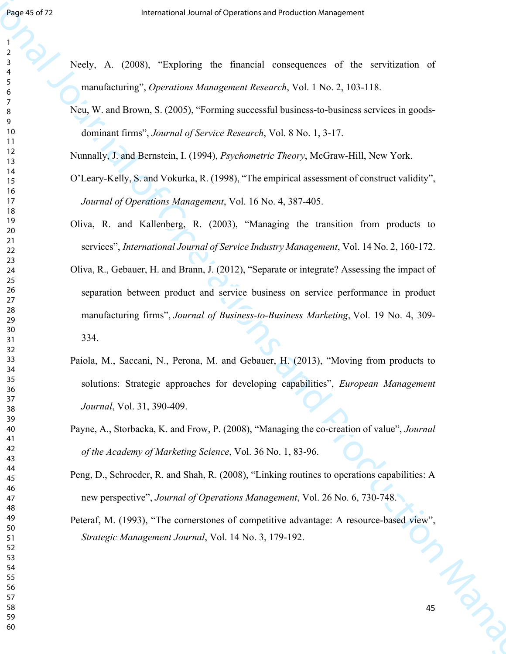Neely, A. (2008), "Exploring the financial consequences of the servitization of manufacturing", *Operations Management Research*, Vol. 1 No. 2, 103-118.

Nunnally, J. and Bernstein, I. (1994), *Psychometric Theory*, McGraw-Hill, New York.

- O'Leary-Kelly, S. and Vokurka, R. (1998), "The empirical assessment of construct validity", *Journal of Operations Management*, Vol. 16 No. 4, 387-405.
- Oliva, R. and Kallenberg, R. (2003), "Managing the transition from products to services", *International Journal of Service Industry Management*, Vol. 14 No. 2, 160-172.
- **Example 672**<br>
International Journal of Operations are freedomics of the servicionism of<br>  $\frac{1}{2}$ <br>
North, W. and Howe, S. (2005), Taryloring the financial consequences of the servicionism of<br>
Production Management *Kenn* Oliva, R., Gebauer, H. and Brann, J. (2012), "Separate or integrate? Assessing the impact of separation between product and service business on service performance in product manufacturing firms", *Journal of Business-to-Business Marketing*, Vol. 19 No. 4, 309- 334.
	- Paiola, M., Saccani, N., Perona, M. and Gebauer, H. (2013), "Moving from products to solutions: Strategic approaches for developing capabilities", *European Management Journal*, Vol. 31, 390-409.
	- Payne, A., Storbacka, K. and Frow, P. (2008), "Managing the co-creation of value", *Journal of the Academy of Marketing Science*, Vol. 36 No. 1, 83-96.
	- Peng, D., Schroeder, R. and Shah, R. (2008), "Linking routines to operations capabilities: A new perspective", *Journal of Operations Management*, Vol. 26 No. 6, 730-748.
	- in Manic Peteraf, M. (1993), "The cornerstones of competitive advantage: A resource-based view", *Strategic Management Journal*, Vol. 14 No. 3, 179-192.

Neu, W. and Brown, S. (2005), "Forming successful business-to-business services in goodsdominant firms", *Journal of Service Research*, Vol. 8 No. 1, 3-17.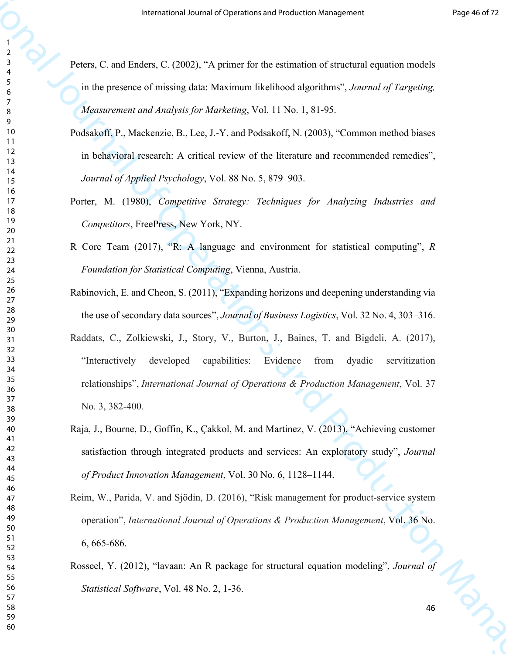- Peters, C. and Enders, C. (2002), "A primer for the estimation of structural equation models in the presence of missing data: Maximum likelihood algorithms", *Journal of Targeting, Measurement and Analysis for Marketing*, Vol. 11 No. 1, 81-95.
- Podsakoff, P., Mackenzie, B., Lee, J.-Y. and Podsakoff, N. (2003), "Common method biases in behavioral research: A critical review of the literature and recommended remedies", *Journal of Applied Psychology*, Vol. 88 No. 5, 879–903.
- Porter, M. (1980), *Competitive Strategy: Techniques for Analyzing Industries and Competitors*, FreePress, New York, NY.
- R Core Team (2017), "R: A language and environment for statistical computing", *R Foundation for Statistical Computing*, Vienna, Austria.
- Rabinovich, E. and Cheon, S. (2011), "Expanding horizons and deepening understanding via the use of secondary data sources", *Journal of Business Logistics*, Vol. 32 No. 4, 303–316.
- **Example 20 Example 20 Example 20 Example 20 Example 20 Example 20 Example 20 Example 20 Example 20 Example 20 Example 20 Example 20 Example 20 Example 20 Example 20 Example 20 Example 20** Raddats, C., Zolkiewski, J., Story, V., Burton, J., Baines, T. and Bigdeli, A. (2017), "Interactively developed capabilities: Evidence from dyadic servitization relationships", *International Journal of Operations & Production Management*, Vol. 37 No. 3, 382-400.
	- Raja, J., Bourne, D., Goffin, K., Çakkol, M. and Martinez, V. (2013), "Achieving customer satisfaction through integrated products and services: An exploratory study", *Journal of Product Innovation Management*, Vol. 30 No. 6, 1128–1144.
	- Reim, W., Parida, V. and Sjödin, D. (2016), "Risk management for product-service system operation", *International Journal of Operations & Production Management*, Vol. 36 No. 6, 665-686.
	- Rosseel, Y. (2012), "lavaan: An R package for structural equation modeling", *Journal of Statistical Software*, Vol. 48 No. 2, 1-36.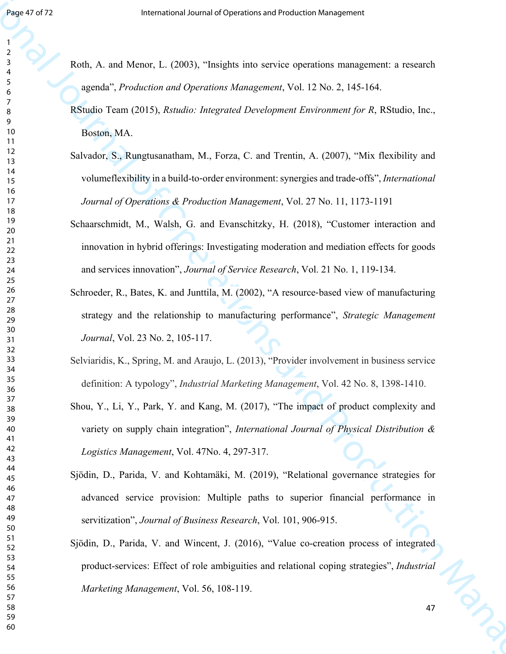Roth, A. and Menor, L. (2003), "Insights into service operations management: a research agenda", *Production and Operations Management*, Vol. 12 No. 2, 145-164.

- RStudio Team (2015), *Rstudio: Integrated Development Environment for R*, RStudio, Inc., Boston, MA.
- Salvador, S., Rungtusanatham, M., Forza, C. and Trentin, A. (2007), "Mix flexibility and volumeflexibility in a build-to‐order environment: synergies and trade-offs", *International Journal of Operations & Production Management*, Vol. 27 No. 11, 1173-1191
- Schaarschmidt, M., Walsh, G. and Evanschitzky, H. (2018), "Customer interaction and innovation in hybrid offerings: Investigating moderation and mediation effects for goods and services innovation", *Journal of Service Research*, Vol. 21 No. 1, 119-134.
- Schroeder, R., Bates, K. and Junttila, M. (2002), "A resource-based view of manufacturing strategy and the relationship to manufacturing performance", *Strategic Management Journal*, Vol. 23 No. 2, 105-117.
- Selviaridis, K., Spring, M. and Araujo, L. (2013), "Provider involvement in business service definition: A typology", *Industrial Marketing Management*, Vol. 42 No. 8, 1398-1410.
- **Example 27 and Mannet and American Summit of Operations are Processions Variagements and Revise Constraints and American Security And Mannet Constraints and American Security And Mannet Constraints and American Managemen** Shou, Y., Li, Y., Park, Y. and Kang, M. (2017), "The impact of product complexity and variety on supply chain integration", *International Journal of Physical Distribution & Logistics Management*, Vol. 47No. 4, 297-317.
	- Sjödin, D., Parida, V. and Kohtamäki, M. (2019), "Relational governance strategies for advanced service provision: Multiple paths to superior financial performance in servitization", *Journal of Business Research*, Vol. 101, 906-915.
	- Sjödin, D., Parida, V. and Wincent, J. (2016), "Value co-creation process of integrated product-services: Effect of role ambiguities and relational coping strategies", *Industrial Marketing Management*, Vol. 56, 108-119.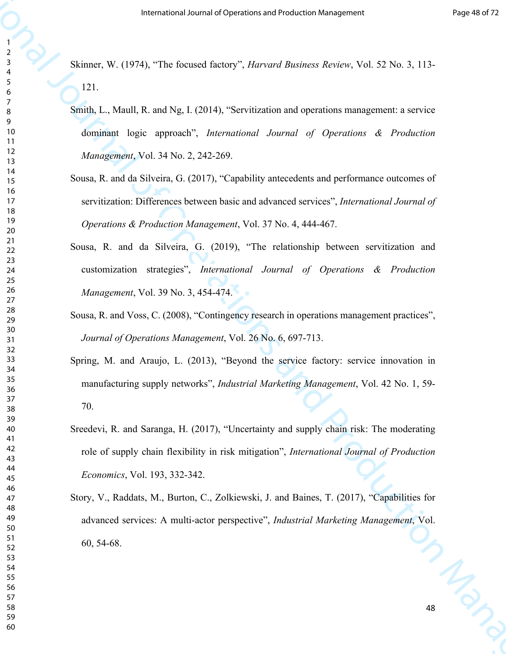Skinner, W. (1974), "The focused factory", *Harvard Business Review*, Vol. 52 No. 3, 113- 121.

- Smith, L., Maull, R. and Ng, I. (2014), "Servitization and operations management: a service dominant logic approach", *International Journal of Operations & Production Management*, Vol. 34 No. 2, 242-269.
- **International Journal of Cyclicates and Protocolsis Nanagement New York 2008**<br> **International Conservation Management Service New York 2008**<br> **International L. Manali, it and Sq. 1.12015**, "Servicesian and operations man Sousa, R. and da Silveira, G. (2017), "Capability antecedents and performance outcomes of servitization: Differences between basic and advanced services", *International Journal of Operations & Production Management*, Vol. 37 No. 4, 444-467.
	- Sousa, R. and da Silveira, G. (2019), "The relationship between servitization and customization strategies", *International Journal of Operations & Production Management*, Vol. 39 No. 3, 454-474.
	- Sousa, R. and Voss, C. (2008), "Contingency research in operations management practices", *Journal of Operations Management*, Vol. 26 No. 6, 697-713.
	- Spring, M. and Araujo, L. (2013), "Beyond the service factory: service innovation in manufacturing supply networks", *Industrial Marketing Management*, Vol. 42 No. 1, 59- 70.
	- Sreedevi, R. and Saranga, H. (2017), "Uncertainty and supply chain risk: The moderating role of supply chain flexibility in risk mitigation", *International Journal of Production Economics*, Vol. 193, 332-342.
	- T May Story, V., Raddats, M., Burton, C., Zolkiewski, J. and Baines, T. (2017), "Capabilities for advanced services: A multi-actor perspective", *Industrial Marketing Management*, Vol. 60, 54-68.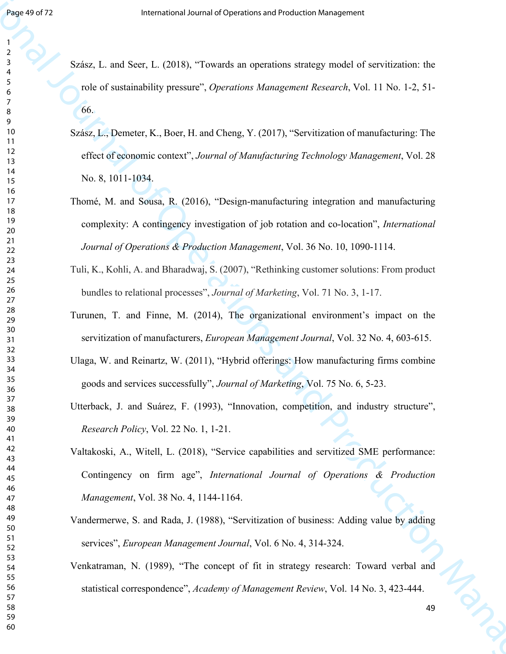- Szász, L. and Seer, L. (2018), "Towards an operations strategy model of servitization: the role of sustainability pressure", *Operations Management Research*, Vol. 11 No. 1-2, 51- 66.
- **Example 0172**<br>
International Directional of Operations anternation attack of Operations (ASI)<br>
International Journal of Operations and Production Management Research, Vol. 11 No. 1-2, 51-<br>
1. Color System Company Control Szász, L., Demeter, K., Boer, H. and Cheng, Y. (2017), "Servitization of manufacturing: The effect of economic context", *Journal of Manufacturing Technology Management*, Vol. 28 No. 8, 1011-1034.
	- Thomé, M. and Sousa, R. (2016), "Design-manufacturing integration and manufacturing complexity: A contingency investigation of job rotation and co-location", *International Journal of Operations & Production Management*, Vol. 36 No. 10, 1090-1114.
	- Tuli, K., Kohli, A. and Bharadwaj, S. (2007), "Rethinking customer solutions: From product bundles to relational processes", *Journal of Marketing*, Vol. 71 No. 3, 1-17.
	- Turunen, T. and Finne, M. (2014), The organizational environment's impact on the servitization of manufacturers, *European Management Journal*, Vol. 32 No. 4, 603-615.
	- Ulaga, W. and Reinartz, W. (2011), "Hybrid offerings: How manufacturing firms combine goods and services successfully", *Journal of Marketing*, Vol. 75 No. 6, 5-23.
	- Utterback, J. and Suárez, F. (1993), "Innovation, competition, and industry structure", *Research Policy*, Vol. 22 No. 1, 1-21.
	- Valtakoski, A., Witell, L. (2018), "Service capabilities and servitized SME performance: Contingency on firm age", *International Journal of Operations & Production Management*, Vol. 38 No. 4, 1144-1164.
	- Vandermerwe, S. and Rada, J. (1988), "Servitization of business: Adding value by adding services", *European Management Journal*, Vol. 6 No. 4, 314-324.
	- Venkatraman, N. (1989), "The concept of fit in strategy research: Toward verbal and statistical correspondence", *Academy of Management Review*, Vol. 14 No. 3, 423-444.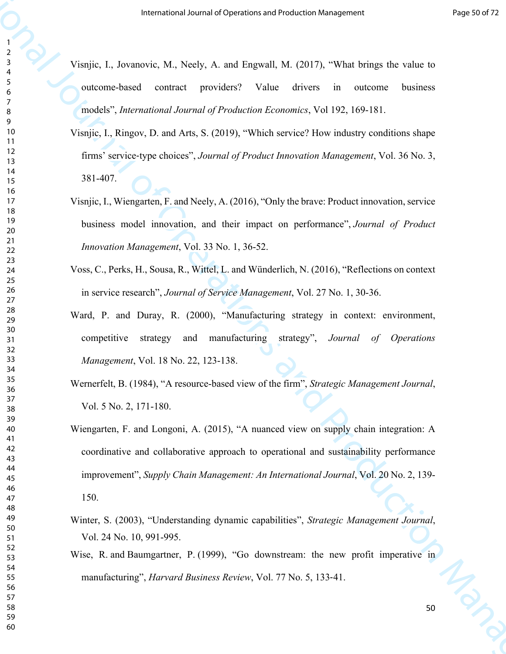- Visnjic, I., Jovanovic, M., Neely, A. and Engwall, M. (2017), "What brings the value to outcome-based contract providers? Value drivers in outcome business models", *International Journal of Production Economics*, Vol 192, 169-181.
- Visnjic, I., Ringov, D. and Arts, S. (2019), "Which service? How industry conditions shape firms' service‐type choices", *Journal of Product Innovation Management*, Vol. 36 No. 3, 381-407.
- Visnjic, I., Wiengarten, F. and Neely, A. (2016), "Only the brave: Product innovation, service business model innovation, and their impact on performance", *Journal of Product Innovation Management*, Vol. 33 No. 1, 36-52.
- Voss, C., Perks, H., Sousa, R., Wittel, L. and Wünderlich, N. (2016), "Reflections on context in service research", *Journal of Service Management*, Vol. 27 No. 1, 30-36.
- Ward, P. and Duray, R. (2000), "Manufacturing strategy in context: environment, competitive strategy and manufacturing strategy", *Journal of Operations Management*, Vol. 18 No. 22, 123-138.
- Wernerfelt, B. (1984), "A resource-based view of the firm", *Strategic Management Journal*, Vol. 5 No. 2, 171-180.
- **Example 12.** Moreovec 18. Now Management of Operation are Production Management of the Sate 20. The Sate of Contents and Proposition 10. The effects of the effects of the effects of the effects of the effects of the effe Wiengarten, F. and Longoni, A. (2015), "A nuanced view on supply chain integration: A coordinative and collaborative approach to operational and sustainability performance improvement", *Supply Chain Management: An International Journal*, Vol. 20 No. 2, 139- 150.
	- Winter, S. (2003), "Understanding dynamic capabilities", *Strategic Management Journal*, Vol. 24 No. 10, 991-995.
	- Wise, R. and Baumgartner, P. (1999), "Go downstream: the new profit imperative in manufacturing", *Harvard Business Review*, Vol. 77 No. 5, 133‐41.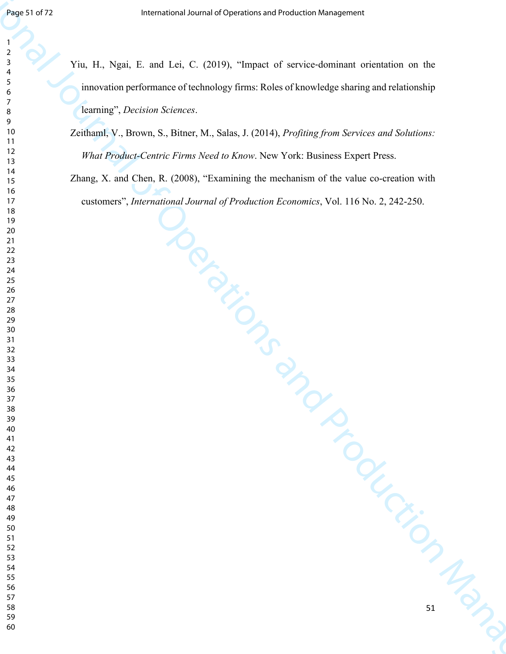- 
- 
- 
- 

See 20 d 72<br>
Viu, H., Negl, F. and 1 d, C. (2019), "Through of Secretion dominant of termino dominant of the New York (2019)<br>
The movies of Operation Management of Considered School (2019), Proposed School (2019)<br>
The mov Yiu, H., Ngai, E. and Lei, C. (2019), "Impact of service‐dominant orientation on the innovation performance of technology firms: Roles of knowledge sharing and relationship learning", *Decision Sciences*.

Zeithaml, V., Brown, S., Bitner, M., Salas, J. (2014), *Profiting from Services and Solutions: What Product-Centric Firms Need to Know*. New York: Business Expert Press.

Zhang, X. and Chen, R. (2008), "Examining the mechanism of the value co-creation with customers", *International Journal of Production Economics*, Vol. 116 No. 2, 242-250.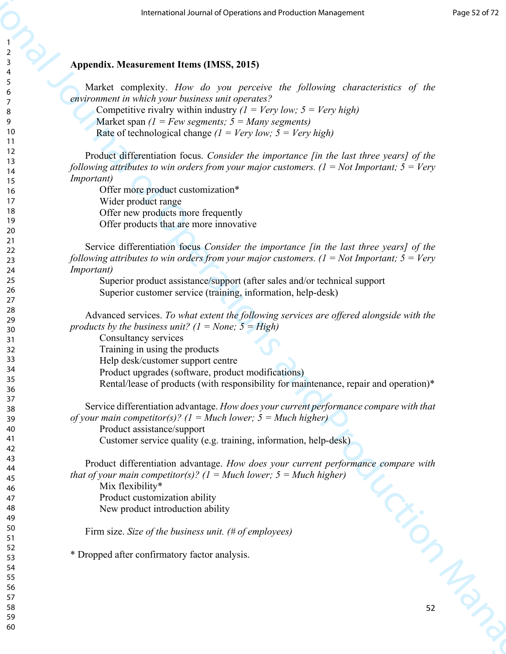# **Appendix. Measurement Items (IMSS, 2015)**

Market complexity. *How do you perceive the following characteristics of the environment in which your business unit operates?*

Competitive rivalry within industry *(1 = Very low; 5 = Very high)*

Market span *(1 = Few segments; 5 = Many segments)*

Rate of technological change *(1 = Very low; 5 = Very high)*

**INTERFERIMENTAL SURFACE ACCORECT AT FROM CONTROL CONSULTS (ASSAMPLED ACCORECT ACCORECT ACCORECT ACCORECT ACCORECT ACCORECT ACCORECT ACCORECT ACCORECT ACCORECT ACCORECT ACCORECT ACCORECT ACCORECT ACCORECT ACCORECT ACCOREC** Product differentiation focus. *Consider the importance [in the last three years] of the following attributes to win orders from your major customers. (1 = Not Important; 5 = Very Important)*

Offer more product customization\* Wider product range Offer new products more frequently Offer products that are more innovative

Service differentiation focus *Consider the importance [in the last three years] of the following attributes to win orders from your major customers. (1 = Not Important; 5 = Very Important)*

Superior product assistance/support (after sales and/or technical support Superior customer service (training, information, help-desk)

Advanced services. *To what extent the following services are offered alongside with the products by the business unit? (1 = None; 5 = High)*

Consultancy services

Training in using the products

Help desk/customer support centre

Product upgrades (software, product modifications)

Rental/lease of products (with responsibility for maintenance, repair and operation)\*

```
Service differentiation advantage. How does your current performance compare with that 
of your main competitor(s)? (1 = Much lower; 5 = Much higher)
```
Product assistance/support

Customer service quality (e.g. training, information, help-desk)

```
LENSION ON
   Product differentiation advantage. How does your current performance compare with 
that of your main competitor(s)? (I = Much lower; 5 = Much higher)
```
Mix flexibility\*

Product customization ability

New product introduction ability

Firm size. *Size of the business unit. (# of employees)*

\* Dropped after confirmatory factor analysis.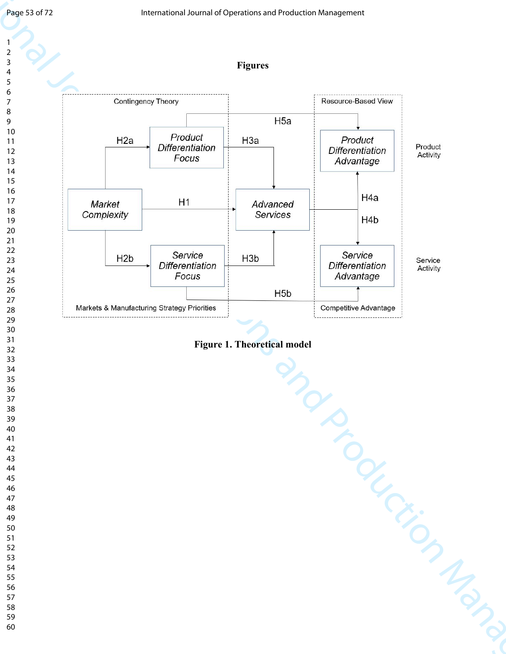

**Figure 1. Theoretical model**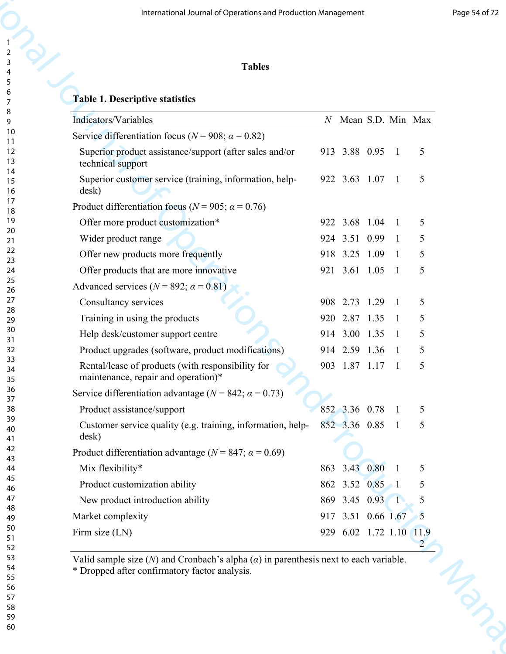#### **Tables**

### **Table 1. Descriptive statistics**

| <b>Tables</b>                                                                                                                                  |                |                                |           |                |        |  |
|------------------------------------------------------------------------------------------------------------------------------------------------|----------------|--------------------------------|-----------|----------------|--------|--|
| <b>Table 1. Descriptive statistics</b>                                                                                                         |                |                                |           |                |        |  |
| Indicators/Variables                                                                                                                           | $\overline{N}$ | Mean S.D. Min Max              |           |                |        |  |
| Service differentiation focus ( $N = 908$ ; $\alpha = 0.82$ )                                                                                  |                |                                |           |                |        |  |
| Superior product assistance/support (after sales and/or<br>technical support                                                                   |                | 913 3.88 0.95                  |           |                | 5      |  |
| Superior customer service (training, information, help-<br>desk)                                                                               |                | 922 3.63                       | 1.07      |                | 5      |  |
| Product differentiation focus ( $N = 905$ ; $\alpha = 0.76$ )                                                                                  |                |                                |           |                |        |  |
| Offer more product customization*                                                                                                              | 922            | 3.68                           | 1.04      |                | 5      |  |
| Wider product range                                                                                                                            | 924            | 3.51                           | 0.99      |                | 5      |  |
| Offer new products more frequently                                                                                                             | 918            | 3.25                           | 1.09      |                | 5      |  |
| Offer products that are more innovative                                                                                                        |                | 921 3.61 1.05                  |           |                | 5      |  |
| Advanced services ( $N = 892$ ; $\alpha = 0.81$ )                                                                                              |                |                                |           |                |        |  |
| Consultancy services                                                                                                                           |                | 908 2.73                       | 1.29      |                | 5      |  |
| Training in using the products                                                                                                                 | 920            | 2.87                           | 1.35      |                | 5      |  |
| Help desk/customer support centre                                                                                                              | 914            | 3.00                           | 1.35      |                | 5      |  |
| Product upgrades (software, product modifications)                                                                                             | 914            | 2.59                           | 1.36      |                | 5      |  |
| Rental/lease of products (with responsibility for<br>maintenance, repair and operation)*                                                       | 903            |                                | 1.87 1.17 |                | 5      |  |
| Service differentiation advantage ( $N = 842$ ; $\alpha = 0.73$ )                                                                              |                |                                |           |                |        |  |
| Product assistance/support<br>Customer service quality (e.g. training, information, help-                                                      |                | 852 3.36 0.78<br>852 3.36 0.85 |           |                | 5<br>5 |  |
| desk)                                                                                                                                          |                |                                |           |                |        |  |
| Product differentiation advantage ( $N = 847$ ; $\alpha = 0.69$ )                                                                              |                |                                |           |                |        |  |
| Mix flexibility*                                                                                                                               |                | 863 3.43 0.80                  |           |                | 5      |  |
| Product customization ability                                                                                                                  |                | 862 3.52 0.85                  |           |                | 5      |  |
| New product introduction ability                                                                                                               |                | 869 3.45 0.93                  |           |                | 5      |  |
| Market complexity                                                                                                                              | 917            | 3.51 0.66 1.67                 |           |                | 5      |  |
| Firm size $(LN)$                                                                                                                               | 929            | 6.02                           |           | 1.72 1.10 11.9 |        |  |
|                                                                                                                                                |                |                                |           |                |        |  |
| Valid sample size $(N)$ and Cronbach's alpha $(\alpha)$ in parenthesis next to each variable.<br>* Dropped after confirmatory factor analysis. |                |                                |           |                |        |  |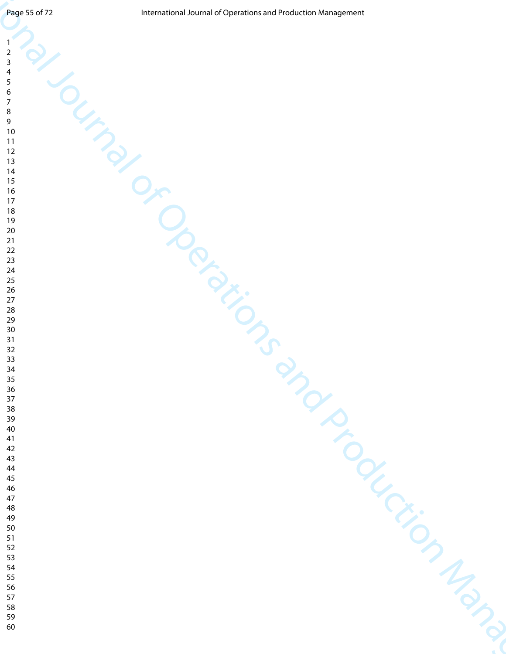| Page 55 of 72                                                                                                     | International Journal of Operations and Production Management |
|-------------------------------------------------------------------------------------------------------------------|---------------------------------------------------------------|
| $\overline{1}$                                                                                                    |                                                               |
| $\begin{array}{c} 2 \\ 3 \end{array}$<br>$\overline{a}$<br>5                                                      |                                                               |
| $\boldsymbol{6}$<br>$\overline{7}$<br>$\, 8$                                                                      |                                                               |
| $\mathsf 9$<br>$10\,$<br>11                                                                                       |                                                               |
| 12<br>13<br>14                                                                                                    |                                                               |
| 15<br>16<br>$17$                                                                                                  |                                                               |
| $18\,$<br>19<br>$20\,$                                                                                            |                                                               |
| $21$<br>$22$<br>$23\,$                                                                                            |                                                               |
|                                                                                                                   |                                                               |
|                                                                                                                   |                                                               |
|                                                                                                                   |                                                               |
|                                                                                                                   | Now                                                           |
|                                                                                                                   | $\infty$                                                      |
| 24 25 26 27 28 29 30 31 32 33 34 35 36 37 38 39 40 41 42 43 44 45 46 47 48 49 50 51 52 53 54 55 55 56 57 88 99 60 | $\hat{O}$                                                     |
|                                                                                                                   |                                                               |
|                                                                                                                   |                                                               |
|                                                                                                                   |                                                               |
|                                                                                                                   | $\mathcal{L}_{\mathcal{P}}$                                   |
|                                                                                                                   |                                                               |
|                                                                                                                   |                                                               |
|                                                                                                                   |                                                               |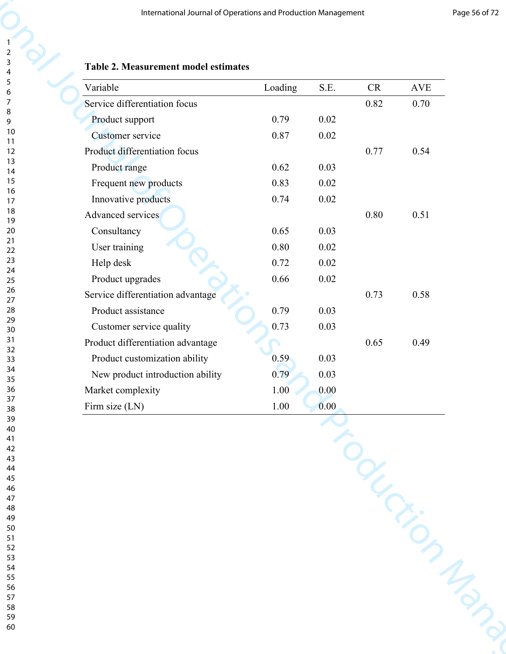| Variable                                              | Loading      | S.E.              | CR   | AVE      |
|-------------------------------------------------------|--------------|-------------------|------|----------|
| Service differentiation focus                         |              |                   | 0.82 | 0.70     |
| Product support                                       | 0.79         | 0.02              |      |          |
| <b>Customer service</b>                               | 0.87         | $0.02\,$          |      |          |
| Product differentiation focus                         |              |                   | 0.77 | 0.54     |
|                                                       | 0.62         | 0.03              |      |          |
| Product range                                         | 0.83         | 0.02              |      |          |
| Frequent new products<br>Innovative products          | 0.74         | 0.02              |      |          |
| Advanced services                                     |              |                   |      | 0.51     |
|                                                       |              |                   | 0.80 |          |
| Consultancy                                           | 0.65         | 0.03              |      |          |
| User training                                         | $0.80\,$     | 0.02              |      |          |
| Help desk                                             | 0.72<br>0.66 | 0.02<br>$0.02\,$  |      |          |
| Product upgrades<br>Service differentiation advantage |              |                   | 0.73 | 0.58     |
| Product assistance                                    | 0.79         | 0.03              |      |          |
|                                                       |              |                   |      |          |
| Customer service quality                              | 0.73         | 0.03              |      |          |
| Product differentiation advantage                     |              |                   | 0.65 | 0.49     |
| Product customization ability                         | 0.59         | 0.03              |      |          |
| New product introduction ability                      | 0.79         | 0.03              |      |          |
| Market complexity                                     | 1.00         | 0.00              |      |          |
| Firm size (LN)                                        | 1.00         | 0.00 <sub>1</sub> |      |          |
|                                                       |              |                   |      | iton Man |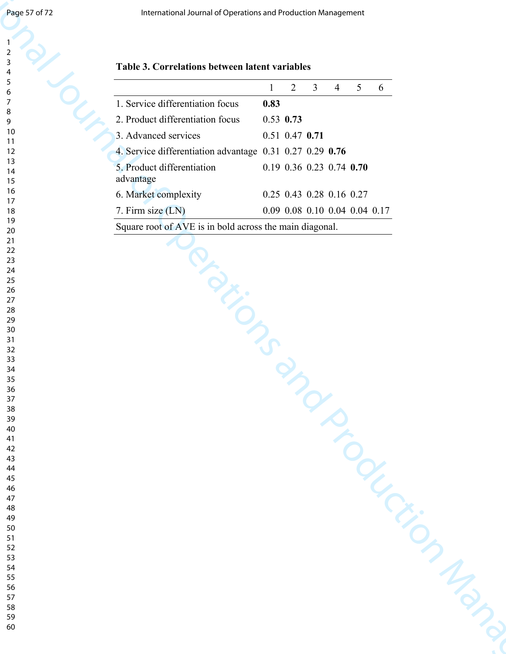| 5 <sup>5</sup><br>$\overline{2}$<br>3<br>$\overline{4}$<br>6<br>1. Service differentiation focus<br>0.83<br>2. Product differentiation focus<br>$0.53$ 0.73<br>3. Advanced services<br>0.51 0.47 0.71<br>4. Service differentiation advantage 0.31 0.27 0.29 0.76<br>5. Product differentiation<br>$0.19$ 0.36 0.23 0.74 0.70<br>advantage<br>6. Market complexity<br>0.25 0.43 0.28 0.16 0.27<br>7. Firm size (LN)<br>0.09 0.08 0.10 0.04 0.04 0.17<br>Square root of AVE is in bold across the main diagonal. | Table 3. Correlations between latent variables |  |
|-----------------------------------------------------------------------------------------------------------------------------------------------------------------------------------------------------------------------------------------------------------------------------------------------------------------------------------------------------------------------------------------------------------------------------------------------------------------------------------------------------------------|------------------------------------------------|--|
|                                                                                                                                                                                                                                                                                                                                                                                                                                                                                                                 |                                                |  |
|                                                                                                                                                                                                                                                                                                                                                                                                                                                                                                                 |                                                |  |
|                                                                                                                                                                                                                                                                                                                                                                                                                                                                                                                 |                                                |  |
|                                                                                                                                                                                                                                                                                                                                                                                                                                                                                                                 |                                                |  |
|                                                                                                                                                                                                                                                                                                                                                                                                                                                                                                                 |                                                |  |
|                                                                                                                                                                                                                                                                                                                                                                                                                                                                                                                 |                                                |  |
|                                                                                                                                                                                                                                                                                                                                                                                                                                                                                                                 |                                                |  |
|                                                                                                                                                                                                                                                                                                                                                                                                                                                                                                                 |                                                |  |
|                                                                                                                                                                                                                                                                                                                                                                                                                                                                                                                 |                                                |  |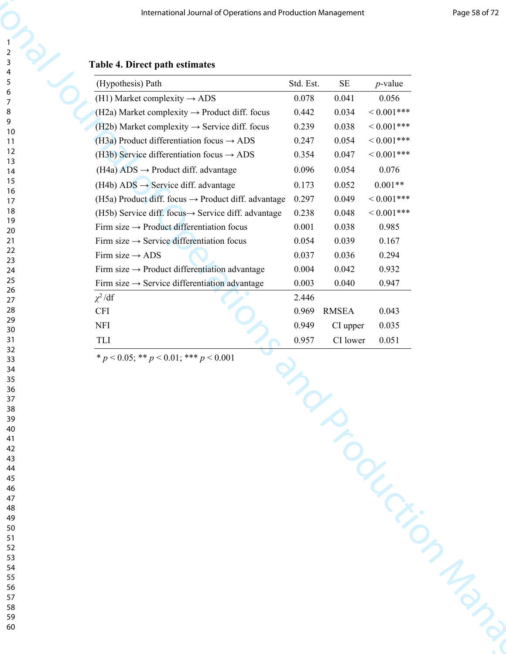# **Table 4. Direct path estimates**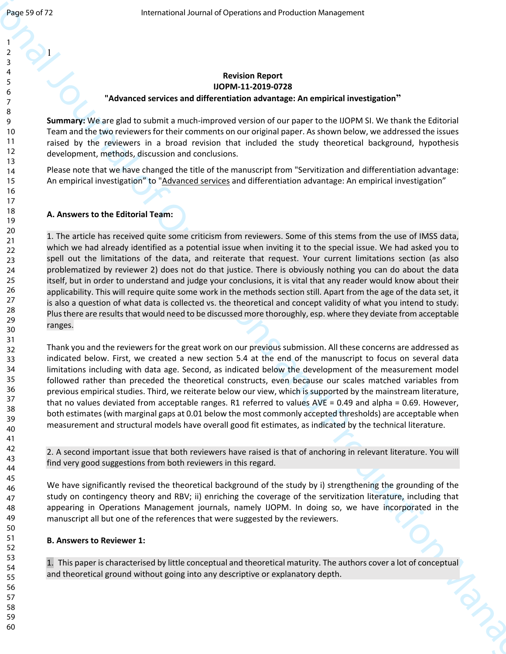#### **Revision Report IJOPM-11-2019-0728 "Advanced services and differentiation advantage: An empirical investigation"**

**Summary:** We are glad to submit a much-improved version of our paper to the IJOPM SI. We thank the Editorial Team and the two reviewers for their comments on our original paper. As shown below, we addressed the issues raised by the reviewers in a broad revision that included the study theoretical background, hypothesis development, methods, discussion and conclusions.

Please note that we have changed the title of the manuscript from "Servitization and differentiation advantage: An empirical investigation" to "Advanced services and differentiation advantage: An empirical investigation"

# **A. Answers to the Editorial Team:**

**International burnal of Operation are procedure and properties and**  $\alpha$  **Defined Management Control of Operation Management Control of Operation Management Control of Operation Management Control of Operation Management C** 1. The article has received quite some criticism from reviewers. Some of this stems from the use of IMSS data, which we had already identified as a potential issue when inviting it to the special issue. We had asked you to spell out the limitations of the data, and reiterate that request. Your current limitations section (as also problematized by reviewer 2) does not do that justice. There is obviously nothing you can do about the data itself, but in order to understand and judge your conclusions, it is vital that any reader would know about their applicability. This will require quite some work in the methods section still. Apart from the age of the data set, it is also a question of what data is collected vs. the theoretical and concept validity of what you intend to study. Plus there are results that would need to be discussed more thoroughly, esp. where they deviate from acceptable ranges.

Thank you and the reviewers for the great work on our previous submission. All these concerns are addressed as indicated below. First, we created a new section 5.4 at the end of the manuscript to focus on several data limitations including with data age. Second, as indicated below the development of the measurement model followed rather than preceded the theoretical constructs, even because our scales matched variables from previous empirical studies. Third, we reiterate below our view, which is supported by the mainstream literature, that no values deviated from acceptable ranges. R1 referred to values AVE = 0.49 and alpha = 0.69. However, both estimates (with marginal gaps at 0.01 below the most commonly accepted thresholds) are acceptable when measurement and structural models have overall good fit estimates, as indicated by the technical literature.

2. A second important issue that both reviewers have raised is that of anchoring in relevant literature. You will find very good suggestions from both reviewers in this regard.

We have significantly revised the theoretical background of the study by i) strengthening the grounding of the study on contingency theory and RBV; ii) enriching the coverage of the servitization literature, including that appearing in Operations Management journals, namely IJOPM. In doing so, we have incorporated in the manuscript all but one of the references that were suggested by the reviewers.

# **B. Answers to Reviewer 1:**

1. This paper is characterised by little conceptual and theoretical maturity. The authors cover a lot of conceptual and theoretical ground without going into any descriptive or explanatory depth.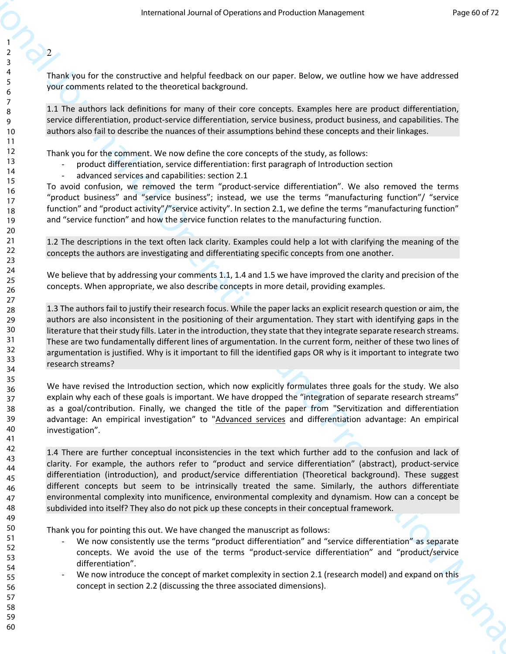Thank you for the constructive and helpful feedback on our paper. Below, we outline how we have addressed your comments related to the theoretical background.

1.1 The authors lack definitions for many of their core concepts. Examples here are product differentiation, service differentiation, product-service differentiation, service business, product business, and capabilities. The authors also fail to describe the nuances of their assumptions behind these concepts and their linkages.

Thank you for the comment. We now define the core concepts of the study, as follows:

- product differentiation, service differentiation: first paragraph of Introduction section
- advanced services and capabilities: section 2.1

2

To avoid confusion, we removed the term "product-service differentiation". We also removed the terms "product business" and "service business"; instead, we use the terms "manufacturing function"/ "service function" and "product activity"/"service activity". In section 2.1, we define the terms "manufacturing function" and "service function" and how the service function relates to the manufacturing function.

1.2 The descriptions in the text often lack clarity. Examples could help a lot with clarifying the meaning of the concepts the authors are investigating and differentiating specific concepts from one another.

We believe that by addressing your comments 1.1, 1.4 and 1.5 we have improved the clarity and precision of the concepts. When appropriate, we also describe concepts in more detail, providing examples.

**International Journal of Operation and Production School Associates and Production Associates and Productional School Associates and Production Associates and Production Management Control of Operations and Production Ma** 1.3 The authors fail to justify their research focus. While the paper lacks an explicit research question or aim, the authors are also inconsistent in the positioning of their argumentation. They start with identifying gaps in the literature that their study fills. Later in the introduction, they state that they integrate separate research streams. These are two fundamentally different lines of argumentation. In the current form, neither of these two lines of argumentation is justified. Why is it important to fill the identified gaps OR why is it important to integrate two research streams?

We have revised the Introduction section, which now explicitly formulates three goals for the study. We also explain why each of these goals is important. We have dropped the "integration of separate research streams" as a goal/contribution. Finally, we changed the title of the paper from "Servitization and differentiation advantage: An empirical investigation" to "Advanced services and differentiation advantage: An empirical investigation".

1.4 There are further conceptual inconsistencies in the text which further add to the confusion and lack of clarity. For example, the authors refer to "product and service differentiation" (abstract), product-service differentiation (introduction), and product/service differentiation (Theoretical background). These suggest different concepts but seem to be intrinsically treated the same. Similarly, the authors differentiate environmental complexity into munificence, environmental complexity and dynamism. How can a concept be subdivided into itself? They also do not pick up these concepts in their conceptual framework.

Thank you for pointing this out. We have changed the manuscript as follows:

- We now consistently use the terms "product differentiation" and "service differentiation" as separate concepts. We avoid the use of the terms "product-service differentiation" and "product/service differentiation".
- We now introduce the concept of market complexity in section 2.1 (research model) and expand on this concept in section 2.2 (discussing the three associated dimensions).
- 54 55 56 57 58 59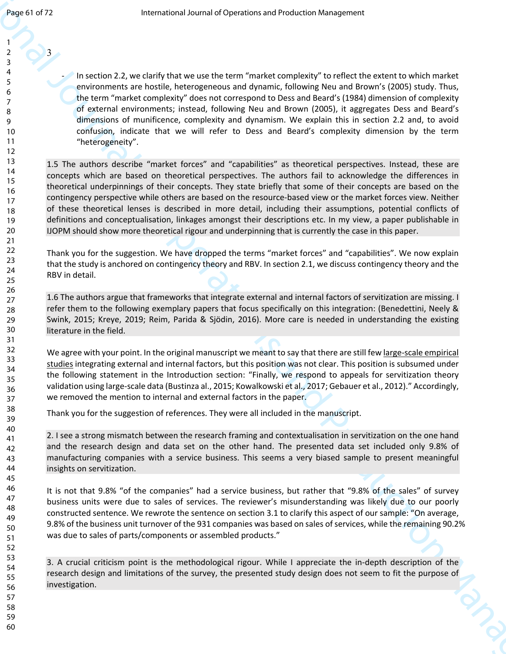60

- In section 2.2, we clarify that we use the term "market complexity" to reflect the extent to which market environments are hostile, heterogeneous and dynamic, following Neu and Brown's (2005) study. Thus, the term "market complexity" does not correspond to Dess and Beard's (1984) dimension of complexity of external environments; instead, following Neu and Brown (2005), it aggregates Dess and Beard's dimensions of munificence, complexity and dynamism. We explain this in section 2.2 and, to avoid confusion, indicate that we will refer to Dess and Beard's complexity dimension by the term "heterogeneity".

**International Journal of Operations and Production State Constrainers and Production And Production And Production And Production And Production And Production Management Production Management Production Management Produ** 1.5 The authors describe "market forces" and "capabilities" as theoretical perspectives. Instead, these are concepts which are based on theoretical perspectives. The authors fail to acknowledge the differences in theoretical underpinnings of their concepts. They state briefly that some of their concepts are based on the contingency perspective while others are based on the resource-based view or the market forces view. Neither of these theoretical lenses is described in more detail, including their assumptions, potential conflicts of definitions and conceptualisation, linkages amongst their descriptions etc. In my view, a paper publishable in IJOPM should show more theoretical rigour and underpinning that is currently the case in this paper.

Thank you for the suggestion. We have dropped the terms "market forces" and "capabilities". We now explain that the study is anchored on contingency theory and RBV. In section 2.1, we discuss contingency theory and the RBV in detail.

1.6 The authors argue that frameworks that integrate external and internal factors of servitization are missing. I refer them to the following exemplary papers that focus specifically on this integration: (Benedettini, Neely & Swink, 2015; Kreye, 2019; Reim, Parida & Sjödin, 2016). More care is needed in understanding the existing literature in the field.

We agree with your point. In the original manuscript we meant to say that there are still few large-scale empirical studies integrating external and internal factors, but this position was not clear. This position is subsumed under the following statement in the Introduction section: "Finally, we respond to appeals for servitization theory validation using large-scale data (Bustinza al., 2015; Kowalkowski et al., 2017; Gebauer et al., 2012)." Accordingly, we removed the mention to internal and external factors in the paper.

Thank you for the suggestion of references. They were all included in the manuscript.

2. I see a strong mismatch between the research framing and contextualisation in servitization on the one hand and the research design and data set on the other hand. The presented data set included only 9.8% of manufacturing companies with a service business. This seems a very biased sample to present meaningful insights on servitization.

It is not that 9.8% "of the companies" had a service business, but rather that "9.8% of the sales" of survey business units were due to sales of services. The reviewer's misunderstanding was likely due to our poorly constructed sentence. We rewrote the sentence on section 3.1 to clarify this aspect of our sample: "On average, 9.8% of the business unit turnover of the 931 companies was based on sales of services, while the remaining 90.2% was due to sales of parts/components or assembled products."

3. A crucial criticism point is the methodological rigour. While I appreciate the in-depth description of the research design and limitations of the survey, the presented study design does not seem to fit the purpose of investigation.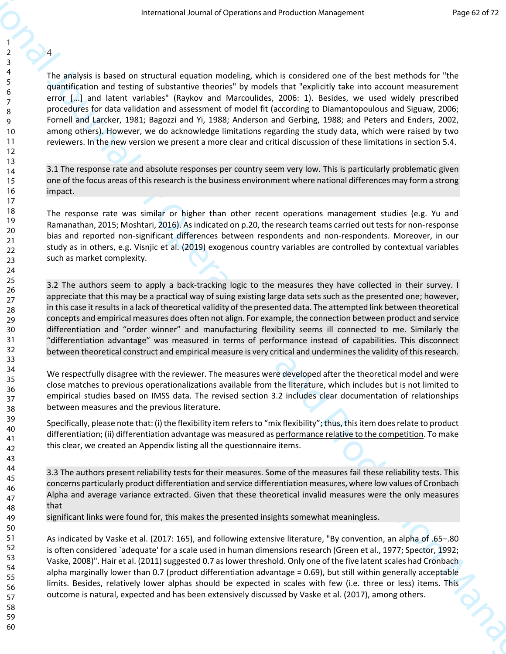The analysis is based on structural equation modeling, which is considered one of the best methods for "the quantification and testing of substantive theories" by models that "explicitly take into account measurement error [...] and latent variables" (Raykov and Marcoulides, 2006: 1). Besides, we used widely prescribed procedures for data validation and assessment of model fit (according to Diamantopoulous and Siguaw, 2006; Fornell and Larcker, 1981; Bagozzi and Yi, 1988; Anderson and Gerbing, 1988; and Peters and Enders, 2002, among others). However, we do acknowledge limitations regarding the study data, which were raised by two reviewers. In the new version we present a more clear and critical discussion of these limitations in section 5.4.

3.1 The response rate and absolute responses per country seem very low. This is particularly problematic given one of the focus areas of this research is the business environment where national differences may form a strong impact.

The response rate was similar or higher than other recent operations management studies (e.g. Yu and Ramanathan, 2015; Moshtari, 2016). As indicated on p.20, the research teams carried out tests for non-response bias and reported non-significant differences between respondents and non-respondents. Moreover, in our study as in others, e.g. Visnjic et al. (2019) exogenous country variables are controlled by contextual variables such as market complexity.

**INTERFERICATE AND THE CONFERENCE AND THE CONFERENCE AND THE CONFERENCE AND THE CONFERENCE AND THE CONFERENCE AND THE CONFERENCE AND THE CONFERENCE AND THE CONFERENCE AND THE CONFERENCE AND THE CONFERENCE AND THE CONFEREN** 3.2 The authors seem to apply a back-tracking logic to the measures they have collected in their survey. I appreciate that this may be a practical way of suing existing large data sets such as the presented one; however, in this case it results in a lack of theoretical validity of the presented data. The attempted link between theoretical concepts and empirical measures does often not align. For example, the connection between product and service differentiation and "order winner" and manufacturing flexibility seems ill connected to me. Similarly the "differentiation advantage" was measured in terms of performance instead of capabilities. This disconnect between theoretical construct and empirical measure is very critical and undermines the validity of this research.

We respectfully disagree with the reviewer. The measures were developed after the theoretical model and were close matches to previous operationalizations available from the literature, which includes but is not limited to empirical studies based on IMSS data. The revised section 3.2 includes clear documentation of relationships between measures and the previous literature.

Specifically, please note that: (i) the flexibility item refers to "mix flexibility"; thus, this item does relate to product differentiation; (ii) differentiation advantage was measured as performance relative to the competition. To make this clear, we created an Appendix listing all the questionnaire items.

3.3 The authors present reliability tests for their measures. Some of the measures fail these reliability tests. This concerns particularly product differentiation and service differentiation measures, where low values of Cronbach Alpha and average variance extracted. Given that these theoretical invalid measures were the only measures that

significant links were found for, this makes the presented insights somewhat meaningless.

As indicated by Vaske et al. (2017: 165), and following extensive literature, "By convention, an alpha of .65–.80 is often considered `adequate' for a scale used in human dimensions research (Green et al., 1977; Spector, 1992; Vaske, 2008)". Hair et al. (2011) suggested 0.7 as lower threshold. Only one of the five latent scales had Cronbach alpha marginally lower than 0.7 (product differentiation advantage = 0.69), but still within generally acceptable limits. Besides, relatively lower alphas should be expected in scales with few (i.e. three or less) items. This outcome is natural, expected and has been extensively discussed by Vaske et al. (2017), among others.

59 60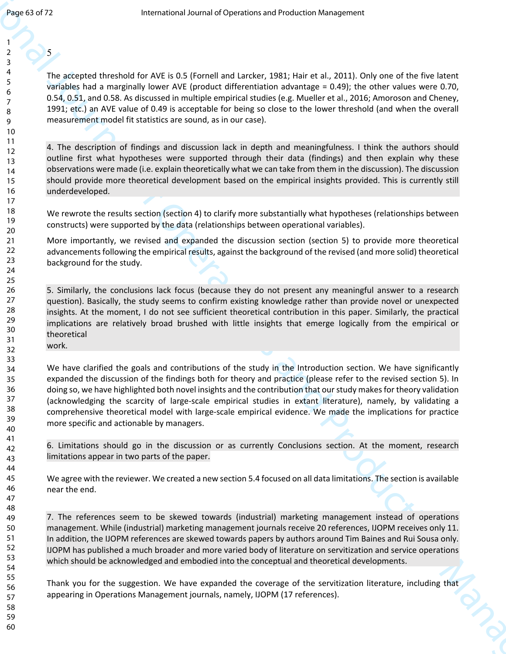The accepted threshold for AVE is 0.5 (Fornell and Larcker, 1981; Hair et al., 2011). Only one of the five latent variables had a marginally lower AVE (product differentiation advantage = 0.49); the other values were 0.70, 0.54, 0.51, and 0.58. As discussed in multiple empirical studies (e.g. Mueller et al., 2016; Amoroson and Cheney, 1991; etc.) an AVE value of 0.49 is acceptable for being so close to the lower threshold (and when the overall measurement model fit statistics are sound, as in our case).

4. The description of findings and discussion lack in depth and meaningfulness. I think the authors should outline first what hypotheses were supported through their data (findings) and then explain why these observations were made (i.e. explain theoretically what we can take from them in the discussion). The discussion should provide more theoretical development based on the empirical insights provided. This is currently still underdeveloped.

We rewrote the results section (section 4) to clarify more substantially what hypotheses (relationships between constructs) were supported by the data (relationships between operational variables).

More importantly, we revised and expanded the discussion section (section 5) to provide more theoretical advancements following the empirical results, against the background of the revised (and more solid) theoretical background for the study.

5. Similarly, the conclusions lack focus (because they do not present any meaningful answer to a research question). Basically, the study seems to confirm existing knowledge rather than provide novel or unexpected insights. At the moment, I do not see sufficient theoretical contribution in this paper. Similarly, the practical implications are relatively broad brushed with little insights that emerge logically from the empirical or theoretical

**Pass-CO d72**<br> **International of Operation and Production** Simple in the symphony of the symphony of the symphony of the symphony of the symphony of the symphony of the symphony of the symphony of the symphony of the symp We have clarified the goals and contributions of the study in the Introduction section. We have significantly expanded the discussion of the findings both for theory and practice (please refer to the revised section 5). In doing so, we have highlighted both novel insights and the contribution that our study makes for theory validation (acknowledging the scarcity of large-scale empirical studies in extant literature), namely, by validating a comprehensive theoretical model with large-scale empirical evidence. We made the implications for practice more specific and actionable by managers.

6. Limitations should go in the discussion or as currently Conclusions section. At the moment, research limitations appear in two parts of the paper.

We agree with the reviewer. We created a new section 5.4 focused on all data limitations. The section is available near the end.

7. The references seem to be skewed towards (industrial) marketing management instead of operations management. While (industrial) marketing management journals receive 20 references, IJOPM receives only 11. In addition, the IJOPM references are skewed towards papers by authors around Tim Baines and Rui Sousa only. IJOPM has published a much broader and more varied body of literature on servitization and service operations which should be acknowledged and embodied into the conceptual and theoretical developments.

Thank you for the suggestion. We have expanded the coverage of the servitization literature, including that appearing in Operations Management journals, namely, IJOPM (17 references).

  work.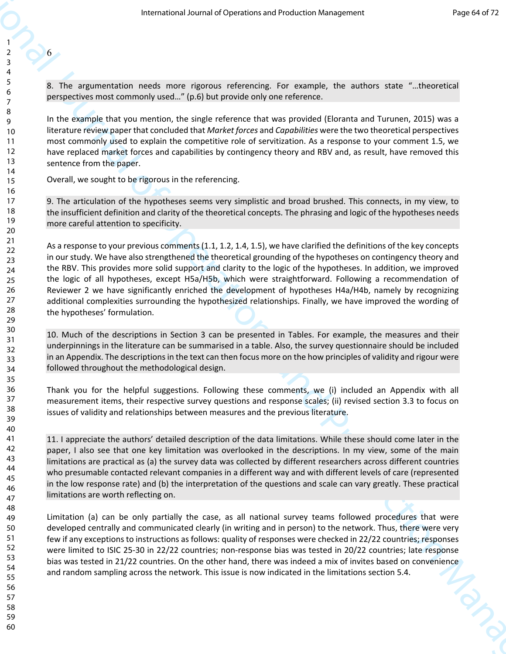8. The argumentation needs more rigorous referencing. For example, the authors state "…theoretical perspectives most commonly used…" (p.6) but provide only one reference.

In the example that you mention, the single reference that was provided (Eloranta and Turunen, 2015) was a literature review paper that concluded that *Market forces* and *Capabilities* were the two theoretical perspectives most commonly used to explain the competitive role of servitization. As a response to your comment 1.5, we have replaced market forces and capabilities by contingency theory and RBV and, as result, have removed this sentence from the paper.

Overall, we sought to be rigorous in the referencing.

9. The articulation of the hypotheses seems very simplistic and broad brushed. This connects, in my view, to the insufficient definition and clarity of the theoretical concepts. The phrasing and logic of the hypotheses needs more careful attention to specificity.

International burstices absent of Operator, are freedomic Higgs - The Control of Control of Control of Control of Control of Control of Control of Control of Control of Control of Control of Control of Control of Control As a response to your previous comments (1.1, 1.2, 1.4, 1.5), we have clarified the definitions of the key concepts in our study. We have also strengthened the theoretical grounding of the hypotheses on contingency theory and the RBV. This provides more solid support and clarity to the logic of the hypotheses. In addition, we improved the logic of all hypotheses, except H5a/H5b, which were straightforward. Following a recommendation of Reviewer 2 we have significantly enriched the development of hypotheses H4a/H4b, namely by recognizing additional complexities surrounding the hypothesized relationships. Finally, we have improved the wording of the hypotheses' formulation.

10. Much of the descriptions in Section 3 can be presented in Tables. For example, the measures and their underpinnings in the literature can be summarised in a table. Also, the survey questionnaire should be included in an Appendix. The descriptions in the text can then focus more on the how principles of validity and rigour were followed throughout the methodological design.

Thank you for the helpful suggestions. Following these comments, we (i) included an Appendix with all measurement items, their respective survey questions and response scales; (ii) revised section 3.3 to focus on issues of validity and relationships between measures and the previous literature.

11. I appreciate the authors' detailed description of the data limitations. While these should come later in the paper, I also see that one key limitation was overlooked in the descriptions. In my view, some of the main limitations are practical as (a) the survey data was collected by different researchers across different countries who presumable contacted relevant companies in a different way and with different levels of care (represented in the low response rate) and (b) the interpretation of the questions and scale can vary greatly. These practical limitations are worth reflecting on.

Limitation (a) can be only partially the case, as all national survey teams followed procedures that were developed centrally and communicated clearly (in writing and in person) to the network. Thus, there were very few if any exceptions to instructions as follows: quality of responses were checked in 22/22 countries; responses were limited to ISIC 25-30 in 22/22 countries; non-response bias was tested in 20/22 countries; late response bias was tested in 21/22 countries. On the other hand, there was indeed a mix of invites based on convenience and random sampling across the network. This issue is now indicated in the limitations section 5.4.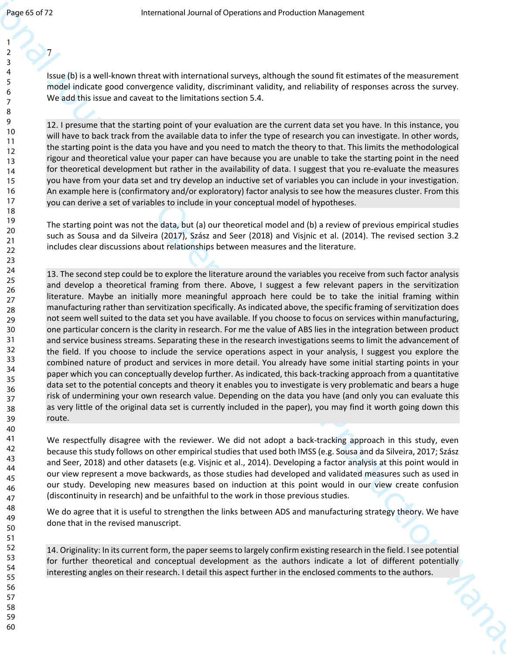7

Issue (b) is a well-known threat with international surveys, although the sound fit estimates of the measurement model indicate good convergence validity, discriminant validity, and reliability of responses across the survey. We add this issue and caveat to the limitations section 5.4.

12. I presume that the starting point of your evaluation are the current data set you have. In this instance, you will have to back track from the available data to infer the type of research you can investigate. In other words, the starting point is the data you have and you need to match the theory to that. This limits the methodological rigour and theoretical value your paper can have because you are unable to take the starting point in the need for theoretical development but rather in the availability of data. I suggest that you re-evaluate the measures you have from your data set and try develop an inductive set of variables you can include in your investigation. An example here is (confirmatory and/or exploratory) factor analysis to see how the measures cluster. From this you can derive a set of variables to include in your conceptual model of hypotheses.

The starting point was not the data, but (a) our theoretical model and (b) a review of previous empirical studies such as Sousa and da Silveira (2017), Szász and Seer (2018) and Visjnic et al. (2014). The revised section 3.2 includes clear discussions about relationships between measures and the literature.

**Passe College Control of The Control of The Control of The Control of The Control of The Control of The Control of The Control of The Control of The Control of The Control of The Control of The Control of The Control of** 13. The second step could be to explore the literature around the variables you receive from such factor analysis and develop a theoretical framing from there. Above, I suggest a few relevant papers in the servitization literature. Maybe an initially more meaningful approach here could be to take the initial framing within manufacturing rather than servitization specifically. As indicated above, the specific framing of servitization does not seem well suited to the data set you have available. If you choose to focus on services within manufacturing, one particular concern is the clarity in research. For me the value of ABS lies in the integration between product and service business streams. Separating these in the research investigations seems to limit the advancement of the field. If you choose to include the service operations aspect in your analysis, I suggest you explore the combined nature of product and services in more detail. You already have some initial starting points in your paper which you can conceptually develop further. As indicated, this back-tracking approach from a quantitative data set to the potential concepts and theory it enables you to investigate is very problematic and bears a huge risk of undermining your own research value. Depending on the data you have (and only you can evaluate this as very little of the original data set is currently included in the paper), you may find it worth going down this route.

We respectfully disagree with the reviewer. We did not adopt a back-tracking approach in this study, even because this study follows on other empirical studies that used both IMSS (e.g. Sousa and da Silveira, 2017; Szász and Seer, 2018) and other datasets (e.g. Visjnic et al., 2014). Developing a factor analysis at this point would in our view represent a move backwards, as those studies had developed and validated measures such as used in our study. Developing new measures based on induction at this point would in our view create confusion (discontinuity in research) and be unfaithful to the work in those previous studies.

We do agree that it is useful to strengthen the links between ADS and manufacturing strategy theory. We have done that in the revised manuscript.

14. Originality: In its current form, the paper seems to largely confirm existing research in the field. I see potential for further theoretical and conceptual development as the authors indicate a lot of different potentially interesting angles on their research. I detail this aspect further in the enclosed comments to the authors.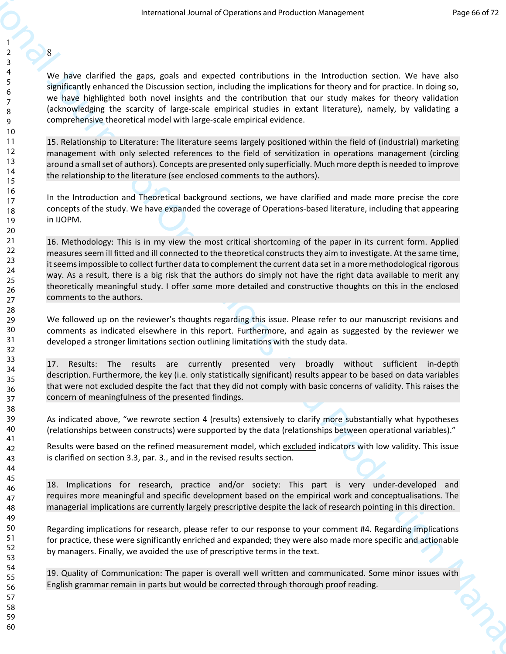We have clarified the gaps, goals and expected contributions in the Introduction section. We have also significantly enhanced the Discussion section, including the implications for theory and for practice. In doing so, we have highlighted both novel insights and the contribution that our study makes for theory validation (acknowledging the scarcity of large-scale empirical studies in extant literature), namely, by validating a comprehensive theoretical model with large-scale empirical evidence.

15. Relationship to Literature: The literature seems largely positioned within the field of (industrial) marketing management with only selected references to the field of servitization in operations management (circling around a small set of authors). Concepts are presented only superficially. Much more depth is needed to improve the relationship to the literature (see enclosed comments to the authors).

In the Introduction and Theoretical background sections, we have clarified and made more precise the core concepts of the study. We have expanded the coverage of Operations-based literature, including that appearing in IJOPM.

International Journal of Operation an Procedures are a<br>
International Management of Operation and Production Management of Operations and American School School School School School School School School School School Scho 16. Methodology: This is in my view the most critical shortcoming of the paper in its current form. Applied measures seem ill fitted and ill connected to the theoretical constructs they aim to investigate. At the same time, it seems impossible to collect further data to complement the current data set in a more methodological rigorous way. As a result, there is a big risk that the authors do simply not have the right data available to merit any theoretically meaningful study. I offer some more detailed and constructive thoughts on this in the enclosed comments to the authors.

We followed up on the reviewer's thoughts regarding this issue. Please refer to our manuscript revisions and comments as indicated elsewhere in this report. Furthermore, and again as suggested by the reviewer we developed a stronger limitations section outlining limitations with the study data.

17. Results: The results are currently presented very broadly without sufficient in-depth description. Furthermore, the key (i.e. only statistically significant) results appear to be based on data variables that were not excluded despite the fact that they did not comply with basic concerns of validity. This raises the concern of meaningfulness of the presented findings.

As indicated above, "we rewrote section 4 (results) extensively to clarify more substantially what hypotheses (relationships between constructs) were supported by the data (relationships between operational variables)."

Results were based on the refined measurement model, which excluded indicators with low validity. This issue is clarified on section 3.3, par. 3., and in the revised results section.

18. Implications for research, practice and/or society: This part is very under-developed and requires more meaningful and specific development based on the empirical work and conceptualisations. The managerial implications are currently largely prescriptive despite the lack of research pointing in this direction.

Regarding implications for research, please refer to our response to your comment #4. Regarding implications for practice, these were significantly enriched and expanded; they were also made more specific and actionable by managers. Finally, we avoided the use of prescriptive terms in the text.

19. Quality of Communication: The paper is overall well written and communicated. Some minor issues with English grammar remain in parts but would be corrected through thorough proof reading.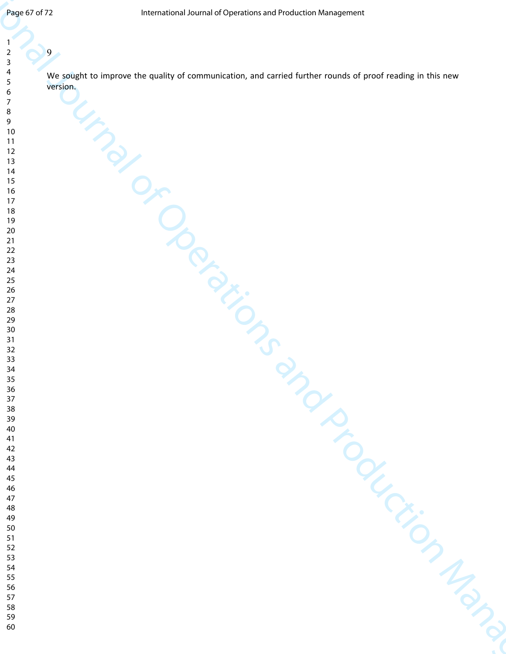| Page 67 of 72                                                                                                  | International Journal of Operations and Production Management                                              |  |
|----------------------------------------------------------------------------------------------------------------|------------------------------------------------------------------------------------------------------------|--|
| $\mathbf{1}$<br>$\sqrt{2}$<br>9                                                                                |                                                                                                            |  |
| $\overline{\mathbf{3}}$<br>$\overline{a}$<br>5                                                                 | We sought to improve the quality of communication, and carried further rounds of proof reading in this new |  |
| version.<br>$\boldsymbol{6}$<br>$\overline{7}$<br>8                                                            |                                                                                                            |  |
| $\mathsf 9$<br>10<br>11                                                                                        |                                                                                                            |  |
| 12<br>13<br>14                                                                                                 | $\hat{Q}$                                                                                                  |  |
| 15<br>16<br>17                                                                                                 |                                                                                                            |  |
| 18<br>19<br>20                                                                                                 |                                                                                                            |  |
| 21<br>22<br>23                                                                                                 |                                                                                                            |  |
|                                                                                                                |                                                                                                            |  |
|                                                                                                                |                                                                                                            |  |
|                                                                                                                |                                                                                                            |  |
|                                                                                                                | Non                                                                                                        |  |
|                                                                                                                |                                                                                                            |  |
|                                                                                                                |                                                                                                            |  |
| 24 25 26 27 28 29 30 31 32 33 34 35 36 37 38 39 40 41 42 43 44 45 46 47 48 49 50 51 52 53 54 55 56 57 88 99 60 |                                                                                                            |  |
|                                                                                                                |                                                                                                            |  |
|                                                                                                                |                                                                                                            |  |
|                                                                                                                |                                                                                                            |  |
|                                                                                                                | $\mathcal{P}_{\mathcal{P}}$                                                                                |  |
|                                                                                                                |                                                                                                            |  |
|                                                                                                                |                                                                                                            |  |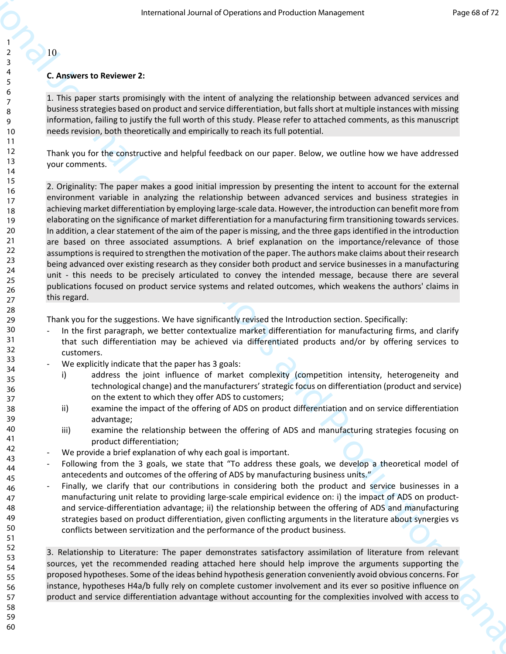## **C. Answers to Reviewer 2:**

1. This paper starts promisingly with the intent of analyzing the relationship between advanced services and business strategies based on product and service differentiation, but falls short at multiple instances with missing information, failing to justify the full worth of this study. Please refer to attached comments, as this manuscript needs revision, both theoretically and empirically to reach its full potential.

Thank you for the constructive and helpful feedback on our paper. Below, we outline how we have addressed your comments.

Isterational bursal of Operators at Procedure and Properties and Productional States and Production And The Contents and Production And The Contents and Production Management is the Contents and Production Management is t 2. Originality: The paper makes a good initial impression by presenting the intent to account for the external environment variable in analyzing the relationship between advanced services and business strategies in achieving market differentiation by employing large-scale data. However, the introduction can benefit more from elaborating on the significance of market differentiation for a manufacturing firm transitioning towards services. In addition, a clear statement of the aim of the paper is missing, and the three gaps identified in the introduction are based on three associated assumptions. A brief explanation on the importance/relevance of those assumptions is required to strengthen the motivation of the paper. The authors make claims about their research being advanced over existing research as they consider both product and service businesses in a manufacturing unit - this needs to be precisely articulated to convey the intended message, because there are several publications focused on product service systems and related outcomes, which weakens the authors' claims in this regard.

Thank you for the suggestions. We have significantly revised the Introduction section. Specifically:

- In the first paragraph, we better contextualize market differentiation for manufacturing firms, and clarify that such differentiation may be achieved via differentiated products and/or by offering services to customers.
- We explicitly indicate that the paper has 3 goals:
	- i) address the joint influence of market complexity (competition intensity, heterogeneity and technological change) and the manufacturers' strategic focus on differentiation (product and service) on the extent to which they offer ADS to customers;
	- ii) examine the impact of the offering of ADS on product differentiation and on service differentiation advantage;
	- iii) examine the relationship between the offering of ADS and manufacturing strategies focusing on product differentiation;
- We provide a brief explanation of why each goal is important.
- Following from the 3 goals, we state that "To address these goals, we develop a theoretical model of antecedents and outcomes of the offering of ADS by manufacturing business units."
- Finally, we clarify that our contributions in considering both the product and service businesses in a manufacturing unit relate to providing large-scale empirical evidence on: i) the impact of ADS on productand service-differentiation advantage; ii) the relationship between the offering of ADS and manufacturing strategies based on product differentiation, given conflicting arguments in the literature about synergies vs conflicts between servitization and the performance of the product business.

3. Relationship to Literature: The paper demonstrates satisfactory assimilation of literature from relevant sources, yet the recommended reading attached here should help improve the arguments supporting the proposed hypotheses. Some of the ideas behind hypothesis generation conveniently avoid obvious concerns. For instance, hypotheses H4a/b fully rely on complete customer involvement and its ever so positive influence on product and service differentiation advantage without accounting for the complexities involved with access to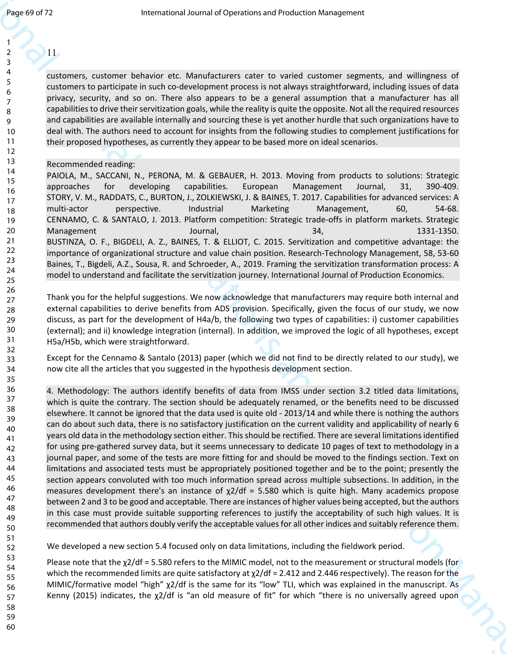# $11 -$

customers, customer behavior etc. Manufacturers cater to varied customer segments, and willingness of customers to participate in such co-development process is not always straightforward, including issues of data privacy, security, and so on. There also appears to be a general assumption that a manufacturer has all capabilities to drive their servitization goals, while the reality is quite the opposite. Not all the required resources and capabilities are available internally and sourcing these is yet another hurdle that such organizations have to deal with. The authors need to account for insights from the following studies to complement justifications for their proposed hypotheses, as currently they appear to be based more on ideal scenarios.

## Recommended reading:

PAIOLA, M., SACCANI, N., PERONA, M. & GEBAUER, H. 2013. Moving from products to solutions: Strategic approaches for developing capabilities. European Management Journal, 31, 390-409. STORY, V. M., RADDATS, C., BURTON, J., ZOLKIEWSKI, J. & BAINES, T. 2017. Capabilities for advanced services: A multi-actor perspective. Industrial Marketing Management, 60, 54-68. CENNAMO, C. & SANTALO, J. 2013. Platform competition: Strategic trade-offs in platform markets. Strategic Management Journal, 34, 1331-1350. BUSTINZA, O. F., BIGDELI, A. Z., BAINES, T. & ELLIOT, C. 2015. Servitization and competitive advantage: the importance of organizational structure and value chain position. Research-Technology Management, 58, 53-60 Baines, T., Bigdeli, A.Z., Sousa, R. and Schroeder, A., 2019. Framing the servitization transformation process: A model to understand and facilitate the servitization journey. International Journal of Production Economics.

Thank you for the helpful suggestions. We now acknowledge that manufacturers may require both internal and external capabilities to derive benefits from ADS provision. Specifically, given the focus of our study, we now discuss, as part for the development of H4a/b, the following two types of capabilities: i) customer capabilities (external); and ii) knowledge integration (internal). In addition, we improved the logic of all hypotheses, except H5a/H5b, which were straightforward.

Except for the Cennamo & Santalo (2013) paper (which we did not find to be directly related to our study), we now cite all the articles that you suggested in the hypothesis development section.

**Passe Of 72**<br>
11. International of Operation and Posterional of Operation and Productions control of Operations and American Control of Operations and American Control of Operations and Productions and Production Managem 4. Methodology: The authors identify benefits of data from IMSS under section 3.2 titled data limitations, which is quite the contrary. The section should be adequately renamed, or the benefits need to be discussed elsewhere. It cannot be ignored that the data used is quite old - 2013/14 and while there is nothing the authors can do about such data, there is no satisfactory justification on the current validity and applicability of nearly 6 years old data in the methodology section either. This should be rectified. There are several limitations identified for using pre-gathered survey data, but it seems unnecessary to dedicate 10 pages of text to methodology in a journal paper, and some of the tests are more fitting for and should be moved to the findings section. Text on limitations and associated tests must be appropriately positioned together and be to the point; presently the section appears convoluted with too much information spread across multiple subsections. In addition, in the measures development there's an instance of  $\chi$ 2/df = 5.580 which is quite high. Many academics propose between 2 and 3 to be good and acceptable. There are instances of higher values being accepted, but the authors in this case must provide suitable supporting references to justify the acceptability of such high values. It is recommended that authors doubly verify the acceptable values for all other indices and suitably reference them.

We developed a new section 5.4 focused only on data limitations, including the fieldwork period.

Please note that the χ2/df = 5.580 refers to the MIMIC model, not to the measurement or structural models (for which the recommended limits are quite satisfactory at  $\chi$ 2/df = 2.412 and 2.446 respectively). The reason for the MIMIC/formative model "high" χ2/df is the same for its "low" TLI, which was explained in the manuscript. As Kenny (2015) indicates, the χ2/df is "an old measure of fit" for which "there is no universally agreed upon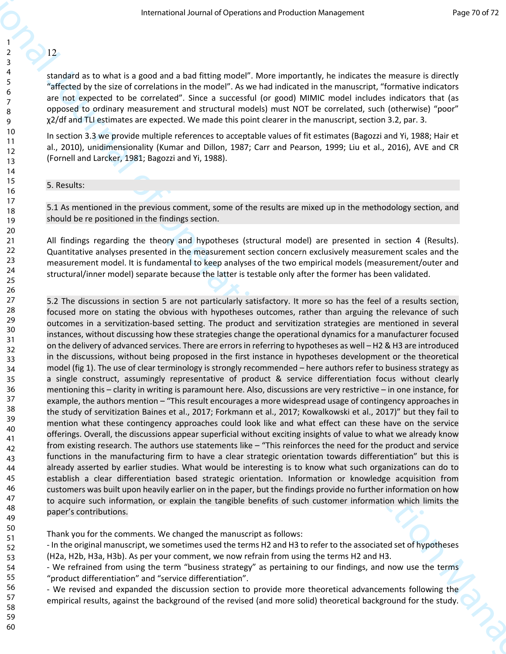1 2

> standard as to what is a good and a bad fitting model". More importantly, he indicates the measure is directly "affected by the size of correlations in the model". As we had indicated in the manuscript, "formative indicators are not expected to be correlated". Since a successful (or good) MIMIC model includes indicators that (as opposed to ordinary measurement and structural models) must NOT be correlated, such (otherwise) "poor" χ2/df and TLI estimates are expected. We made this point clearer in the manuscript, section 3.2, par. 3.

> In section 3.3 we provide multiple references to acceptable values of fit estimates (Bagozzi and Yi, 1988; Hair et al., 2010), unidimensionality (Kumar and Dillon, 1987; Carr and Pearson, 1999; Liu et al., 2016), AVE and CR (Fornell and Larcker, 1981; Bagozzi and Yi, 1988).

#### 5. Results:

5.1 As mentioned in the previous comment, some of the results are mixed up in the methodology section, and should be re positioned in the findings section.

All findings regarding the theory and hypotheses (structural model) are presented in section 4 (Results). Quantitative analyses presented in the measurement section concern exclusively measurement scales and the measurement model. It is fundamental to keep analyses of the two empirical models (measurement/outer and structural/inner model) separate because the latter is testable only after the former has been validated.

**International of Operation and Points and Production And The Company of Construction Company of Company of Company of Company of Company of Company of Company of Company of Company of Company of Company of Company of Com** 5.2 The discussions in section 5 are not particularly satisfactory. It more so has the feel of a results section, focused more on stating the obvious with hypotheses outcomes, rather than arguing the relevance of such outcomes in a servitization-based setting. The product and servitization strategies are mentioned in several instances, without discussing how these strategies change the operational dynamics for a manufacturer focused on the delivery of advanced services. There are errors in referring to hypotheses as well – H2 & H3 are introduced in the discussions, without being proposed in the first instance in hypotheses development or the theoretical model (fig 1). The use of clear terminology is strongly recommended – here authors refer to business strategy as a single construct, assumingly representative of product & service differentiation focus without clearly mentioning this – clarity in writing is paramount here. Also, discussions are very restrictive – in one instance, for example, the authors mention – "This result encourages a more widespread usage of contingency approaches in the study of servitization Baines et al., 2017; Forkmann et al., 2017; Kowalkowski et al., 2017)" but they fail to mention what these contingency approaches could look like and what effect can these have on the service offerings. Overall, the discussions appear superficial without exciting insights of value to what we already know from existing research. The authors use statements like – "This reinforces the need for the product and service functions in the manufacturing firm to have a clear strategic orientation towards differentiation" but this is already asserted by earlier studies. What would be interesting is to know what such organizations can do to establish a clear differentiation based strategic orientation. Information or knowledge acquisition from customers was built upon heavily earlier on in the paper, but the findings provide no further information on how to acquire such information, or explain the tangible benefits of such customer information which limits the paper's contributions.

Thank you for the comments. We changed the manuscript as follows:

- In the original manuscript, we sometimes used the terms H2 and H3 to refer to the associated set of hypotheses (H2a, H2b, H3a, H3b). As per your comment, we now refrain from using the terms H2 and H3.

- We refrained from using the term "business strategy" as pertaining to our findings, and now use the terms "product differentiation" and "service differentiation".

- We revised and expanded the discussion section to provide more theoretical advancements following the empirical results, against the background of the revised (and more solid) theoretical background for the study.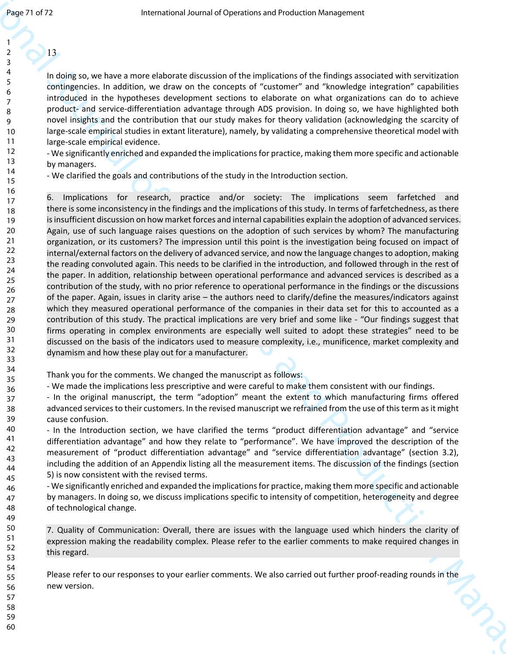# 13

In doing so, we have a more elaborate discussion of the implications of the findings associated with servitization contingencies. In addition, we draw on the concepts of "customer" and "knowledge integration" capabilities introduced in the hypotheses development sections to elaborate on what organizations can do to achieve product- and service-differentiation advantage through ADS provision. In doing so, we have highlighted both novel insights and the contribution that our study makes for theory validation (acknowledging the scarcity of large-scale empirical studies in extant literature), namely, by validating a comprehensive theoretical model with large-scale empirical evidence.

- We significantly enriched and expanded the implications for practice, making them more specific and actionable by managers.

- We clarified the goals and contributions of the study in the Introduction section.

**International of The Constraints and Constraints and Production Section Management of Operations and Production Management of Operations and Production Management of Operations and Production Management with the Constrai** 6. Implications for research, practice and/or society: The implications seem farfetched and there is some inconsistency in the findings and the implications of this study. In terms of farfetchedness, as there is insufficient discussion on how market forces and internal capabilities explain the adoption of advanced services. Again, use of such language raises questions on the adoption of such services by whom? The manufacturing organization, or its customers? The impression until this point is the investigation being focused on impact of internal/external factors on the delivery of advanced service, and now the language changes to adoption, making the reading convoluted again. This needs to be clarified in the introduction, and followed through in the rest of the paper. In addition, relationship between operational performance and advanced services is described as a contribution of the study, with no prior reference to operational performance in the findings or the discussions of the paper. Again, issues in clarity arise – the authors need to clarify/define the measures/indicators against which they measured operational performance of the companies in their data set for this to accounted as a contribution of this study. The practical implications are very brief and some like - "Our findings suggest that firms operating in complex environments are especially well suited to adopt these strategies" need to be discussed on the basis of the indicators used to measure complexity, i.e., munificence, market complexity and dynamism and how these play out for a manufacturer.

Thank you for the comments. We changed the manuscript as follows:

- We made the implications less prescriptive and were careful to make them consistent with our findings.

- In the original manuscript, the term "adoption" meant the extent to which manufacturing firms offered advanced services to their customers. In the revised manuscript we refrained from the use of this term as it might cause confusion.

- In the Introduction section, we have clarified the terms "product differentiation advantage" and "service differentiation advantage" and how they relate to "performance". We have improved the description of the measurement of "product differentiation advantage" and "service differentiation advantage" (section 3.2), including the addition of an Appendix listing all the measurement items. The discussion of the findings (section 5) is now consistent with the revised terms.

- We significantly enriched and expanded the implications for practice, making them more specific and actionable by managers. In doing so, we discuss implications specific to intensity of competition, heterogeneity and degree of technological change.

7. Quality of Communication: Overall, there are issues with the language used which hinders the clarity of expression making the readability complex. Please refer to the earlier comments to make required changes in this regard.

Please refer to our responses to your earlier comments. We also carried out further proof-reading rounds in the new version.